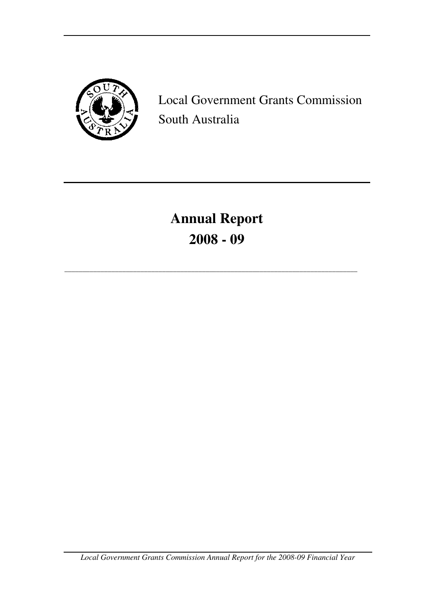

Local Government Grants Commission South Australia

# **Annual Report 2008 - 09**

\_\_\_\_\_\_\_\_\_\_\_\_\_\_\_\_\_\_\_\_\_\_\_\_\_\_\_\_\_\_\_\_\_\_\_\_\_\_\_\_\_\_\_\_\_\_\_\_\_\_\_\_\_\_\_\_\_\_\_\_\_\_\_\_\_\_\_\_\_\_\_\_\_\_\_\_\_\_\_\_\_

*Local Government Grants Commission Annual Report for the 2008-09 Financial Year*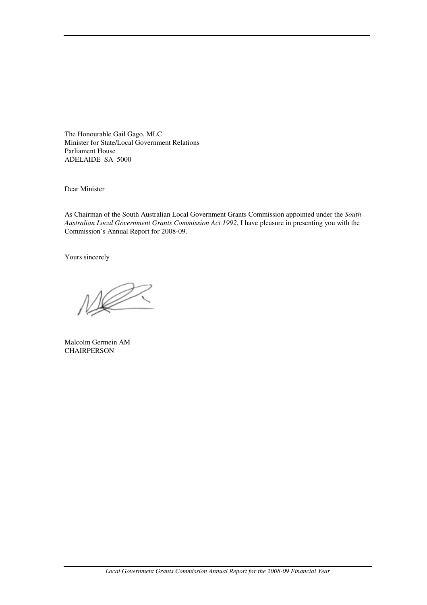The Honourable Gail Gago, MLC Minister for State/Local Government Relations Parliament House ADELAIDE SA 5000

Dear Minister

As Chairman of the South Australian Local Government Grants Commission appointed under the *South Australian Local Government Grants Commission Act 1992*, I have pleasure in presenting you with the Commission's Annual Report for 2008-09.

Yours sincerely

Malcolm Germein AM **CHAIRPERSON**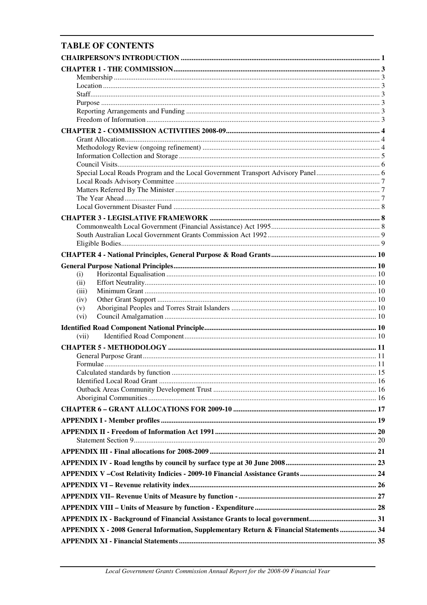# **TABLE OF CONTENTS**

| (i)<br>(ii)                                                                            |  |
|----------------------------------------------------------------------------------------|--|
| (iii)                                                                                  |  |
| (iv)                                                                                   |  |
| (v)                                                                                    |  |
| (vi)                                                                                   |  |
|                                                                                        |  |
| (vii)                                                                                  |  |
|                                                                                        |  |
|                                                                                        |  |
|                                                                                        |  |
|                                                                                        |  |
|                                                                                        |  |
|                                                                                        |  |
|                                                                                        |  |
|                                                                                        |  |
|                                                                                        |  |
|                                                                                        |  |
|                                                                                        |  |
|                                                                                        |  |
|                                                                                        |  |
|                                                                                        |  |
|                                                                                        |  |
|                                                                                        |  |
|                                                                                        |  |
|                                                                                        |  |
| APPENDIX X - 2008 General Information, Supplementary Return & Financial Statements  34 |  |
|                                                                                        |  |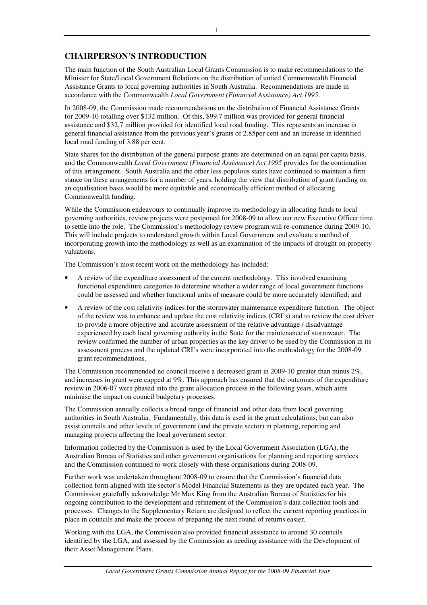# **CHAIRPERSON'S INTRODUCTION**

The main function of the South Australian Local Grants Commission is to make recommendations to the Minister for State/Local Government Relations on the distribution of untied Commonwealth Financial Assistance Grants to local governing authorities in South Australia. Recommendations are made in accordance with the Commonwealth *Local Government (Financial Assistance) Act 1995*.

In 2008-09, the Commission made recommendations on the distribution of Financial Assistance Grants for 2009-10 totalling over \$132 million. Of this, \$99.7 million was provided for general financial assistance and \$32.7 million provided for identified local road funding. This represents an increase in general financial assistance from the previous year's grants of 2.85per cent and an increase in identified local road funding of 3.88 per cent.

State shares for the distribution of the general purpose grants are determined on an equal per capita basis, and the Commonwealth *Local Government (Financial Assistance) Act 1995* provides for the continuation of this arrangement. South Australia and the other less populous states have continued to maintain a firm stance on these arrangements for a number of years, holding the view that distribution of grant funding on an equalisation basis would be more equitable and economically efficient method of allocating Commonwealth funding.

While the Commission endeavours to continually improve its methodology in allocating funds to local governing authorities, review projects were postponed for 2008-09 to allow our new Executive Officer time to settle into the role. The Commission's methodology review program will re-commence during 2009-10. This will include projects to understand growth within Local Government and evaluate a method of incorporating growth into the methodology as well as an examination of the impacts of drought on property valuations.

The Commission's most recent work on the methodology has included:

- A review of the expenditure assessment of the current methodology. This involved examining functional expenditure categories to determine whether a wider range of local government functions could be assessed and whether functional units of measure could be more accurately identified; and
- A review of the cost relativity indices for the stormwater maintenance expenditure function. The object of the review was to enhance and update the cost relativity indices (CRI's) and to review the cost driver to provide a more objective and accurate assessment of the relative advantage / disadvantage experienced by each local governing authority in the State for the maintenance of stormwater. The review confirmed the number of urban properties as the key driver to be used by the Commission in its assessment process and the updated CRI's were incorporated into the methodology for the 2008-09 grant recommendations.

The Commission recommended no council receive a decreased grant in 2009-10 greater than minus 2%, and increases in grant were capped at 9%. This approach has ensured that the outcomes of the expenditure review in 2006-07 were phased into the grant allocation process in the following years, which aims minimise the impact on council budgetary processes.

The Commission annually collects a broad range of financial and other data from local governing authorities in South Australia. Fundamentally, this data is used in the grant calculations, but can also assist councils and other levels of government (and the private sector) in planning, reporting and managing projects affecting the local government sector.

Information collected by the Commission is used by the Local Government Association (LGA), the Australian Bureau of Statistics and other government organisations for planning and reporting services and the Commission continued to work closely with these organisations during 2008-09.

Further work was undertaken throughout 2008-09 to ensure that the Commission's financial data collection form aligned with the sector's Model Financial Statements as they are updated each year. The Commission gratefully acknowledge Mr Max King from the Australian Bureau of Statistics for his ongoing contribution to the development and refinement of the Commission's data collection tools and processes. Changes to the Supplementary Return are designed to reflect the current reporting practices in place in councils and make the process of preparing the next round of returns easier.

Working with the LGA, the Commission also provided financial assistance to around 30 councils identified by the LGA, and assessed by the Commission as needing assistance with the Development of their Asset Management Plans.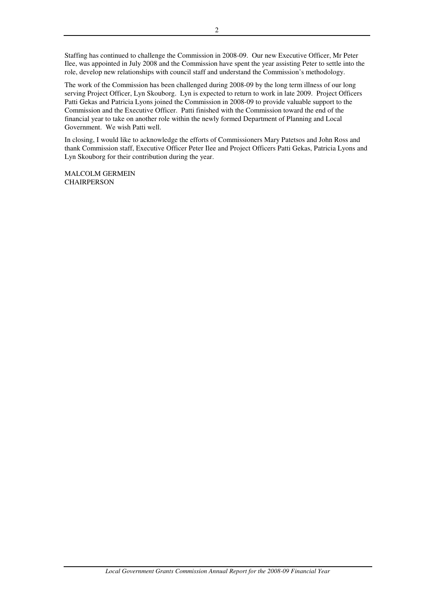Staffing has continued to challenge the Commission in 2008-09. Our new Executive Officer, Mr Peter Ilee, was appointed in July 2008 and the Commission have spent the year assisting Peter to settle into the role, develop new relationships with council staff and understand the Commission's methodology.

The work of the Commission has been challenged during 2008-09 by the long term illness of our long serving Project Officer, Lyn Skouborg. Lyn is expected to return to work in late 2009. Project Officers Patti Gekas and Patricia Lyons joined the Commission in 2008-09 to provide valuable support to the Commission and the Executive Officer. Patti finished with the Commission toward the end of the financial year to take on another role within the newly formed Department of Planning and Local Government. We wish Patti well.

In closing, I would like to acknowledge the efforts of Commissioners Mary Patetsos and John Ross and thank Commission staff, Executive Officer Peter Ilee and Project Officers Patti Gekas, Patricia Lyons and Lyn Skouborg for their contribution during the year.

MALCOLM GERMEIN **CHAIRPERSON**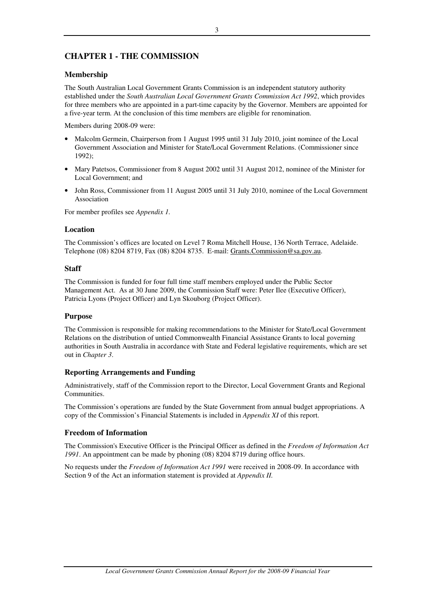# **CHAPTER 1 - THE COMMISSION**

### **Membership**

The South Australian Local Government Grants Commission is an independent statutory authority established under the *South Australian Local Government Grants Commission Act 1992*, which provides for three members who are appointed in a part-time capacity by the Governor. Members are appointed for a five-year term. At the conclusion of this time members are eligible for renomination.

Members during 2008-09 were:

- Malcolm Germein, Chairperson from 1 August 1995 until 31 July 2010, joint nominee of the Local Government Association and Minister for State/Local Government Relations. (Commissioner since 1992);
- Mary Patetsos, Commissioner from 8 August 2002 until 31 August 2012, nominee of the Minister for Local Government; and
- John Ross, Commissioner from 11 August 2005 until 31 July 2010, nominee of the Local Government Association

For member profiles see *Appendix 1.*

### **Location**

The Commission's offices are located on Level 7 Roma Mitchell House, 136 North Terrace, Adelaide. Telephone (08) 8204 8719, Fax (08) 8204 8735. E-mail: Grants.Commission@sa.gov.au.

### **Staff**

The Commission is funded for four full time staff members employed under the Public Sector Management Act. As at 30 June 2009, the Commission Staff were: Peter Ilee (Executive Officer), Patricia Lyons (Project Officer) and Lyn Skouborg (Project Officer).

### **Purpose**

The Commission is responsible for making recommendations to the Minister for State/Local Government Relations on the distribution of untied Commonwealth Financial Assistance Grants to local governing authorities in South Australia in accordance with State and Federal legislative requirements, which are set out in *Chapter 3*.

### **Reporting Arrangements and Funding**

Administratively, staff of the Commission report to the Director, Local Government Grants and Regional Communities.

The Commission's operations are funded by the State Government from annual budget appropriations. A copy of the Commission's Financial Statements is included in *Appendix XI* of this report.

### **Freedom of Information**

The Commission's Executive Officer is the Principal Officer as defined in the *Freedom of Information Act 1991*. An appointment can be made by phoning (08) 8204 8719 during office hours.

No requests under the *Freedom of Information Act 1991* were received in 2008-09. In accordance with Section 9 of the Act an information statement is provided at *Appendix II.*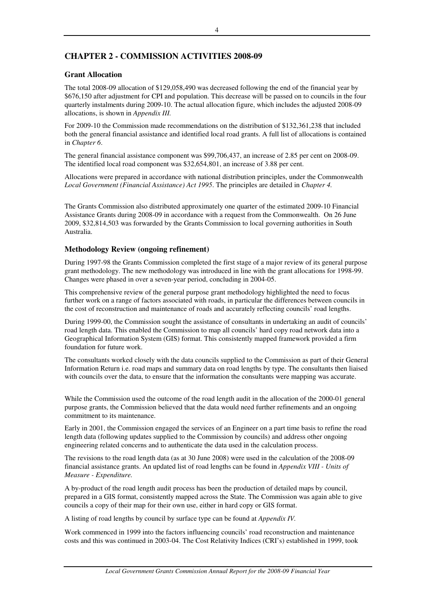# **CHAPTER 2 - COMMISSION ACTIVITIES 2008-09**

### **Grant Allocation**

The total 2008-09 allocation of \$129,058,490 was decreased following the end of the financial year by \$676,150 after adjustment for CPI and population. This decrease will be passed on to councils in the four quarterly instalments during 2009-10. The actual allocation figure, which includes the adjusted 2008-09 allocations, is shown in *Appendix III.*

For 2009-10 the Commission made recommendations on the distribution of \$132,361,238 that included both the general financial assistance and identified local road grants. A full list of allocations is contained in *Chapter 6*.

The general financial assistance component was \$99,706,437, an increase of 2.85 per cent on 2008-09. The identified local road component was \$32,654,801, an increase of 3.88 per cent.

Allocations were prepared in accordance with national distribution principles, under the Commonwealth *Local Government (Financial Assistance) Act 1995*. The principles are detailed in *Chapter 4.* 

The Grants Commission also distributed approximately one quarter of the estimated 2009-10 Financial Assistance Grants during 2008-09 in accordance with a request from the Commonwealth. On 26 June 2009, \$32,814,503 was forwarded by the Grants Commission to local governing authorities in South Australia.

### **Methodology Review (ongoing refinement)**

During 1997-98 the Grants Commission completed the first stage of a major review of its general purpose grant methodology. The new methodology was introduced in line with the grant allocations for 1998-99. Changes were phased in over a seven-year period, concluding in 2004-05.

This comprehensive review of the general purpose grant methodology highlighted the need to focus further work on a range of factors associated with roads, in particular the differences between councils in the cost of reconstruction and maintenance of roads and accurately reflecting councils' road lengths.

During 1999-00, the Commission sought the assistance of consultants in undertaking an audit of councils' road length data. This enabled the Commission to map all councils' hard copy road network data into a Geographical Information System (GIS) format. This consistently mapped framework provided a firm foundation for future work.

The consultants worked closely with the data councils supplied to the Commission as part of their General Information Return i.e. road maps and summary data on road lengths by type. The consultants then liaised with councils over the data, to ensure that the information the consultants were mapping was accurate.

While the Commission used the outcome of the road length audit in the allocation of the 2000-01 general purpose grants, the Commission believed that the data would need further refinements and an ongoing commitment to its maintenance.

Early in 2001, the Commission engaged the services of an Engineer on a part time basis to refine the road length data (following updates supplied to the Commission by councils) and address other ongoing engineering related concerns and to authenticate the data used in the calculation process.

The revisions to the road length data (as at 30 June 2008) were used in the calculation of the 2008-09 financial assistance grants. An updated list of road lengths can be found in *Appendix VIII - Units of Measure - Expenditure.* 

A by-product of the road length audit process has been the production of detailed maps by council, prepared in a GIS format, consistently mapped across the State. The Commission was again able to give councils a copy of their map for their own use, either in hard copy or GIS format.

A listing of road lengths by council by surface type can be found at *Appendix IV.*

Work commenced in 1999 into the factors influencing councils' road reconstruction and maintenance costs and this was continued in 2003-04. The Cost Relativity Indices (CRI's) established in 1999, took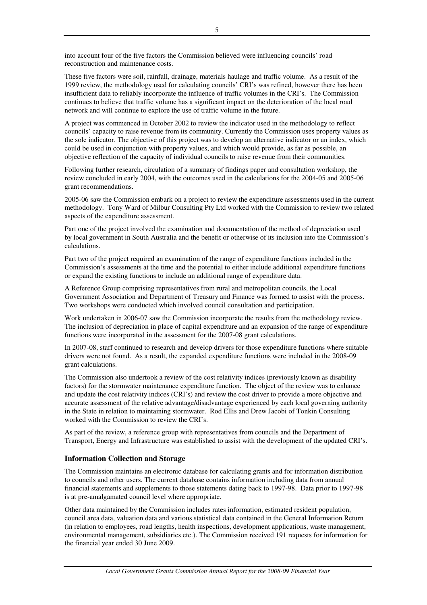These five factors were soil, rainfall, drainage, materials haulage and traffic volume. As a result of the 1999 review, the methodology used for calculating councils' CRI's was refined, however there has been insufficient data to reliably incorporate the influence of traffic volumes in the CRI's. The Commission continues to believe that traffic volume has a significant impact on the deterioration of the local road network and will continue to explore the use of traffic volume in the future.

A project was commenced in October 2002 to review the indicator used in the methodology to reflect councils' capacity to raise revenue from its community. Currently the Commission uses property values as the sole indicator. The objective of this project was to develop an alternative indicator or an index, which could be used in conjunction with property values, and which would provide, as far as possible, an objective reflection of the capacity of individual councils to raise revenue from their communities.

Following further research, circulation of a summary of findings paper and consultation workshop, the review concluded in early 2004, with the outcomes used in the calculations for the 2004-05 and 2005-06 grant recommendations.

2005-06 saw the Commission embark on a project to review the expenditure assessments used in the current methodology. Tony Ward of Milbur Consulting Pty Ltd worked with the Commission to review two related aspects of the expenditure assessment.

Part one of the project involved the examination and documentation of the method of depreciation used by local government in South Australia and the benefit or otherwise of its inclusion into the Commission's calculations.

Part two of the project required an examination of the range of expenditure functions included in the Commission's assessments at the time and the potential to either include additional expenditure functions or expand the existing functions to include an additional range of expenditure data.

A Reference Group comprising representatives from rural and metropolitan councils, the Local Government Association and Department of Treasury and Finance was formed to assist with the process. Two workshops were conducted which involved council consultation and participation.

Work undertaken in 2006-07 saw the Commission incorporate the results from the methodology review. The inclusion of depreciation in place of capital expenditure and an expansion of the range of expenditure functions were incorporated in the assessment for the 2007-08 grant calculations.

In 2007-08, staff continued to research and develop drivers for those expenditure functions where suitable drivers were not found. As a result, the expanded expenditure functions were included in the 2008-09 grant calculations.

The Commission also undertook a review of the cost relativity indices (previously known as disability factors) for the stormwater maintenance expenditure function. The object of the review was to enhance and update the cost relativity indices (CRI's) and review the cost driver to provide a more objective and accurate assessment of the relative advantage/disadvantage experienced by each local governing authority in the State in relation to maintaining stormwater. Rod Ellis and Drew Jacobi of Tonkin Consulting worked with the Commission to review the CRI's.

As part of the review, a reference group with representatives from councils and the Department of Transport, Energy and Infrastructure was established to assist with the development of the updated CRI's.

# **Information Collection and Storage**

The Commission maintains an electronic database for calculating grants and for information distribution to councils and other users. The current database contains information including data from annual financial statements and supplements to those statements dating back to 1997-98. Data prior to 1997-98 is at pre-amalgamated council level where appropriate.

Other data maintained by the Commission includes rates information, estimated resident population, council area data, valuation data and various statistical data contained in the General Information Return (in relation to employees, road lengths, health inspections, development applications, waste management, environmental management, subsidiaries etc.). The Commission received 191 requests for information for the financial year ended 30 June 2009.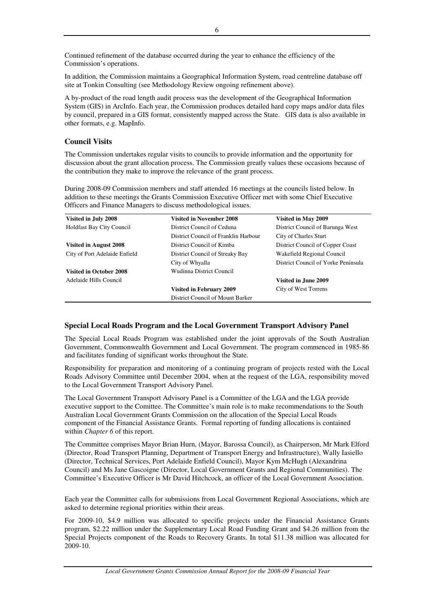Continued refinement of the database occurred during the year to enhance the efficiency of the Commission's operations.

In addition, the Commission maintains a Geographical Information System, road centreline database off site at Tonkin Consulting (see Methodology Review ongoing refinement above).

A by-product of the road length audit process was the development of the Geographical Information System (GIS) in ArcInfo. Each year, the Commission produces detailed hard copy maps and/or data files by council, prepared in a GIS format, consistently mapped across the State. GIS data is also available in other formats, e.g. MapInfo.

### **Council Visits**

The Commission undertakes regular visits to councils to provide information and the opportunity for discussion about the grant allocation process. The Commission greatly values these occasions because of the contribution they make to improve the relevance of the grant process.

During 2008-09 Commission members and staff attended 16 meetings at the councils listed below. In addition to these meetings the Grants Commission Executive Officer met with some Chief Executive Officers and Finance Managers to discuss methodological issues.

| Visited in July 2008             | <b>Visited in November 2008</b>      | Visited in May 2009                 |
|----------------------------------|--------------------------------------|-------------------------------------|
| <b>Holdfast Bay City Council</b> | District Council of Ceduna           | District Council of Barunga West    |
|                                  | District Council of Franklin Harbour | City of Charles Sturt               |
| Visited in August 2008           | District Council of Kimba            | District Council of Copper Coast    |
| City of Port Adelaide Enfield    | District Council of Streaky Bay      | Wakefield Regional Council          |
|                                  | City of Whyalla                      | District Council of Yorke Peninsula |
| Visited in October 2008          | Wudinna District Council             |                                     |
| Adelaide Hills Council           |                                      | Visited in June 2009                |
|                                  | Visited in February 2009             | City of West Torrens                |
|                                  | District Council of Mount Barker     |                                     |

### **Special Local Roads Program and the Local Government Transport Advisory Panel**

The Special Local Roads Program was established under the joint approvals of the South Australian Government, Commonwealth Government and Local Government. The program commenced in 1985-86 and facilitates funding of significant works throughout the State.

Responsibility for preparation and monitoring of a continuing program of projects rested with the Local Roads Advisory Committee until December 2004, when at the request of the LGA, responsibility moved to the Local Government Transport Advisory Panel.

The Local Government Transport Advisory Panel is a Committee of the LGA and the LGA provide executive support to the Comittee. The Committee's main role is to make recommendations to the South Australian Local Government Grants Commission on the allocation of the Special Local Roads component of the Financial Assistance Grants. Formal reporting of funding allocations is contained within *Chapter 6* of this report.

The Committee comprises Mayor Brian Hurn, (Mayor, Barossa Council), as Chairperson, Mr Mark Elford (Director, Road Transport Planning, Department of Transport Energy and Infrastructure), Wally Iasiello (Director, Technical Services, Port Adelaide Enfield Council), Mayor Kym McHugh (Alexandrina Council) and Ms Jane Gascoigne (Director, Local Government Grants and Regional Communities). The Committee's Executive Officer is Mr David Hitchcock, an officer of the Local Government Association.

Each year the Committee calls for submissions from Local Government Regional Associations, which are asked to determine regional priorities within their areas.

For 2009-10, \$4.9 million was allocated to specific projects under the Financial Assistance Grants program, \$2.22 million under the Supplementary Local Road Funding Grant and \$4.26 million from the Special Projects component of the Roads to Recovery Grants. In total \$11.38 million was allocated for 2009-10.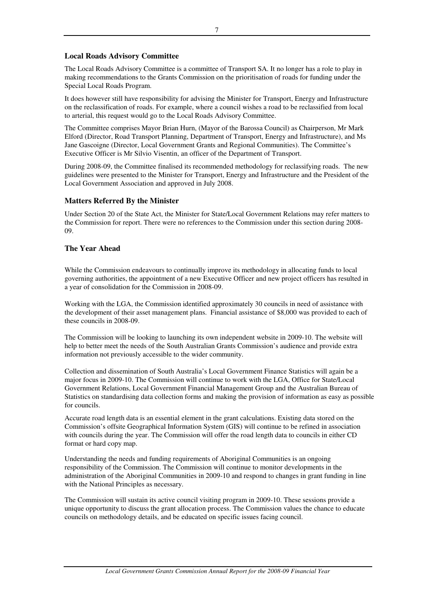### **Local Roads Advisory Committee**

The Local Roads Advisory Committee is a committee of Transport SA. It no longer has a role to play in making recommendations to the Grants Commission on the prioritisation of roads for funding under the Special Local Roads Program.

It does however still have responsibility for advising the Minister for Transport, Energy and Infrastructure on the reclassification of roads. For example, where a council wishes a road to be reclassified from local to arterial, this request would go to the Local Roads Advisory Committee.

The Committee comprises Mayor Brian Hurn, (Mayor of the Barossa Council) as Chairperson, Mr Mark Elford (Director, Road Transport Planning, Department of Transport, Energy and Infrastructure), and Ms Jane Gascoigne (Director, Local Government Grants and Regional Communities). The Committee's Executive Officer is Mr Silvio Visentin, an officer of the Department of Transport.

During 2008-09, the Committee finalised its recommended methodology for reclassifying roads. The new guidelines were presented to the Minister for Transport, Energy and Infrastructure and the President of the Local Government Association and approved in July 2008.

### **Matters Referred By the Minister**

Under Section 20 of the State Act, the Minister for State/Local Government Relations may refer matters to the Commission for report. There were no references to the Commission under this section during 2008- 09.

### **The Year Ahead**

While the Commission endeavours to continually improve its methodology in allocating funds to local governing authorities, the appointment of a new Executive Officer and new project officers has resulted in a year of consolidation for the Commission in 2008-09.

Working with the LGA, the Commission identified approximately 30 councils in need of assistance with the development of their asset management plans. Financial assistance of \$8,000 was provided to each of these councils in 2008-09.

The Commission will be looking to launching its own independent website in 2009-10. The website will help to better meet the needs of the South Australian Grants Commission's audience and provide extra information not previously accessible to the wider community.

Collection and dissemination of South Australia's Local Government Finance Statistics will again be a major focus in 2009-10. The Commission will continue to work with the LGA, Office for State/Local Government Relations, Local Government Financial Management Group and the Australian Bureau of Statistics on standardising data collection forms and making the provision of information as easy as possible for councils.

Accurate road length data is an essential element in the grant calculations. Existing data stored on the Commission's offsite Geographical Information System (GIS) will continue to be refined in association with councils during the year. The Commission will offer the road length data to councils in either CD format or hard copy map.

Understanding the needs and funding requirements of Aboriginal Communities is an ongoing responsibility of the Commission. The Commission will continue to monitor developments in the administration of the Aboriginal Communities in 2009-10 and respond to changes in grant funding in line with the National Principles as necessary.

The Commission will sustain its active council visiting program in 2009-10. These sessions provide a unique opportunity to discuss the grant allocation process. The Commission values the chance to educate councils on methodology details, and be educated on specific issues facing council.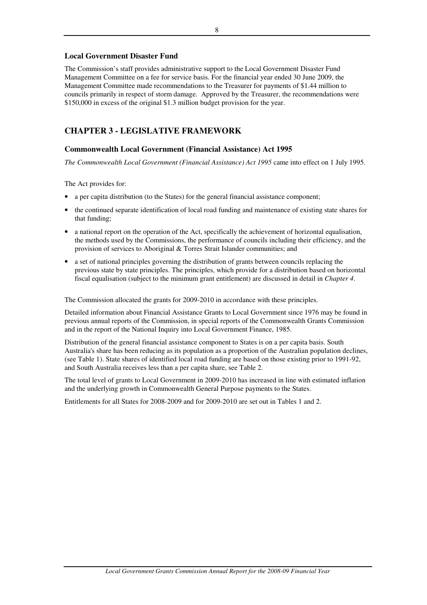### **Local Government Disaster Fund**

The Commission's staff provides administrative support to the Local Government Disaster Fund Management Committee on a fee for service basis. For the financial year ended 30 June 2009, the Management Committee made recommendations to the Treasurer for payments of \$1.44 million to councils primarily in respect of storm damage. Approved by the Treasurer, the recommendations were \$150,000 in excess of the original \$1.3 million budget provision for the year.

# **CHAPTER 3 - LEGISLATIVE FRAMEWORK**

### **Commonwealth Local Government (Financial Assistance) Act 1995**

*The Commonwealth Local Government (Financial Assistance) Act 1995* came into effect on 1 July 1995.

The Act provides for:

- a per capita distribution (to the States) for the general financial assistance component;
- the continued separate identification of local road funding and maintenance of existing state shares for that funding;
- a national report on the operation of the Act, specifically the achievement of horizontal equalisation, the methods used by the Commissions, the performance of councils including their efficiency, and the provision of services to Aboriginal & Torres Strait Islander communities; and
- a set of national principles governing the distribution of grants between councils replacing the previous state by state principles. The principles, which provide for a distribution based on horizontal fiscal equalisation (subject to the minimum grant entitlement) are discussed in detail in *Chapter 4*.

The Commission allocated the grants for 2009-2010 in accordance with these principles.

Detailed information about Financial Assistance Grants to Local Government since 1976 may be found in previous annual reports of the Commission, in special reports of the Commonwealth Grants Commission and in the report of the National Inquiry into Local Government Finance, 1985.

Distribution of the general financial assistance component to States is on a per capita basis. South Australia's share has been reducing as its population as a proportion of the Australian population declines, (see Table 1). State shares of identified local road funding are based on those existing prior to 1991-92, and South Australia receives less than a per capita share, see Table 2.

The total level of grants to Local Government in 2009-2010 has increased in line with estimated inflation and the underlying growth in Commonwealth General Purpose payments to the States.

Entitlements for all States for 2008-2009 and for 2009-2010 are set out in Tables 1 and 2.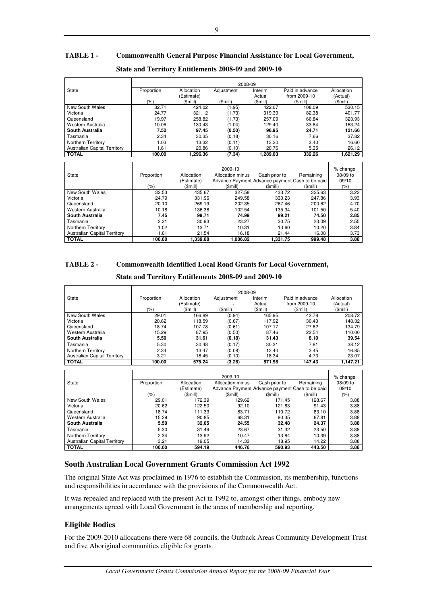### **TABLE 1 - Commonwealth General Purpose Financial Assistance for Local Government,**

|                                     | $_{\rm out}$ and Territory Emminimized 2000-07 and 2007-10 |            |            |          |                 |            |
|-------------------------------------|------------------------------------------------------------|------------|------------|----------|-----------------|------------|
|                                     |                                                            |            |            | 2008-09  |                 |            |
| <b>State</b>                        | Proportion                                                 | Allocation | Adjustment | Interim  | Paid in advance | Allocation |
|                                     |                                                            | (Estimate) |            | Actual   | from 2009-10    | (Actual)   |
|                                     | (% )                                                       | (Smill)    | (\$mill)   | (Smill)  | $$$ mill $)$    | (Smill)    |
| New South Wales                     | 32.71                                                      | 424.02     | (1.95)     | 422.07   | 108.09          | 530.15     |
| Victoria                            | 24.77                                                      | 321.12     | (1.73)     | 319.39   | 82.38           | 401.77     |
| Queensland                          | 19.97                                                      | 258.82     | (1.73)     | 257.09   | 66.84           | 323.93     |
| Western Australia                   | 10.06                                                      | 130.43     | (1.04)     | 129.40   | 33.84           | 163.24     |
| South Australia                     | 7.52                                                       | 97.45      | (0.50)     | 96.95    | 24.71           | 121.66     |
| Tasmania                            | 2.34                                                       | 30.35      | (0.18)     | 30.16    | 7.66            | 37.82      |
| Northern Territory                  | 1.03                                                       | 13.32      | (0.11)     | 13.20    | 3.40            | 16.60      |
| <b>Australian Capital Territory</b> | 1.61                                                       | 20.86      | (0.10)     | 20.76    | 5.35            | 26.12      |
| <b>TOTAL</b>                        | 100.00                                                     | 1.296.36   | (7.34)     | 1.289.03 | 332.26          | 1.621.29   |

### **State and Territory Entitlements 2008-09 and 2009-10**

|                                     | 2009-10    |            |                                                 |               |           |          |
|-------------------------------------|------------|------------|-------------------------------------------------|---------------|-----------|----------|
| State                               | Proportion | Allocation | Allocation minus                                | Cash prior to | Remaining | 08/09 to |
|                                     |            | (Estimate) | Advance Payment Advance payment Cash to be paid |               |           | 09/10    |
|                                     | $(\% )$    | (\$mill)   | (\$mill)                                        | (Smill)       | (Smill)   | (%)      |
| New South Wales                     | 32.53      | 435.67     | 327.58                                          | 433.72        | 325.63    | 3.22     |
| Victoria                            | 24.79      | 331.96     | 249.58                                          | 330.23        | 247.86    | 3.93     |
| Queensland                          | 20.10      | 269.19     | 202.35                                          | 267.46        | 200.62    | 4.70     |
| Western Australia                   | 10.18      | 136.38     | 102.54                                          | 135.34        | 101.50    | 5.40     |
| South Australia                     | 7.45       | 99.71      | 74.99                                           | 99.21         | 74.50     | 2.85     |
| Tasmania                            | 2.31       | 30.93      | 23.27                                           | 30.75         | 23.09     | 2.55     |
| Northern Territory                  | 1.02       | 13.71      | 10.31                                           | 13.60         | 10.20     | 3.84     |
| <b>Australian Capital Territory</b> | 1.61       | 21.54      | 16.18                                           | 21.44         | 16.08     | 3.73     |
| <b>TOTAL</b>                        | 100.00     | 1.339.08   | 1.006.82                                        | 1.331.75      | 999.48    | 3.88     |

### **TABLE 2 - Commonwealth Identified Local Road Grants for Local Government,**

### **State and Territory Entitlements 2008-09 and 2009-10**

|                                     | 2008-09    |            |            |         |                 |            |
|-------------------------------------|------------|------------|------------|---------|-----------------|------------|
| State                               | Proportion | Allocation | Adjustment | Interim | Paid in advance | Allocation |
|                                     |            | (Estimate) |            | Actual  | from 2009-10    | (Actual)   |
|                                     | (% )       | (Smill)    | (Smill)    | (Smill) | (\$mill)        | (\$mill)   |
| New South Wales                     | 29.01      | 166.89     | (0.94)     | 165.95  | 42.78           | 208.72     |
| Victoria                            | 20.62      | 118.59     | (0.67)     | 117.92  | 30.40           | 148.32     |
| Queensland                          | 18.74      | 107.78     | (0.61)     | 107.17  | 27.62           | 134.79     |
| Western Australia                   | 15.29      | 87.95      | (0.50)     | 87.46   | 22.54           | 110.00     |
| South Australia                     | 5.50       | 31.61      | (0.18)     | 31.43   | 8.10            | 39.54      |
| Tasmania                            | 5.30       | 30.48      | (0.17)     | 30.31   | 7.81            | 38.12      |
| Northern Territory                  | 2.34       | 13.47      | (0.08)     | 13.40   | 3.45            | 16.85      |
| <b>Australian Capital Territory</b> | 3.21       | 18.45      | (0.10)     | 18.34   | 4.73            | 23.07      |
| <b>TOTAL</b>                        | 100.00     | 575.24     | (3.26)     | 571.98  | 147.43          | 1,147.21   |

|                                     |            |            | 2009-10                                         |               |           | % change |
|-------------------------------------|------------|------------|-------------------------------------------------|---------------|-----------|----------|
| State                               | Proportion | Allocation | Allocation minus                                | Cash prior to | Remaining | 08/09 to |
|                                     |            | (Estimate) | Advance Payment Advance payment Cash to be paid |               |           | 09/10    |
|                                     | (%)        | (\$mill)   | (\$mill)                                        | (Smill)       | (\$mill)  | $(\% )$  |
| New South Wales                     | 29.01      | 172.39     | 129.62                                          | 171.45        | 128.67    | 3.88     |
| Victoria                            | 20.62      | 122.50     | 92.10                                           | 121.83        | 91.43     | 3.88     |
| Queensland                          | 18.74      | 111.33     | 83.71                                           | 110.72        | 83.10     | 3.88     |
| Western Australia                   | 15.29      | 90.85      | 68.31                                           | 90.35         | 67.81     | 3.88     |
| South Australia                     | 5.50       | 32.65      | 24.55                                           | 32.48         | 24.37     | 3.88     |
| Tasmania                            | 5.30       | 31.49      | 23.67                                           | 31.32         | 23.50     | 3.88     |
| Northern Territory                  | 2.34       | 13.92      | 10.47                                           | 13.84         | 10.39     | 3.88     |
| <b>Australian Capital Territory</b> | 3.21       | 19.05      | 14.33                                           | 18.95         | 14.22     | 3.88     |
| <b>TOTAL</b>                        | 100.00     | 594.19     | 446.76                                          | 590.93        | 443.50    | 3.88     |

### **South Australian Local Government Grants Commission Act 1992**

The original State Act was proclaimed in 1976 to establish the Commission, its membership, functions and responsibilities in accordance with the provisions of the Commonwealth Act.

It was repealed and replaced with the present Act in 1992 to, amongst other things, embody new arrangements agreed with Local Government in the areas of membership and reporting.

### **Eligible Bodies**

For the 2009-2010 allocations there were 68 councils, the Outback Areas Community Development Trust and five Aboriginal communities eligible for grants*.*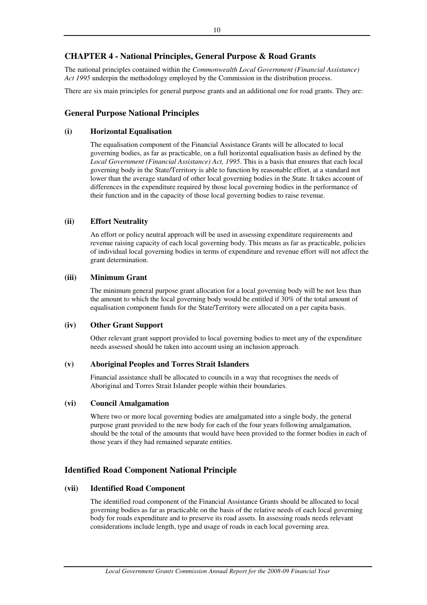# **CHAPTER 4 - National Principles, General Purpose & Road Grants**

The national principles contained within the *Commonwealth Local Government (Financial Assistance) Act 1995* underpin the methodology employed by the Commission in the distribution process.

There are six main principles for general purpose grants and an additional one for road grants. They are:

# **General Purpose National Principles**

### **(i) Horizontal Equalisation**

The equalisation component of the Financial Assistance Grants will be allocated to local governing bodies, as far as practicable, on a full horizontal equalisation basis as defined by the *Local Government (Financial Assistance) Act, 1995*. This is a basis that ensures that each local governing body in the State/Territory is able to function by reasonable effort, at a standard not lower than the average standard of other local governing bodies in the State. It takes account of differences in the expenditure required by those local governing bodies in the performance of their function and in the capacity of those local governing bodies to raise revenue.

### **(ii) Effort Neutrality**

An effort or policy neutral approach will be used in assessing expenditure requirements and revenue raising capacity of each local governing body. This means as far as practicable, policies of individual local governing bodies in terms of expenditure and revenue effort will not affect the grant determination.

### **(iii) Minimum Grant**

The minimum general purpose grant allocation for a local governing body will be not less than the amount to which the local governing body would be entitled if 30% of the total amount of equalisation component funds for the State/Territory were allocated on a per capita basis.

### **(iv) Other Grant Support**

Other relevant grant support provided to local governing bodies to meet any of the expenditure needs assessed should be taken into account using an inclusion approach.

### **(v) Aboriginal Peoples and Torres Strait Islanders**

Financial assistance shall be allocated to councils in a way that recognises the needs of Aboriginal and Torres Strait Islander people within their boundaries.

### **(vi) Council Amalgamation**

Where two or more local governing bodies are amalgamated into a single body, the general purpose grant provided to the new body for each of the four years following amalgamation, should be the total of the amounts that would have been provided to the former bodies in each of those years if they had remained separate entities.

# **Identified Road Component National Principle**

### **(vii) Identified Road Component**

The identified road component of the Financial Assistance Grants should be allocated to local governing bodies as far as practicable on the basis of the relative needs of each local governing body for roads expenditure and to preserve its road assets. In assessing roads needs relevant considerations include length, type and usage of roads in each local governing area.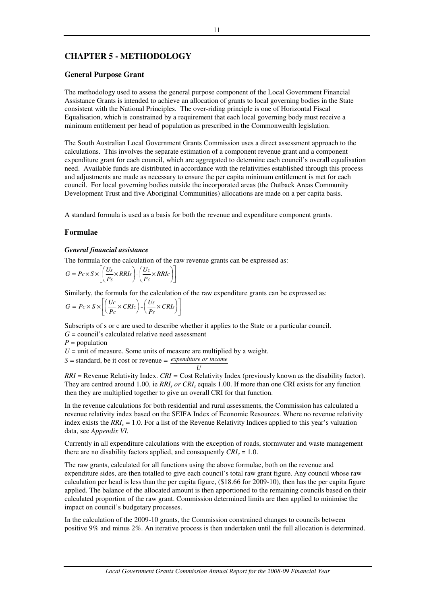# **CHAPTER 5 - METHODOLOGY**

### **General Purpose Grant**

The methodology used to assess the general purpose component of the Local Government Financial Assistance Grants is intended to achieve an allocation of grants to local governing bodies in the State consistent with the National Principles. The over-riding principle is one of Horizontal Fiscal Equalisation, which is constrained by a requirement that each local governing body must receive a minimum entitlement per head of population as prescribed in the Commonwealth legislation.

The South Australian Local Government Grants Commission uses a direct assessment approach to the calculations. This involves the separate estimation of a component revenue grant and a component expenditure grant for each council, which are aggregated to determine each council's overall equalisation need. Available funds are distributed in accordance with the relativities established through this process and adjustments are made as necessary to ensure the per capita minimum entitlement is met for each council. For local governing bodies outside the incorporated areas (the Outback Areas Community Development Trust and five Aboriginal Communities) allocations are made on a per capita basis.

A standard formula is used as a basis for both the revenue and expenditure component grants.

### **Formulae**

### *General financial assistance*

The formula for the calculation of the raw revenue grants can be expressed as:

$$
G = P c \times S \times \left[ \left( \frac{Us}{Ps} \times RRIs \right) - \left( \frac{Uc}{Pc} \times RRIc \right) \right]
$$

Similarly, the formula for the calculation of the raw expenditure grants can be expressed as:

$$
G = P_c \times S \times \left[ \left( \frac{U_c}{P_c} \times CRI_c \right) - \left( \frac{U_s}{P_s} \times CRI_s \right) \right]
$$

Subscripts of s or c are used to describe whether it applies to the State or a particular council.

*G* = council's calculated relative need assessment

 $P =$  population

 $U =$  unit of measure. Some units of measure are multiplied by a weight.

$$
S =
$$
 standard, be it cost or revenue  $=$  *expenditure or income*

*RRI* = Revenue Relativity Index. *CRI =* Cost Relativity Index (previously known as the disability factor). They are centred around 1.00, ie *RRI<sub>s</sub>* or *CRI<sub>s</sub>* equals 1.00. If more than one CRI exists for any function then they are multiplied together to give an overall CRI for that function.

In the revenue calculations for both residential and rural assessments, the Commission has calculated a revenue relativity index based on the SEIFA Index of Economic Resources. Where no revenue relativity index exists the *RRI<sup>c</sup>* = 1.0. For a list of the Revenue Relativity Indices applied to this year's valuation data, see *Appendix VI.*

Currently in all expenditure calculations with the exception of roads, stormwater and waste management there are no disability factors applied, and consequently  $CRI_c = 1.0$ .

The raw grants, calculated for all functions using the above formulae, both on the revenue and expenditure sides, are then totalled to give each council's total raw grant figure. Any council whose raw calculation per head is less than the per capita figure, (\$18.66 for 2009-10), then has the per capita figure applied. The balance of the allocated amount is then apportioned to the remaining councils based on their calculated proportion of the raw grant. Commission determined limits are then applied to minimise the impact on council's budgetary processes.

In the calculation of the 2009-10 grants, the Commission constrained changes to councils between positive 9% and minus 2%. An iterative process is then undertaken until the full allocation is determined.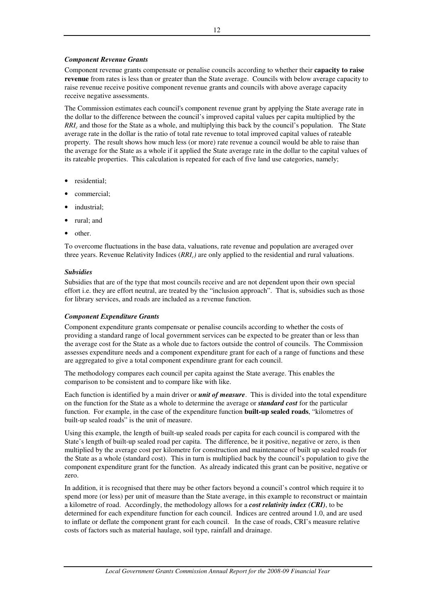### *Component Revenue Grants*

Component revenue grants compensate or penalise councils according to whether their **capacity to raise revenue** from rates is less than or greater than the State average. Councils with below average capacity to raise revenue receive positive component revenue grants and councils with above average capacity receive negative assessments.

The Commission estimates each council's component revenue grant by applying the State average rate in the dollar to the difference between the council's improved capital values per capita multiplied by the *RRI<sup>c</sup>* and those for the State as a whole, and multiplying this back by the council's population. The State average rate in the dollar is the ratio of total rate revenue to total improved capital values of rateable property. The result shows how much less (or more) rate revenue a council would be able to raise than the average for the State as a whole if it applied the State average rate in the dollar to the capital values of its rateable properties. This calculation is repeated for each of five land use categories, namely;

- residential;
- commercial;
- industrial;
- rural; and
- other.

To overcome fluctuations in the base data, valuations, rate revenue and population are averaged over three years. Revenue Relativity Indices (*RRIc)* are only applied to the residential and rural valuations.

### *Subsidies*

Subsidies that are of the type that most councils receive and are not dependent upon their own special effort i.e. they are effort neutral, are treated by the "inclusion approach". That is, subsidies such as those for library services, and roads are included as a revenue function.

### *Component Expenditure Grants*

Component expenditure grants compensate or penalise councils according to whether the costs of providing a standard range of local government services can be expected to be greater than or less than the average cost for the State as a whole due to factors outside the control of councils. The Commission assesses expenditure needs and a component expenditure grant for each of a range of functions and these are aggregated to give a total component expenditure grant for each council.

The methodology compares each council per capita against the State average. This enables the comparison to be consistent and to compare like with like.

Each function is identified by a main driver or *unit of measure*. This is divided into the total expenditure on the function for the State as a whole to determine the average or *standard cost* for the particular function. For example, in the case of the expenditure function **built-up sealed roads**, "kilometres of built-up sealed roads" is the unit of measure.

Using this example, the length of built-up sealed roads per capita for each council is compared with the State's length of built-up sealed road per capita. The difference, be it positive, negative or zero, is then multiplied by the average cost per kilometre for construction and maintenance of built up sealed roads for the State as a whole (standard cost). This in turn is multiplied back by the council's population to give the component expenditure grant for the function. As already indicated this grant can be positive, negative or zero.

In addition, it is recognised that there may be other factors beyond a council's control which require it to spend more (or less) per unit of measure than the State average, in this example to reconstruct or maintain a kilometre of road. Accordingly, the methodology allows for a *cost relativity index (CRI)*, to be determined for each expenditure function for each council. Indices are centred around 1.0, and are used to inflate or deflate the component grant for each council. In the case of roads, CRI's measure relative costs of factors such as material haulage, soil type, rainfall and drainage.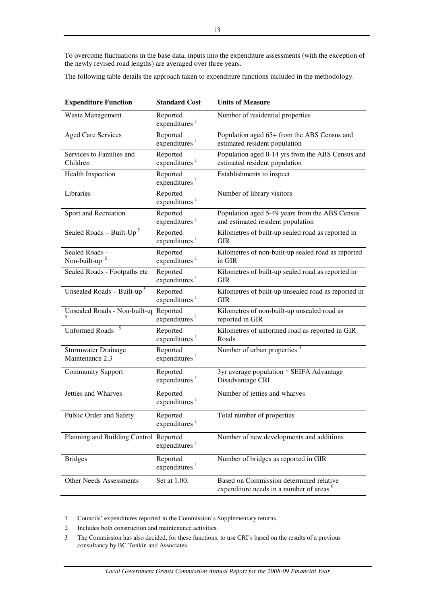To overcome fluctuations in the base data, inputs into the expenditure assessments (with the exception of the newly revised road lengths) are averaged over three years.

The following table details the approach taken to expenditure functions included in the methodology.

| <b>Expenditure Function</b>                   | <b>Standard Cost</b>                  | <b>Units of Measure</b>                                                                        |
|-----------------------------------------------|---------------------------------------|------------------------------------------------------------------------------------------------|
| <b>Waste Management</b>                       | Reported<br>expenditures <sup>1</sup> | Number of residential properties                                                               |
| <b>Aged Care Services</b>                     | Reported<br>expenditures $1$          | Population aged 65+ from the ABS Census and<br>estimated resident population                   |
| Services to Families and<br>Children          | Reported<br>expenditures <sup>1</sup> | Population aged 0-14 yrs from the ABS Census and<br>estimated resident population              |
| <b>Health Inspection</b>                      | Reported<br>expenditures <sup>1</sup> | Establishments to inspect                                                                      |
| Libraries                                     | Reported<br>expenditures <sup>1</sup> | Number of library visitors                                                                     |
| Sport and Recreation                          | Reported<br>expenditures $1$          | Population aged 5-49 years from the ABS Census<br>and estimated resident population            |
| Sealed Roads - Built- $Up^5$                  | Reported<br>expenditures $1$          | Kilometres of built-up sealed road as reported in<br><b>GIR</b>                                |
| Sealed Roads -<br>Non-built-up                | Reported<br>expenditures <sup>1</sup> | Kilometres of non-built-up sealed road as reported<br>in GIR                                   |
| Sealed Roads - Footpaths etc                  | Reported<br>expenditures <sup>1</sup> | Kilometres of built-up sealed road as reported in<br><b>GIR</b>                                |
| Unsealed Roads - Built-up <sup>5</sup>        | Reported<br>expenditures $1$          | Kilometres of built-up unsealed road as reported in<br><b>GIR</b>                              |
| Unsealed Roads - Non-built-up Reported        | expenditures $1$                      | Kilometres of non-built-up unsealed road as<br>reported in GIR                                 |
| <b>Unformed Roads</b>                         | Reported<br>expenditures <sup>1</sup> | Kilometres of unformed road as reported in GIR<br>Roads                                        |
| <b>Stormwater Drainage</b><br>Maintenance 2,3 | Reported<br>expenditures $1$          | Number of urban properties <sup>4</sup>                                                        |
| <b>Community Support</b>                      | Reported<br>expenditures $1$          | 3yr average population * SEIFA Advantage<br>Disadvantage CRI                                   |
| Jetties and Wharves                           | Reported<br>expenditures $1$          | Number of jetties and wharves                                                                  |
| Public Order and Safety                       | Reported<br>expenditures $1$          | Total number of properties                                                                     |
| Planning and Building Control Reported        | expenditures <sup>1</sup>             | Number of new developments and additions                                                       |
| <b>Bridges</b>                                | Reported<br>expenditures <sup>1</sup> | Number of bridges as reported in GIR                                                           |
| <b>Other Needs Assessments</b>                | Set at 1.00.                          | Based on Commission determined relative<br>expenditure needs in a number of areas <sup>6</sup> |

1 Councils' expenditures reported in the Commission's Supplementary returns.

- 2 Includes both construction and maintenance activities.
- 3 The Commission has also decided, for these functions, to use CRI's based on the results of a previous consultancy by BC Tonkin and Associates.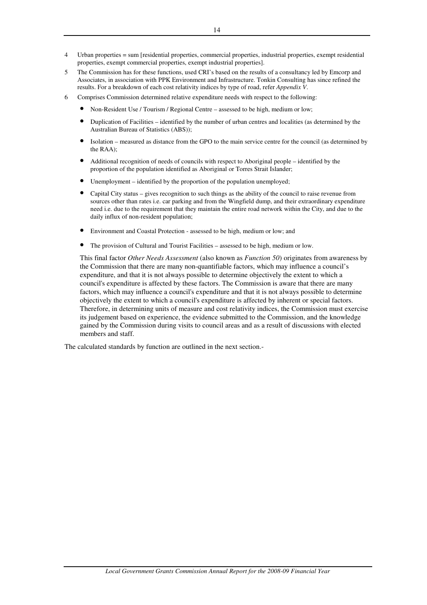- 4 Urban properties = sum [residential properties, commercial properties, industrial properties, exempt residential properties, exempt commercial properties, exempt industrial properties].
- 5 The Commission has for these functions, used CRI's based on the results of a consultancy led by Emcorp and Associates, in association with PPK Environment and Infrastructure. Tonkin Consulting has since refined the results. For a breakdown of each cost relativity indices by type of road, refer *Appendix V*.
- 6 Comprises Commission determined relative expenditure needs with respect to the following:
	- Non-Resident Use / Tourism / Regional Centre assessed to be high, medium or low;
	- Duplication of Facilities identified by the number of urban centres and localities (as determined by the Australian Bureau of Statistics (ABS));
	- Isolation measured as distance from the GPO to the main service centre for the council (as determined by the RAA);
	- Additional recognition of needs of councils with respect to Aboriginal people identified by the proportion of the population identified as Aboriginal or Torres Strait Islander;
	- Unemployment identified by the proportion of the population unemployed;
	- Capital City status gives recognition to such things as the ability of the council to raise revenue from sources other than rates i.e. car parking and from the Wingfield dump, and their extraordinary expenditure need i.e. due to the requirement that they maintain the entire road network within the City, and due to the daily influx of non-resident population;
	- Environment and Coastal Protection assessed to be high, medium or low; and
	- The provision of Cultural and Tourist Facilities assessed to be high, medium or low.

This final factor *Other Needs Assessment* (also known as *Function 50*) originates from awareness by the Commission that there are many non-quantifiable factors, which may influence a council's expenditure, and that it is not always possible to determine objectively the extent to which a council's expenditure is affected by these factors. The Commission is aware that there are many factors, which may influence a council's expenditure and that it is not always possible to determine objectively the extent to which a council's expenditure is affected by inherent or special factors. Therefore, in determining units of measure and cost relativity indices, the Commission must exercise its judgement based on experience, the evidence submitted to the Commission, and the knowledge gained by the Commission during visits to council areas and as a result of discussions with elected members and staff.

The calculated standards by function are outlined in the next section.-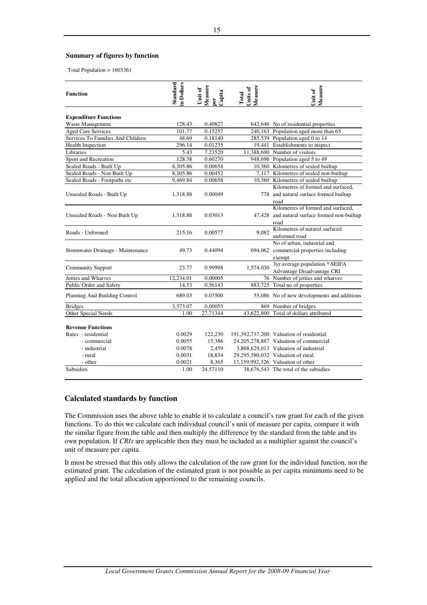### **Summary of figures by function**

Total Population = 1603361

| <b>Function</b>                   | <b>Standard</b><br>in Dollars | Measure<br>per<br>Capita<br>Unit of | Measure<br>Units of<br>Total | Measure<br>Unit of                            |
|-----------------------------------|-------------------------------|-------------------------------------|------------------------------|-----------------------------------------------|
| <b>Expenditure Functions</b>      |                               |                                     |                              |                                               |
| Waste Management                  | 128.43                        | 0.40827                             |                              | 642,646 No of residential properties          |
| <b>Aged Care Services</b>         | 101.77                        | 0.15257                             |                              | 240,163 Population aged more than 65          |
| Services To Families And Children | 48.69                         | 0.18140                             |                              | 285,539 Population aged 0 to 14               |
| <b>Health Inspection</b>          | 296.14                        | 0.01235                             |                              | 19,441 Establishments to inspect              |
| Libraries                         | 5.43                          | 7.23520                             |                              | 11,388,690 Number of visitors                 |
| Sport and Recreation              | 128.38                        | 0.60270                             |                              | 948,696 Population aged 5 to 49               |
| Sealed Roads - Built Up           | 8,305.86                      | 0.00658                             |                              | 10,360 Kilometres of sealed builtup           |
| Sealed Roads - Non Built Up       | 8,305.86                      | 0.00452                             |                              | 7,117 Kilometres of sealed non-builtup        |
| Sealed Roads - Footpaths etc      | 9,469.84                      | 0.00658                             |                              | 10,360 Kilometres of sealed builtup           |
|                                   |                               |                                     |                              | Kilometres of formed and surfaced.            |
| Unsealed Roads - Built Up         | 1,318.88                      | 0.00049                             |                              | 778 and natural surface formed builtup        |
|                                   |                               |                                     |                              | road                                          |
|                                   |                               |                                     |                              | Kilometres of formed and surfaced.            |
| Unsealed Roads - Non Built Up     | 1,318.88                      | 0.03013                             |                              | 47,428 and natural surface formed non-builtup |
|                                   |                               |                                     |                              | road                                          |
| Roads - Unformed                  | 215.16                        | 0.00577                             | 9.082                        | Kilometres of natural surfaced                |
|                                   |                               |                                     |                              | unformed road                                 |
|                                   |                               |                                     |                              | No of urban, industrial and                   |
| Stormwater Drainage - Maintenance | 49.73                         | 0.44094                             |                              | 694,062 commercial properties including       |
|                                   |                               |                                     |                              | exempt                                        |
| <b>Community Support</b>          | 23.77                         | 0.99998                             | 1,574,030                    | 3yr average population * SEIFA                |
|                                   |                               |                                     |                              | Advantage Disadvantage CRI                    |
| Jetties and Wharves               | 12,234.01                     | 0.00005                             |                              | 76 Number of jetties and wharves              |
| Public Order and Safety           | 14.53                         | 0.56143                             |                              | 883,725 Total no of properties                |
| Planning And Building Control     | 689.03                        | 0.03500                             |                              | 55,086 No of new developments and additions   |
| <b>Bridges</b>                    | 3,373.07                      | 0.00055                             |                              | 869 Number of bridges                         |
| Other Special Needs               | 1.00                          | 27.71344                            |                              | 43,622,800 Total of dollars attributed        |
| <b>Revenue Functions</b>          |                               |                                     |                              |                                               |
| Rates - residential               | 0.0029                        | 122,230                             |                              | 191,392,737,200 Valuation of residential      |
| - commercial                      | 0.0055                        | 15,386                              |                              | 24,205,278,887 Valuation of commercial        |
| - industrial                      | 0.0078                        | 2,459                               |                              | 3,868,629,013 Valuation of industrial         |
| - rural                           | 0.0031                        | 18,834                              |                              | 29,295,580,032 Valuation of rural             |
| - other                           | 0.0021                        | 8,365                               |                              | 13,159,992,326 Valuation of other             |
| <b>Subsidies</b>                  | 1.00                          | 24.57110                            |                              | 38,676,543 The total of the subsidies         |

### **Calculated standards by function**

The Commission uses the above table to enable it to calculate a council's raw grant for each of the given functions. To do this we calculate each individual council's unit of measure per capita, compare it with the similar figure from the table and then multiply the difference by the standard from the table and its own population. If *CRIs* are applicable then they must be included as a multiplier against the council's unit of measure per capita.

It must be stressed that this only allows the calculation of the raw grant for the individual function, not the estimated grant. The calculation of the estimated grant is not possible as per capita minimums need to be applied and the total allocation apportioned to the remaining councils.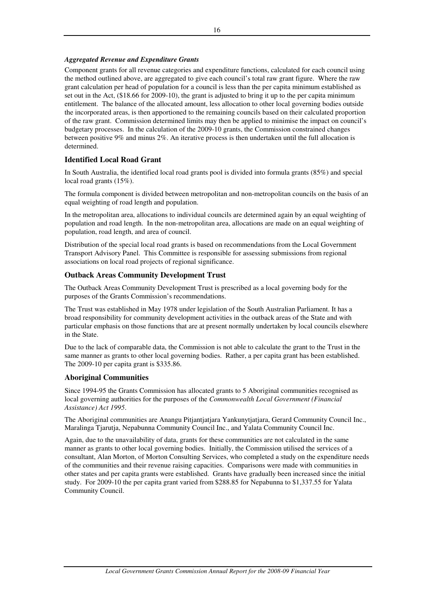### *Aggregated Revenue and Expenditure Grants*

Component grants for all revenue categories and expenditure functions, calculated for each council using the method outlined above, are aggregated to give each council's total raw grant figure. Where the raw grant calculation per head of population for a council is less than the per capita minimum established as set out in the Act, (\$18.66 for 2009-10), the grant is adjusted to bring it up to the per capita minimum entitlement. The balance of the allocated amount, less allocation to other local governing bodies outside the incorporated areas, is then apportioned to the remaining councils based on their calculated proportion of the raw grant. Commission determined limits may then be applied to minimise the impact on council's budgetary processes. In the calculation of the 2009-10 grants, the Commission constrained changes between positive 9% and minus 2%. An iterative process is then undertaken until the full allocation is determined.

# **Identified Local Road Grant**

In South Australia, the identified local road grants pool is divided into formula grants (85%) and special local road grants (15%).

The formula component is divided between metropolitan and non-metropolitan councils on the basis of an equal weighting of road length and population.

In the metropolitan area, allocations to individual councils are determined again by an equal weighting of population and road length. In the non-metropolitan area, allocations are made on an equal weighting of population, road length, and area of council.

Distribution of the special local road grants is based on recommendations from the Local Government Transport Advisory Panel. This Committee is responsible for assessing submissions from regional associations on local road projects of regional significance.

### **Outback Areas Community Development Trust**

The Outback Areas Community Development Trust is prescribed as a local governing body for the purposes of the Grants Commission's recommendations.

The Trust was established in May 1978 under legislation of the South Australian Parliament. It has a broad responsibility for community development activities in the outback areas of the State and with particular emphasis on those functions that are at present normally undertaken by local councils elsewhere in the State.

Due to the lack of comparable data, the Commission is not able to calculate the grant to the Trust in the same manner as grants to other local governing bodies. Rather, a per capita grant has been established. The 2009-10 per capita grant is \$335.86.

### **Aboriginal Communities**

Since 1994-95 the Grants Commission has allocated grants to 5 Aboriginal communities recognised as local governing authorities for the purposes of the *Commonwealth Local Government (Financial Assistance) Act 1995*.

The Aboriginal communities are Anangu Pitjantjatjara Yankunytjatjara, Gerard Community Council Inc., Maralinga Tjarutja, Nepabunna Community Council Inc., and Yalata Community Council Inc.

Again, due to the unavailability of data, grants for these communities are not calculated in the same manner as grants to other local governing bodies. Initially, the Commission utilised the services of a consultant, Alan Morton, of Morton Consulting Services, who completed a study on the expenditure needs of the communities and their revenue raising capacities. Comparisons were made with communities in other states and per capita grants were established. Grants have gradually been increased since the initial study. For 2009-10 the per capita grant varied from \$288.85 for Nepabunna to \$1,337.55 for Yalata Community Council.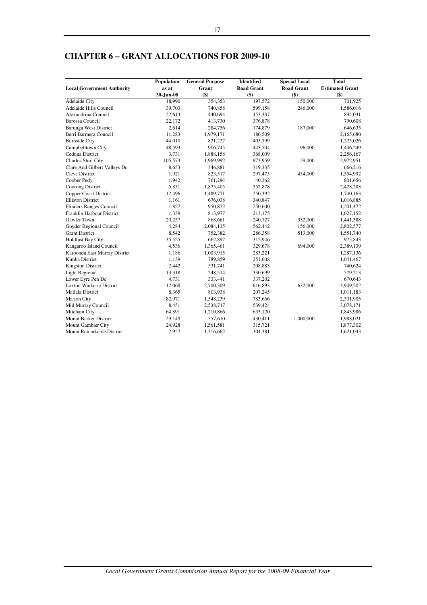|                                   | Population | <b>General Purpose</b> | <b>Identified</b> | <b>Special Local</b> | <b>Total</b>           |
|-----------------------------------|------------|------------------------|-------------------|----------------------|------------------------|
| <b>Local Government Authority</b> | as at      | Grant                  | <b>Road Grant</b> | <b>Road Grant</b>    | <b>Estimated Grant</b> |
|                                   | 30-Jun-08  | $($ \$)                | $($ \$)           | $($ \$)              | $($)$                  |
| Adelaide City                     | 18,990     | 354,353                | 197,572           | 150,000              | 701,925                |
| Adelaide Hills Council            | 39,703     | 740,858                | 599,158           | 246,000              | 1,586,016              |
| Alexandrina Council               | 22,613     | 440,694                | 453,337           |                      | 894,031                |
| <b>Barossa Council</b>            | 22,172     | 413,730                | 376,878           |                      | 790,608                |
| <b>Barunga West District</b>      | 2,614      | 284,756                | 174,879           | 187,000              | 646,635                |
| Berri Barmera Council             | 11,283     | 1,979,171              | 186,509           |                      | 2,165,680              |
| <b>Burnside City</b>              | 44,010     | 821,227                | 403,799           |                      | 1,225,026              |
| Campbelltown City                 | 48,593     | 906,745                | 443,504           | 96,000               | 1,446,249              |
| Ceduna District                   | 3,731      | 1,888,158              | 368,009           |                      | 2,256,167              |
| <b>Charles Sturt City</b>         | 105,573    | 1,969,992              | 973,959           | 29,000               | 2,972,951              |
| Clare And Gilbert Valleys Dc      | 8,653      | 346,881                | 319,335           |                      | 666,216                |
| <b>Cleve District</b>             | 1,921      | 823,517                | 297,475           | 434,000              | 1,554,992              |
| Coober Pedy                       | 1,942      | 761,294                | 40,362            |                      | 801,656                |
| Coorong District                  | 5,831      | 1,875,405              | 552,878           |                      | 2,428,283              |
| <b>Copper Coast District</b>      | 12,496     | 1,489,771              | 250,392           |                      | 1,740,163              |
| <b>Elliston District</b>          | 1,161      | 676,038                | 340,847           |                      | 1,016,885              |
| <b>Flinders Ranges Council</b>    | 1,827      | 950,872                | 250,600           |                      | 1,201,472              |
| Franklin Harbour District         | 1,339      | 813,977                | 213,175           |                      | 1,027,152              |
| Gawler Town                       | 20,257     | 868,661                | 240,727           | 332,000              | 1,441,388              |
| Goyder Regional Council           | 4,284      | 2,084,135              | 562,442           | 156,000              | 2,802,577              |
| <b>Grant District</b>             | 8,542      | 752,382                | 286,358           | 513,000              | 1,551,740              |
| <b>Holdfast Bay City</b>          | 35,525     | 662,897                | 312,946           |                      | 975,843                |
| Kangaroo Island Council           | 4,536      | 1,365,461              | 329,678           | 694,000              | 2,389,139              |
| Karoonda East Murray District     | 1,186      | 1,003,915              | 283,221           |                      | 1,287,136              |
| Kimba District                    | 1,139      | 789,859                | 251,608           |                      | 1,041,467              |
| Kingston District                 | 2,442      | 531,741                | 208,883           |                      | 740,624                |
| <b>Light Regional</b>             | 13,318     | 248,514                | 330,699           |                      | 579,213                |
| Lower Eyre Pen Dc                 | 4,731      | 333,441                | 337,202           |                      | 670,643                |
| <b>Loxton Waikerie District</b>   | 12,068     | 2,700,309              | 616,893           | 632,000              | 3,949,202              |
| <b>Mallala District</b>           | 8,365      | 803,938                | 207,245           |                      | 1,011,183              |
| Marion City                       | 82,971     | 1,548,239              | 783,666           |                      | 2,331,905              |
| Mid Murray Council                | 8,451      | 2,538,747              | 539,424           |                      | 3,078,171              |
| Mitcham City                      | 64,891     | 1,210,866              | 633,120           |                      | 1,843,986              |
| Mount Barker District             | 29,149     | 557,610                | 430,411           | 1,000,000            | 1,988,021              |
| Mount Gambier City                | 24,928     | 1,561,581              | 315,721           |                      | 1,877,302              |
| Mount Remarkable District         | 2,957      | 1,316,662              | 304,381           |                      | 1,621,043              |

# **CHAPTER 6 – GRANT ALLOCATIONS FOR 2009-10**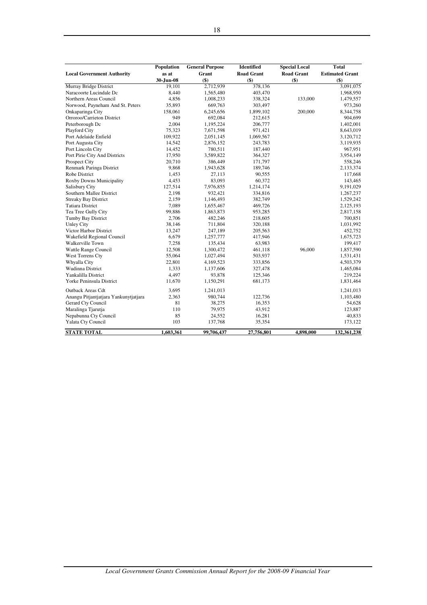|                                       | Population | <b>General Purpose</b> | <b>Identified</b> | <b>Special Local</b> | <b>Total</b>           |
|---------------------------------------|------------|------------------------|-------------------|----------------------|------------------------|
| <b>Local Government Authority</b>     | as at      | Grant                  | <b>Road Grant</b> | <b>Road Grant</b>    | <b>Estimated Grant</b> |
|                                       | 30-Jun-08  | $($ \$)                | $($)$             | $($ \$)              | $($ \$)                |
| Murray Bridge District                | 19,101     | 2,712,939              | 378,136           |                      | 3,091,075              |
| Naracoorte Lucindale Dc               | 8,440      | 1,565,480              | 403,470           |                      | 1,968,950              |
| Northern Areas Council                | 4,856      | 1,008,233              | 338,324           | 133,000              | 1,479,557              |
| Norwood, Payneham And St. Peters      | 35,893     | 669,763                | 303,497           |                      | 973,260                |
| Onkaparinga City                      | 158,061    | 6,245,656              | 1,899,102         | 200,000              | 8,344,758              |
| Orroroo/Carrieton District            | 949        | 692,084                | 212,615           |                      | 904,699                |
| Peterborough Dc                       | 2,004      | 1,195,224              | 206,777           |                      | 1,402,001              |
| Playford City                         | 75,323     | 7,671,598              | 971,421           |                      | 8,643,019              |
| Port Adelaide Enfield                 | 109,922    | 2,051,145              | 1,069,567         |                      | 3,120,712              |
| Port Augusta City                     | 14,542     | 2,876,152              | 243,783           |                      | 3,119,935              |
| Port Lincoln City                     | 14,452     | 780,511                | 187,440           |                      | 967,951                |
| Port Pirie City And Districts         | 17,950     | 3,589,822              | 364,327           |                      | 3,954,149              |
| Prospect City                         | 20,710     | 386,449                | 171,797           |                      | 558,246                |
| Renmark Paringa District              | 9,868      | 1,943,628              | 189,746           |                      | 2,133,374              |
| Robe District                         | 1,453      | 27,113                 | 90,555            |                      | 117,668                |
| Roxby Downs Municipality              | 4,453      | 83,093                 | 60,372            |                      | 143,465                |
| Salisbury City                        | 127,514    | 7,976,855              | 1,214,174         |                      | 9,191,029              |
| Southern Mallee District              | 2,198      | 932,421                | 334,816           |                      | 1,267,237              |
| <b>Streaky Bay District</b>           | 2,159      | 1,146,493              | 382,749           |                      | 1,529,242              |
| <b>Tatiara District</b>               | 7,089      | 1,655,467              | 469,726           |                      | 2,125,193              |
| Tea Tree Gully City                   | 99,886     | 1,863,873              | 953,285           |                      | 2,817,158              |
| <b>Tumby Bay District</b>             | 2,706      | 482,246                | 218,605           |                      | 700,851                |
| <b>Unley City</b>                     | 38,146     | 711,804                | 320,188           |                      | 1,031,992              |
| Victor Harbor District                | 13,247     | 247,189                | 205,563           |                      | 452,752                |
| Wakefield Regional Council            | 6,679      | 1,257,777              | 417,946           |                      | 1,675,723              |
| Walkerville Town                      | 7,258      | 135,434                | 63,983            |                      | 199,417                |
| Wattle Range Council                  | 12,508     | 1,300,472              | 461,118           | 96,000               | 1,857,590              |
| West Torrens Cty                      | 55,064     | 1,027,494              | 503,937           |                      | 1,531,431              |
| Whyalla City                          | 22,801     | 4,169,523              | 333,856           |                      | 4,503,379              |
| <b>Wudinna District</b>               | 1,333      | 1,137,606              | 327,478           |                      | 1,465,084              |
| Yankalilla District                   | 4,497      | 93,878                 | 125,346           |                      | 219,224                |
| Yorke Peninsula District              | 11,670     | 1,150,291              | 681,173           |                      | 1,831,464              |
| <b>Outback Areas Cdt</b>              | 3,695      | 1,241,013              |                   |                      | 1,241,013              |
| Anangu Pitjantjatjara Yankunytjatjara | 2,363      | 980,744                | 122,736           |                      | 1,103,480              |
| Gerard Cty Council                    | 81         | 38,275                 | 16,353            |                      | 54,628                 |
| Maralinga Tjarutja                    | 110        | 79,975                 | 43,912            |                      | 123,887                |
| Nepabunna Cty Council                 | 85         | 24,552                 | 16,281            |                      | 40,833                 |
| Yalata Cty Council                    | 103        | 137,768                | 35,354            |                      | 173,122                |
| <b>STATE TOTAL</b>                    | 1,603,361  | 99,706,437             | 27,756,801        | 4,898,000            | 132,361,238            |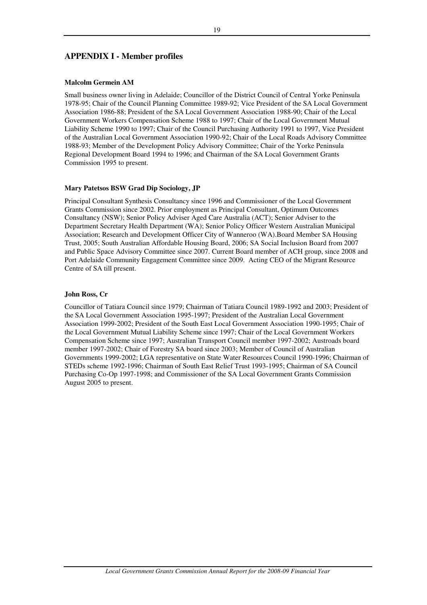### **APPENDIX I - Member profiles**

### **Malcolm Germein AM**

Small business owner living in Adelaide; Councillor of the District Council of Central Yorke Peninsula 1978-95; Chair of the Council Planning Committee 1989-92; Vice President of the SA Local Government Association 1986-88; President of the SA Local Government Association 1988-90; Chair of the Local Government Workers Compensation Scheme 1988 to 1997; Chair of the Local Government Mutual Liability Scheme 1990 to 1997; Chair of the Council Purchasing Authority 1991 to 1997, Vice President of the Australian Local Government Association 1990-92; Chair of the Local Roads Advisory Committee 1988-93; Member of the Development Policy Advisory Committee; Chair of the Yorke Peninsula Regional Development Board 1994 to 1996; and Chairman of the SA Local Government Grants Commission 1995 to present.

### **Mary Patetsos BSW Grad Dip Sociology, JP**

Principal Consultant Synthesis Consultancy since 1996 and Commissioner of the Local Government Grants Commission since 2002. Prior employment as Principal Consultant, Optimum Outcomes Consultancy (NSW); Senior Policy Adviser Aged Care Australia (ACT); Senior Adviser to the Department Secretary Health Department (WA); Senior Policy Officer Western Australian Municipal Association; Research and Development Officer City of Wanneroo (WA).Board Member SA Housing Trust, 2005; South Australian Affordable Housing Board, 2006; SA Social Inclusion Board from 2007 and Public Space Advisory Committee since 2007. Current Board member of ACH group, since 2008 and Port Adelaide Community Engagement Committee since 2009. Acting CEO of the Migrant Resource Centre of SA till present.

### **John Ross, Cr**

Councillor of Tatiara Council since 1979; Chairman of Tatiara Council 1989-1992 and 2003; President of the SA Local Government Association 1995-1997; President of the Australian Local Government Association 1999-2002; President of the South East Local Government Association 1990-1995; Chair of the Local Government Mutual Liability Scheme since 1997; Chair of the Local Government Workers Compensation Scheme since 1997; Australian Transport Council member 1997-2002; Austroads board member 1997-2002; Chair of Forestry SA board since 2003; Member of Council of Australian Governments 1999-2002; LGA representative on State Water Resources Council 1990-1996; Chairman of STEDs scheme 1992-1996; Chairman of South East Relief Trust 1993-1995; Chairman of SA Council Purchasing Co-Op 1997-1998; and Commissioner of the SA Local Government Grants Commission August 2005 to present.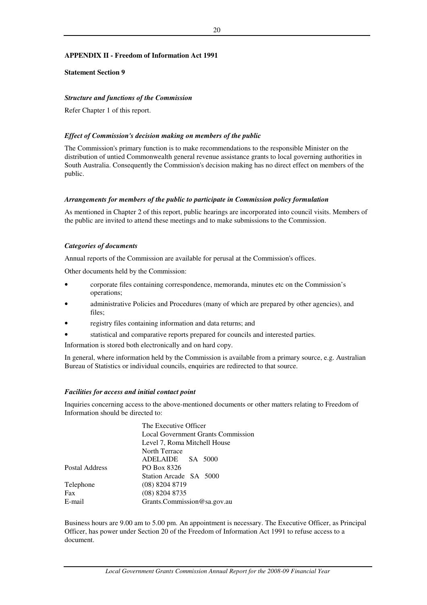### **APPENDIX II - Freedom of Information Act 1991**

### **Statement Section 9**

### *Structure and functions of the Commission*

Refer Chapter 1 of this report.

### *Effect of Commission's decision making on members of the public*

The Commission's primary function is to make recommendations to the responsible Minister on the distribution of untied Commonwealth general revenue assistance grants to local governing authorities in South Australia. Consequently the Commission's decision making has no direct effect on members of the public.

### *Arrangements for members of the public to participate in Commission policy formulation*

As mentioned in Chapter 2 of this report, public hearings are incorporated into council visits. Members of the public are invited to attend these meetings and to make submissions to the Commission.

### *Categories of documents*

Annual reports of the Commission are available for perusal at the Commission's offices.

Other documents held by the Commission:

- corporate files containing correspondence, memoranda, minutes etc on the Commission's operations;
- administrative Policies and Procedures (many of which are prepared by other agencies), and files;
- registry files containing information and data returns; and
- statistical and comparative reports prepared for councils and interested parties.

Information is stored both electronically and on hard copy.

In general, where information held by the Commission is available from a primary source, e.g. Australian Bureau of Statistics or individual councils, enquiries are redirected to that source.

### *Facilities for access and initial contact point*

Inquiries concerning access to the above-mentioned documents or other matters relating to Freedom of Information should be directed to:

|                | The Executive Officer              |  |  |  |  |  |
|----------------|------------------------------------|--|--|--|--|--|
|                | Local Government Grants Commission |  |  |  |  |  |
|                | Level 7, Roma Mitchell House       |  |  |  |  |  |
|                | North Terrace                      |  |  |  |  |  |
|                | ADELAIDE SA 5000                   |  |  |  |  |  |
| Postal Address | PO Box 8326                        |  |  |  |  |  |
|                | Station Arcade SA 5000             |  |  |  |  |  |
| Telephone      | $(08)$ 8204 8719                   |  |  |  |  |  |
| Fax            | $(08)$ 8204 8735                   |  |  |  |  |  |
| E-mail         | Grants.Commission@sa.gov.au        |  |  |  |  |  |

Business hours are 9.00 am to 5.00 pm. An appointment is necessary. The Executive Officer, as Principal Officer, has power under Section 20 of the Freedom of Information Act 1991 to refuse access to a document.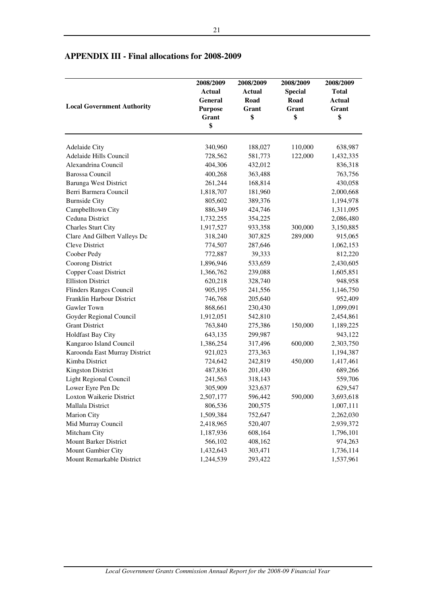| <b>Local Government Authority</b> | 2008/2009<br><b>Actual</b><br>General<br><b>Purpose</b><br>Grant<br>\$ | 2008/2009<br><b>Actual</b><br>Road<br>Grant<br>\$ | 2008/2009<br><b>Special</b><br>Road<br>Grant<br>\$ | 2008/2009<br><b>Total</b><br>Actual<br>Grant<br>\$ |
|-----------------------------------|------------------------------------------------------------------------|---------------------------------------------------|----------------------------------------------------|----------------------------------------------------|
|                                   |                                                                        |                                                   |                                                    |                                                    |
| <b>Adelaide City</b>              | 340,960                                                                | 188,027                                           | 110,000                                            | 638,987                                            |
| Adelaide Hills Council            | 728,562                                                                | 581,773                                           | 122,000                                            | 1,432,335                                          |
| Alexandrina Council               | 404,306                                                                | 432,012                                           |                                                    | 836,318                                            |
| <b>Barossa Council</b>            | 400,268                                                                | 363,488                                           |                                                    | 763,756                                            |
| <b>Barunga West District</b>      | 261,244                                                                | 168,814                                           |                                                    | 430,058                                            |
| Berri Barmera Council             | 1,818,707                                                              | 181,960                                           |                                                    | 2,000,668                                          |
| <b>Burnside City</b>              | 805,602                                                                | 389,376                                           |                                                    | 1,194,978                                          |
| Campbelltown City                 | 886,349                                                                | 424,746                                           |                                                    | 1,311,095                                          |
| Ceduna District                   | 1,732,255                                                              | 354,225                                           |                                                    | 2,086,480                                          |
| <b>Charles Sturt City</b>         | 1,917,527                                                              | 933,358                                           | 300,000                                            | 3,150,885                                          |
| Clare And Gilbert Valleys Dc      | 318,240                                                                | 307,825                                           | 289,000                                            | 915,065                                            |
| Cleve District                    | 774,507                                                                | 287,646                                           |                                                    | 1,062,153                                          |
| Coober Pedy                       | 772,887                                                                | 39,333                                            |                                                    | 812,220                                            |
| Coorong District                  | 1,896,946                                                              | 533,659                                           |                                                    | 2,430,605                                          |
| <b>Copper Coast District</b>      | 1,366,762                                                              | 239,088                                           |                                                    | 1,605,851                                          |
| <b>Elliston District</b>          | 620,218                                                                | 328,740                                           |                                                    | 948,958                                            |
| Flinders Ranges Council           | 905,195                                                                | 241,556                                           |                                                    | 1,146,750                                          |
| Franklin Harbour District         | 746,768                                                                | 205,640                                           |                                                    | 952,409                                            |
| Gawler Town                       | 868,661                                                                | 230,430                                           |                                                    | 1,099,091                                          |
| Goyder Regional Council           | 1,912,051                                                              | 542,810                                           |                                                    | 2,454,861                                          |
| <b>Grant District</b>             | 763,840                                                                | 275,386                                           | 150,000                                            | 1,189,225                                          |
| Holdfast Bay City                 | 643,135                                                                | 299,987                                           |                                                    | 943,122                                            |
| Kangaroo Island Council           | 1,386,254                                                              | 317,496                                           | 600,000                                            | 2,303,750                                          |
| Karoonda East Murray District     | 921,023                                                                | 273,363                                           |                                                    | 1,194,387                                          |
| Kimba District                    | 724,642                                                                | 242,819                                           | 450,000                                            | 1,417,461                                          |
| <b>Kingston District</b>          | 487,836                                                                | 201,430                                           |                                                    | 689,266                                            |
| Light Regional Council            | 241,563                                                                | 318,143                                           |                                                    | 559,706                                            |
| Lower Eyre Pen Dc                 | 305,909                                                                | 323,637                                           |                                                    | 629,547                                            |
| Loxton Waikerie District          | 2,507,177                                                              | 596,442                                           | 590,000                                            | 3,693,618                                          |
| Mallala District                  | 806,536                                                                | 200,575                                           |                                                    | 1,007,111                                          |
| <b>Marion City</b>                | 1,509,384                                                              | 752,647                                           |                                                    | 2,262,030                                          |
| Mid Murray Council                | 2,418,965                                                              | 520,407                                           |                                                    | 2,939,372                                          |
| Mitcham City                      | 1,187,936                                                              | 608,164                                           |                                                    | 1,796,101                                          |
| Mount Barker District             | 566,102                                                                | 408,162                                           |                                                    | 974,263                                            |
| Mount Gambier City                | 1,432,643                                                              | 303,471                                           |                                                    | 1,736,114                                          |
| Mount Remarkable District         | 1,244,539                                                              | 293,422                                           |                                                    | 1,537,961                                          |

# **APPENDIX III - Final allocations for 2008-2009**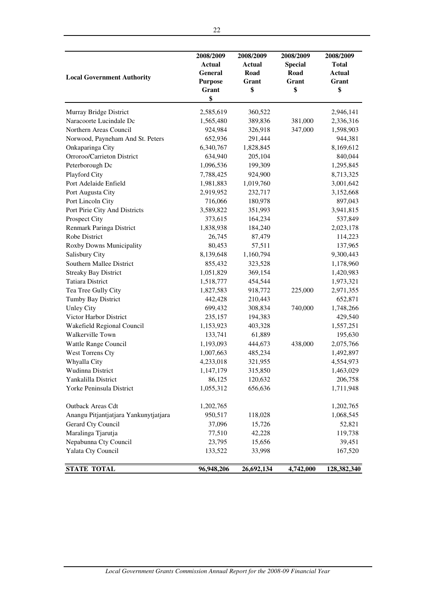| <b>Local Government Authority</b>     | 2008/2009<br><b>Actual</b><br>General<br><b>Purpose</b><br>Grant<br>\$ | 2008/2009<br><b>Actual</b><br>Road<br>Grant<br>\$ | 2008/2009<br><b>Special</b><br>Road<br>Grant<br>\$ | 2008/2009<br><b>Total</b><br><b>Actual</b><br>Grant<br>\$ |
|---------------------------------------|------------------------------------------------------------------------|---------------------------------------------------|----------------------------------------------------|-----------------------------------------------------------|
| Murray Bridge District                | 2,585,619                                                              | 360,522                                           |                                                    | 2,946,141                                                 |
| Naracoorte Lucindale Dc               | 1,565,480                                                              | 389,836                                           | 381,000                                            | 2,336,316                                                 |
| Northern Areas Council                | 924,984                                                                | 326,918                                           | 347,000                                            | 1,598,903                                                 |
| Norwood, Payneham And St. Peters      | 652,936                                                                | 291,444                                           |                                                    | 944,381                                                   |
| Onkaparinga City                      | 6,340,767                                                              | 1,828,845                                         |                                                    | 8,169,612                                                 |
| Orroroo/Carrieton District            | 634,940                                                                | 205,104                                           |                                                    | 840,044                                                   |
| Peterborough Dc                       | 1,096,536                                                              | 199,309                                           |                                                    | 1,295,845                                                 |
| Playford City                         | 7,788,425                                                              | 924,900                                           |                                                    | 8,713,325                                                 |
| Port Adelaide Enfield                 | 1,981,883                                                              | 1,019,760                                         |                                                    | 3,001,642                                                 |
| Port Augusta City                     | 2,919,952                                                              | 232,717                                           |                                                    | 3,152,668                                                 |
| Port Lincoln City                     | 716,066                                                                | 180,978                                           |                                                    | 897,043                                                   |
| Port Pirie City And Districts         | 3,589,822                                                              | 351,993                                           |                                                    | 3,941,815                                                 |
| Prospect City                         | 373,615                                                                | 164,234                                           |                                                    | 537,849                                                   |
| Renmark Paringa District              | 1,838,938                                                              | 184,240                                           |                                                    | 2,023,178                                                 |
| Robe District                         | 26,745                                                                 | 87,479                                            |                                                    | 114,223                                                   |
| Roxby Downs Municipality              | 80,453                                                                 | 57,511                                            |                                                    | 137,965                                                   |
| Salisbury City                        | 8,139,648                                                              | 1,160,794                                         |                                                    | 9,300,443                                                 |
| Southern Mallee District              | 855,432                                                                | 323,528                                           |                                                    | 1,178,960                                                 |
| <b>Streaky Bay District</b>           | 1,051,829                                                              | 369,154                                           |                                                    | 1,420,983                                                 |
| <b>Tatiara District</b>               | 1,518,777                                                              | 454,544                                           |                                                    | 1,973,321                                                 |
| Tea Tree Gully City                   | 1,827,583                                                              | 918,772                                           | 225,000                                            | 2,971,355                                                 |
| Tumby Bay District                    | 442,428                                                                | 210,443                                           |                                                    | 652,871                                                   |
| <b>Unley City</b>                     | 699,432                                                                | 308,834                                           | 740,000                                            | 1,748,266                                                 |
| Victor Harbor District                | 235,157                                                                | 194,383                                           |                                                    | 429,540                                                   |
| Wakefield Regional Council            | 1,153,923                                                              | 403,328                                           |                                                    | 1,557,251                                                 |
| Walkerville Town                      | 133,741                                                                | 61,889                                            |                                                    | 195,630                                                   |
| Wattle Range Council                  | 1,193,093                                                              | 444,673                                           | 438,000                                            | 2,075,766                                                 |
| West Torrens Cty                      | 1,007,663                                                              | 485,234                                           |                                                    | 1,492,897                                                 |
| Whyalla City                          | 4,233,018                                                              | 321,955                                           |                                                    | 4,554,973                                                 |
| Wudinna District                      | 1,147,179                                                              | 315,850                                           |                                                    | 1,463,029                                                 |
| Yankalilla District                   | 86,125                                                                 | 120,632                                           |                                                    | 206,758                                                   |
| Yorke Peninsula District              | 1,055,312                                                              | 656,636                                           |                                                    | 1,711,948                                                 |
| Outback Areas Cdt                     | 1,202,765                                                              |                                                   |                                                    | 1,202,765                                                 |
| Anangu Pitjantjatjara Yankunytjatjara | 950,517                                                                | 118,028                                           |                                                    | 1,068,545                                                 |
| Gerard Cty Council                    | 37,096                                                                 | 15,726                                            |                                                    | 52,821                                                    |
| Maralinga Tjarutja                    | 77,510                                                                 | 42,228                                            |                                                    | 119,738                                                   |
| Nepabunna Cty Council                 | 23,795                                                                 | 15,656                                            |                                                    | 39,451                                                    |
| Yalata Cty Council                    | 133,522                                                                | 33,998                                            |                                                    | 167,520                                                   |
| <b>STATE TOTAL</b>                    | 96,948,206                                                             | 26,692,134                                        | 4,742,000                                          | 128,382,340                                               |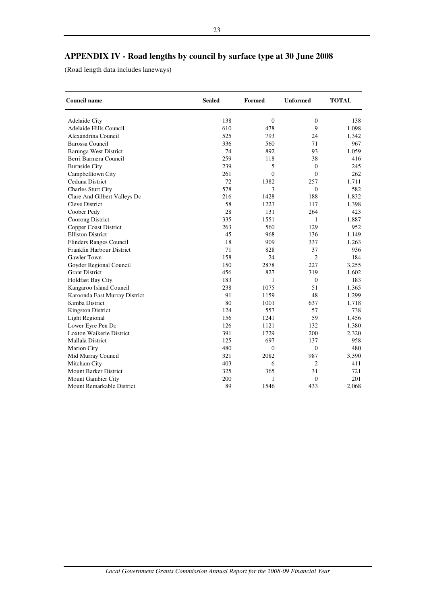# **APPENDIX IV - Road lengths by council by surface type at 30 June 2008**

(Road length data includes laneways)

| <b>Council name</b>            | <b>Sealed</b> | Formed       | <b>Unformed</b> | <b>TOTAL</b> |
|--------------------------------|---------------|--------------|-----------------|--------------|
| Adelaide City                  | 138           | $\mathbf{0}$ | $\mathbf{0}$    | 138          |
| Adelaide Hills Council         | 610           | 478          | 9               | 1,098        |
| Alexandrina Council            | 525           | 793          | 24              | 1,342        |
| <b>Barossa Council</b>         | 336           | 560          | 71              | 967          |
| Barunga West District          | 74            | 892          | 93              | 1,059        |
| Berri Barmera Council          | 259           | 118          | 38              | 416          |
| <b>Burnside City</b>           | 239           | 5            | $\mathbf{0}$    | 245          |
| Campbelltown City              | 261           | $\theta$     | $\Omega$        | 262          |
| Ceduna District                | 72            | 1382         | 257             | 1.711        |
| <b>Charles Sturt City</b>      | 578           | 3            | $\overline{0}$  | 582          |
| Clare And Gilbert Valleys Dc   | 216           | 1428         | 188             | 1,832        |
| Cleve District                 | 58            | 1223         | 117             | 1,398        |
| Coober Pedy                    | 28            | 131          | 264             | 423          |
| Coorong District               | 335           | 1551         | 1               | 1,887        |
| <b>Copper Coast District</b>   | 263           | 560          | 129             | 952          |
| <b>Elliston District</b>       | 45            | 968          | 136             | 1,149        |
| <b>Flinders Ranges Council</b> | 18            | 909          | 337             | 1,263        |
| Franklin Harbour District      | 71            | 828          | 37              | 936          |
| Gawler Town                    | 158           | 24           | $\overline{2}$  | 184          |
| Goyder Regional Council        | 150           | 2878         | 227             | 3,255        |
| <b>Grant District</b>          | 456           | 827          | 319             | 1,602        |
| <b>Holdfast Bay City</b>       | 183           | 1            | $\overline{0}$  | 183          |
| Kangaroo Island Council        | 238           | 1075         | 51              | 1,365        |
| Karoonda East Murray District  | 91            | 1159         | 48              | 1,299        |
| Kimba District                 | 80            | 1001         | 637             | 1,718        |
| <b>Kingston District</b>       | 124           | 557          | 57              | 738          |
| <b>Light Regional</b>          | 156           | 1241         | 59              | 1,456        |
| Lower Eyre Pen Dc              | 126           | 1121         | 132             | 1,380        |
| Loxton Waikerie District       | 391           | 1729         | 200             | 2,320        |
| <b>Mallala District</b>        | 125           | 697          | 137             | 958          |
| <b>Marion City</b>             | 480           | $\theta$     | $\mathbf{0}$    | 480          |
| Mid Murray Council             | 321           | 2082         | 987             | 3,390        |
| Mitcham City                   | 403           | 6            | $\overline{c}$  | 411          |
| Mount Barker District          | 325           | 365          | 31              | 721          |
| Mount Gambier City             | 200           | 1            | $\mathbf{0}$    | 201          |
| Mount Remarkable District      | 89            | 1546         | 433             | 2,068        |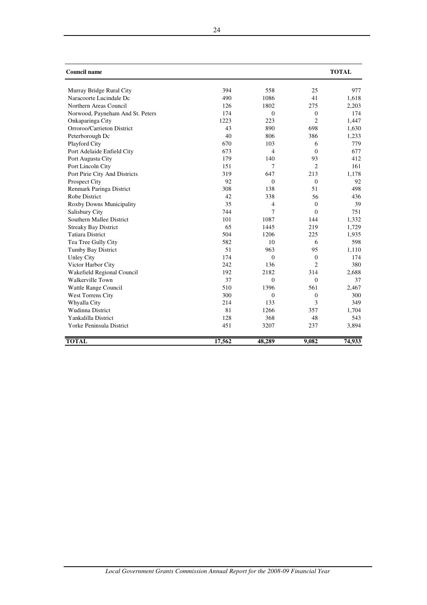| <b>Council name</b>              |        |                |                | <b>TOTAL</b> |
|----------------------------------|--------|----------------|----------------|--------------|
| Murray Bridge Rural City         | 394    | 558            | 25             | 977          |
| Naracoorte Lucindale Dc          | 490    | 1086           | 41             | 1,618        |
| Northern Areas Council           | 126    | 1802           | 275            | 2,203        |
| Norwood, Payneham And St. Peters | 174    | $\mathbf{0}$   | $\mathbf{0}$   | 174          |
| Onkaparinga City                 | 1223   | 223            | $\overline{c}$ | 1,447        |
| Orroroo/Carrieton District       | 43     | 890            | 698            | 1,630        |
| Peterborough Dc                  | 40     | 806            | 386            | 1,233        |
| Playford City                    | 670    | 103            | 6              | 779          |
| Port Adelaide Enfield City       | 673    | $\overline{4}$ | $\Omega$       | 677          |
| Port Augusta City                | 179    | 140            | 93             | 412          |
| Port Lincoln City                | 151    | 7              | 2              | 161          |
| Port Pirie City And Districts    | 319    | 647            | 213            | 1,178        |
| <b>Prospect City</b>             | 92     | $\Omega$       | $\Omega$       | 92           |
| Renmark Paringa District         | 308    | 138            | 51             | 498          |
| <b>Robe District</b>             | 42     | 338            | 56             | 436          |
| Roxby Downs Municipality         | 35     | 4              | $\Omega$       | 39           |
| Salisbury City                   | 744    | 7              | $\Omega$       | 751          |
| Southern Mallee District         | 101    | 1087           | 144            | 1,332        |
| <b>Streaky Bay District</b>      | 65     | 1445           | 219            | 1,729        |
| <b>Tatiara District</b>          | 504    | 1206           | 225            | 1,935        |
| Tea Tree Gully City              | 582    | 10             | 6              | 598          |
| Tumby Bay District               | 51     | 963            | 95             | 1,110        |
| <b>Unley City</b>                | 174    | $\Omega$       | $\Omega$       | 174          |
| Victor Harbor City               | 242    | 136            | 2              | 380          |
| Wakefield Regional Council       | 192    | 2182           | 314            | 2,688        |
| Walkerville Town                 | 37     | $\Omega$       | $\Omega$       | 37           |
| Wattle Range Council             | 510    | 1396           | 561            | 2,467        |
| West Torrens City                | 300    | $\Omega$       | $\mathbf{0}$   | 300          |
| Whyalla City                     | 214    | 133            | 3              | 349          |
| <b>Wudinna District</b>          | 81     | 1266           | 357            | 1,704        |
| Yankalilla District              | 128    | 368            | 48             | 543          |
| Yorke Peninsula District         | 451    | 3207           | 237            | 3,894        |
| <b>TOTAL</b>                     | 17,562 | 48,289         | 9,082          | 74,933       |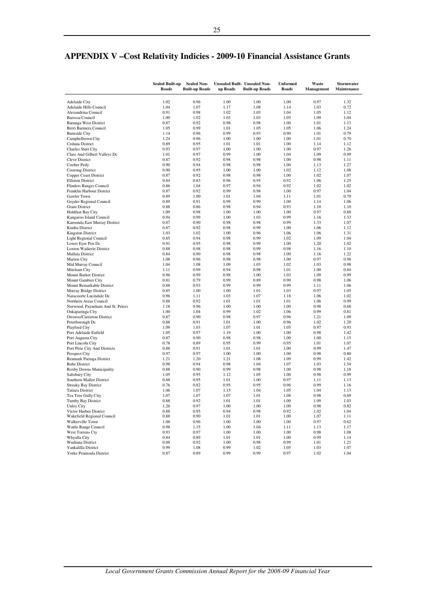|                                                        | <b>Sealed Built-up</b><br>Roads | <b>Sealed Non-</b><br><b>Built-up Roads</b> | up Roads     | Unsealed Built- Unsealed Non-<br><b>Built-up Roads</b> | <b>Unformed</b><br>Roads | Waste<br>Management | Stormwater<br>Maintenance |
|--------------------------------------------------------|---------------------------------|---------------------------------------------|--------------|--------------------------------------------------------|--------------------------|---------------------|---------------------------|
| <b>Adelaide City</b>                                   | 1.02                            | 0.96                                        | 1.00         | 1.00                                                   | 1.00                     | 0.97                | 1.32                      |
| Adelaide Hills Council                                 | 1.04                            | 1.07                                        | 1.17         | 1.08                                                   | 1.14                     | 1.03                | 0.72                      |
| Alexandrina Council                                    | 0.91                            | 0.98                                        | 1.02         | 1.03                                                   | 1.04                     | 1.05                | 1.12                      |
| <b>Barossa Council</b>                                 | 1.00                            | 1.02                                        | 1.03         | 1.03                                                   | 1.05                     | 1.09                | 1.04                      |
| <b>Barunga West District</b>                           | 0.87                            | 0.92                                        | 0.98         | 0.98                                                   | 1.00                     | 1.01                | 1.13                      |
| Berri Barmera Council                                  | 1.05                            | 0.99                                        | 1.01         | 1.05                                                   | 1.05                     | 1.06                | 1.24                      |
| <b>Burnside City</b>                                   | 1.14                            | 0.96                                        | 0.99         | 0.93                                                   | 0.90                     | 1.01                | 0.79                      |
| Campbelltown City                                      | 1.24                            | 0.96                                        | 1.00         | 1.00                                                   | 1.00                     | 1.01                | 0.70                      |
| Ceduna District                                        | 0.89                            | 0.95                                        | 1.01         | 1.01                                                   | 1.00                     | 1.14                | 1.12                      |
| Charles Sturt City                                     | 0.93                            | 0.97                                        | 1.00         | 1.00                                                   | 1.00                     | 0.97                | 1.26                      |
| Clare And Gilbert Valleys Dc                           | 1.01                            | 0.97                                        | 0.99         | 1.00                                                   | 1.04                     | 1.09                | 0.99                      |
| Cleve District                                         | 0.87                            | 0.92                                        | 0.98         | 0.98                                                   | 1.00                     | 0.98                | 1.11                      |
| Coober Pedy<br>Coorong District                        | 0.90                            | 0.94                                        | 0.98         | 0.98                                                   | 1.00                     | 1.13                | 1.27<br>1.08              |
| Copper Coast District                                  | 0.90<br>0.87                    | 0.95<br>0.92                                | 1.00<br>0.98 | 1.00<br>0.98                                           | 1.02<br>1.00             | 1.12<br>1.02        | 1.07                      |
| <b>Elliston District</b>                               | 0.84                            | 0.83                                        | 0.96         | 0.95                                                   | 0.92                     | 1.06                | 1.25                      |
| <b>Flinders Ranges Council</b>                         | 0.86                            | 1.04                                        | 0.97         | 0.94                                                   | 0.92                     | 1.02                | 1.02                      |
| Franklin Harbour District                              | 0.87                            | 0.92                                        | 0.99         | 0.98                                                   | 1.00                     | 0.97                | 1.04                      |
| Gawler Town                                            | 0.89                            | 1.00                                        | 1.01         | 1.04                                                   | 1.11                     | 1.01                | 0.70                      |
| Goyder Regional Council                                | 0.89                            | 0.91                                        | 0.99         | 0.99                                                   | 1.00                     | 1.14                | 1.06                      |
| <b>Grant District</b>                                  | 0.88                            | 0.86                                        | 0.98         | 0.94                                                   | 0.93                     | 1.10                | 1.10                      |
| <b>Holdfast Bay City</b>                               | 1.09                            | 0.98                                        | 1.00         | 1.00                                                   | 1.00                     | 0.97                | 0.88                      |
| Kangaroo Island Council                                | 0.94                            | 0.99                                        | 1.00         | 1.03                                                   | 0.99                     | 1.16                | 1.33                      |
| Karoonda East Murray District                          | 0.87                            | 0.90                                        | 0.98         | 0.98                                                   | 0.99                     | 1.33                | 1.07                      |
| Kimba District                                         | 0.87                            | 0.92                                        | 0.98         | 0.99                                                   | 1.00                     | 1.06                | 1.12                      |
| <b>Kingston District</b>                               | 1.03                            | 1.02                                        | 1.00         | 0.96                                                   | 1.06                     | 1.06                | 1.31                      |
| <b>Light Regional Council</b>                          | 0.85                            | 0.94                                        | 0.98         | 0.99                                                   | 1.02                     | 1.09                | 1.04                      |
| Lower Eyre Pen Dc                                      | 0.91                            | 0.95                                        | 0.98         | 0.99                                                   | 1.00                     | 1.20                | 1.02                      |
| Loxton Waikerie District                               | 0.88                            | 0.98                                        | 0.98         | 0.99                                                   | 0.98                     | 1.16                | 1.10                      |
| Mallala District                                       | 0.84                            | 0.90                                        | 0.98         | 0.98                                                   | 1.00                     | 1.16                | 1.22                      |
| <b>Marion City</b>                                     | 1.08                            | 0.96                                        | 0.98         | 0.98                                                   | 1.00                     | 0.97                | 0.96                      |
| Mid Murray Council                                     | 1.04                            | 1.08                                        | 1.09         | 1.03                                                   | 1.02                     | 1.03                | 0.98                      |
| Mitcham City                                           | 1.11                            | 0.99                                        | 0.94         | 0.98                                                   | 1.01                     | 1.00                | 0.84                      |
| <b>Mount Barker District</b>                           | 0.96                            | 0.99                                        | 0.98         | 1.00                                                   | 1.03                     | 1.09                | 0.99                      |
| Mount Gambier City                                     | 0.81                            | 0.79                                        | 0.99         | 0.89                                                   | 0.90                     | 0.98                | 1.06                      |
| Mount Remarkable District<br>Murray Bridge District    | 0.88<br>0.85                    | 0.93<br>1.00                                | 0.99<br>1.00 | 0.99<br>1.01                                           | 0.99<br>1.03             | 1.11<br>0.97        | 1.06<br>1.05              |
| Naracoorte Lucindale Dc                                | 0.96                            | 1.11                                        | 1.03         | 1.07                                                   | 1.18                     | 1.06                | 1.02                      |
| Northern Areas Council                                 | 0.88                            | 0.92                                        | 1.01         | 1.01                                                   | 1.01                     | 1.06                | 0.99                      |
| Norwood, Payneham And St. Peters                       | 1.18                            | 0.96                                        | 1.00         | 1.00                                                   | 1.00                     | 0.98                | 0.68                      |
| Onkaparinga City                                       | 1.00                            | 1.04                                        | 0.99         | 1.02                                                   | 1.06                     | 0.99                | 0.81                      |
| Orroroo/Carrieton District                             | 0.87                            | 0.90                                        | 0.98         | 0.97                                                   | 0.96                     | 1.21                | 1.09                      |
| Peterborough Dc                                        | 0.88                            | 0.91                                        | 1.01         | 1.00                                                   | 0.96                     | 1.02                | 1.20                      |
| Playford City                                          | 1.09                            | 1.03                                        | 1.07         | 1.01                                                   | 1.05                     | 0.97                | 0.93                      |
| Port Adelaide Enfield                                  | 1.05                            | 0.97                                        | 1.19         | 1.00                                                   | 1.00                     | 0.98                | 1.42                      |
| Port Augusta City                                      | 0.87                            | 0.90                                        | 0.98         | 0.98                                                   | 1.00                     | 1.00                | 1.15                      |
| Port Lincoln City                                      | 0.78                            | 0.89                                        | 0.95         | 0.99                                                   | 0.95                     | 1.01                | 1.07                      |
| Port Pirie City And Districts                          | 0.88                            | 0.91                                        | 1.01         | 1.01                                                   | 1.00                     | 0.99                | 1.47                      |
| Prospect City                                          | 0.97                            | 0.97                                        | 1.00         | 1.00                                                   | 1.00                     | 0.98                | 0.80                      |
| Renmark Paringa District                               | 1.21                            | 1.20                                        | 1.21         | 1.08                                                   | 1.09                     | 0.99                | 1.42                      |
| Robe District                                          | 0.98                            | 0.94                                        | 0.98         | 1.04                                                   | 1.07                     | 1.03                | 1.54                      |
| Roxby Downs Municipality                               | 0.88                            | 0.90                                        | 0.99         | 0.98                                                   | 1.00                     | 0.98                | 1.18                      |
| Salisbury City                                         | 1.05                            | 0.95                                        | 1.12         | 1.05                                                   | 1.00                     | 0.98                | 0.99                      |
| Southern Mallee District                               | 0.88                            | 0.95                                        | 1.01         | 1.00                                                   | 0.97                     | 1.11                | 1.13                      |
| <b>Streaky Bay District</b><br><b>Tatiara District</b> | 0.76<br>1.06                    | 0.82<br>1.07                                | 0.95<br>1.15 | 0.95<br>1.04                                           | 0.96<br>1.05             | 0.99<br>1.04        | 1.16<br>1.13              |
| Tea Tree Gully City                                    | 1.07                            | 1.07                                        | 1.07         | 1.01                                                   | 1.08                     | 0.98                | 0.69                      |
| Tumby Bay District                                     | 0.88                            | 0.92                                        | 1.01         | 1.01                                                   | 1.00                     | 1.09                | 1.03                      |
| <b>Unley City</b>                                      | 1.26                            | 0.97                                        | 1.00         | 1.00                                                   | 1.00                     | 0.98                | 0.82                      |
| Victor Harbor District                                 | 0.88                            | 0.95                                        | 0.94         | 0.98                                                   | 0.92                     | 1.02                | 1.04                      |
| Wakefield Regional Council                             | 0.88                            | 0.90                                        | 1.01         | 1.01                                                   | 1.00                     | 1.07                | 1.11                      |
| Walkerville Town                                       | 1.06                            | 0.96                                        | 1.00         | 1.00                                                   | 1.00                     | 0.97                | 0.62                      |
| Wattle Range Council                                   | 0.98                            | 1.15                                        | 1.00         | 1.04                                                   | 1.11                     | 1.13                | 1.17                      |
| <b>West Torrens Cty</b>                                | 0.93                            | 0.97                                        | 1.00         | 1.00                                                   | 1.00                     | 0.98                | 1.08                      |
| Whyalla City                                           | 0.84                            | 0.89                                        | 1.01         | 1.01                                                   | 1.00                     | 0.99                | 1.14                      |
| Wudinna District                                       | 0.88                            | 0.92                                        | 1.00         | 0.98                                                   | 0.99                     | 1.01                | 1.21                      |
| Yankalilla District                                    | 0.99                            | 1.08                                        | 0.99         | 1.02                                                   | 1.05                     | 1.03                | 1.07                      |
| Yorke Peninsula District                               | 0.87                            | 0.89                                        | 0.99         | 0.99                                                   | 0.97                     | 1.02                | 1.04                      |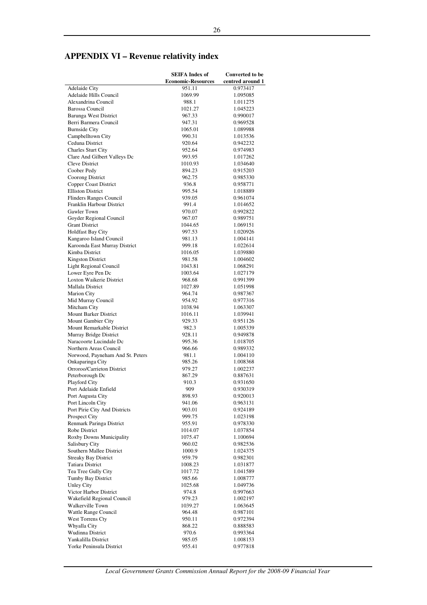# **APPENDIX VI – Revenue relativity index**

|                                                       | <b>SEIFA</b> Index of     | <b>Converted to be</b> |
|-------------------------------------------------------|---------------------------|------------------------|
|                                                       | <b>Economic-Resources</b> | centred around 1       |
| <b>Adelaide City</b>                                  | 951.11                    | 0.973417               |
| Adelaide Hills Council                                | 1069.99                   | 1.095085               |
| Alexandrina Council                                   | 988.1                     | 1.011275               |
| <b>Barossa Council</b>                                | 1021.27                   | 1.045223               |
| <b>Barunga West District</b><br>Berri Barmera Council | 967.33<br>947.31          | 0.990017<br>0.969528   |
| <b>Burnside City</b>                                  | 1065.01                   | 1.089988               |
| Campbelltown City                                     | 990.31                    | 1.013536               |
| Ceduna District                                       | 920.64                    | 0.942232               |
| <b>Charles Sturt City</b>                             | 952.64                    | 0.974983               |
| Clare And Gilbert Valleys Dc                          | 993.95                    | 1.017262               |
| <b>Cleve District</b>                                 | 1010.93                   | 1.034640               |
| Coober Pedy                                           | 894.23                    | 0.915203               |
| Coorong District                                      | 962.75                    | 0.985330               |
| Copper Coast District                                 | 936.8                     | 0.958771               |
| <b>Elliston District</b>                              | 995.54                    | 1.018889               |
| Flinders Ranges Council                               | 939.05                    | 0.961074               |
| Franklin Harbour District                             | 991.4                     | 1.014652               |
| Gawler Town                                           | 970.07                    | 0.992822               |
| Goyder Regional Council                               | 967.07                    | 0.989751               |
| <b>Grant District</b>                                 | 1044.65                   | 1.069151               |
| <b>Holdfast Bay City</b>                              | 997.53                    | 1.020926               |
| Kangaroo Island Council                               | 981.13                    | 1.004141               |
| Karoonda East Murray District<br>Kimba District       | 999.18                    | 1.022614               |
|                                                       | 1016.05                   | 1.039880<br>1.004602   |
| <b>Kingston District</b><br>Light Regional Council    | 981.58<br>1043.81         | 1.068291               |
| Lower Eyre Pen Dc                                     | 1003.64                   | 1.027179               |
| Loxton Waikerie District                              | 968.68                    | 0.991399               |
| Mallala District                                      | 1027.89                   | 1.051998               |
| <b>Marion City</b>                                    | 964.74                    | 0.987367               |
| Mid Murray Council                                    | 954.92                    | 0.977316               |
| Mitcham City                                          | 1038.94                   | 1.063307               |
| <b>Mount Barker District</b>                          | 1016.11                   | 1.039941               |
| Mount Gambier City                                    | 929.33                    | 0.951126               |
| Mount Remarkable District                             | 982.3                     | 1.005339               |
| Murray Bridge District                                | 928.11                    | 0.949878               |
| Naracoorte Lucindale Dc                               | 995.36                    | 1.018705               |
| Northern Areas Council                                | 966.66                    | 0.989332               |
| Norwood, Payneham And St. Peters                      | 981.1                     | 1.004110               |
| Onkaparinga City<br>Orroroo/Carrieton District        | 985.26                    | 1.008368               |
| Peterborough Dc                                       | 979.27<br>867.29          | 1.002237<br>0.887631   |
| Playford City                                         | 910.3                     | 0.931650               |
| Port Adelaide Enfield                                 | 909                       | 0.930319               |
| Port Augusta City                                     | 898.93                    | 0.920013               |
| Port Lincoln City                                     | 941.06                    | 0.963131               |
| Port Pirie City And Districts                         | 903.01                    | 0.924189               |
| Prospect City                                         | 999.75                    | 1.023198               |
| Renmark Paringa District                              | 955.91                    | 0.978330               |
| Robe District                                         | 1014.07                   | 1.037854               |
| Roxby Downs Municipality                              | 1075.47                   | 1.100694               |
| Salisbury City                                        | 960.02                    | 0.982536               |
| Southern Mallee District                              | 1000.9                    | 1.024375               |
| <b>Streaky Bay District</b>                           | 959.79                    | 0.982301               |
| <b>Tatiara District</b>                               | 1008.23                   | 1.031877               |
| Tea Tree Gully City                                   | 1017.72                   | 1.041589               |
| Tumby Bay District                                    | 985.66                    | 1.008777               |
| <b>Unley City</b>                                     | 1025.68                   | 1.049736               |
| Victor Harbor District                                | 974.8                     | 0.997663               |
| Wakefield Regional Council<br>Walkerville Town        | 979.23                    | 1.002197<br>1.063645   |
| Wattle Range Council                                  | 1039.27<br>964.48         | 0.987101               |
| West Torrens Cty                                      | 950.11                    | 0.972394               |
| Whyalla City                                          | 868.22                    | 0.888583               |
| Wudinna District                                      | 970.6                     | 0.993364               |
| Yankalilla District                                   | 985.05                    | 1.008153               |
| Yorke Peninsula District                              | 955.41                    | 0.977818               |

*Local Government Grants Commission Annual Report for the 2008-09 Financial Year*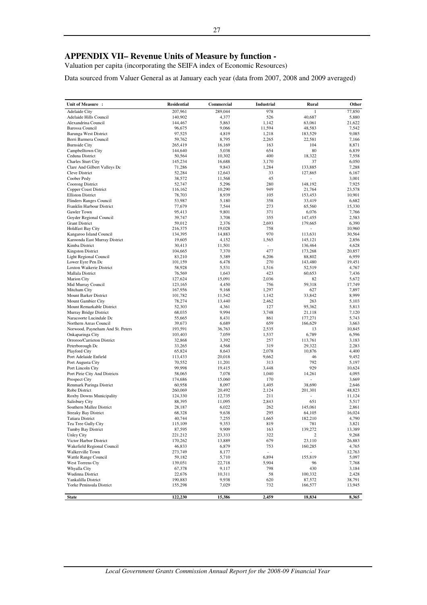# **APPENDIX VII– Revenue Units of Measure by function -**

Valuation per capita (incorporating the SEIFA index of Economic Resources)

Data sourced from Valuer General as at January each year (data from 2007, 2008 and 2009 averaged)

| Unit of Measure :                                  | <b>Residential</b> | Commercial      | Industrial               | Rural                    | Other            |
|----------------------------------------------------|--------------------|-----------------|--------------------------|--------------------------|------------------|
| <b>Adelaide City</b>                               | 207,961            | 289,044         | 978                      |                          | 77,850           |
| Adelaide Hills Council                             | 140.902            | 4,377           | 526                      | 40,687                   | 5,880            |
| Alexandrina Council                                | 144,467            | 5,863           | 1,142                    | 63,061                   | 21,622           |
| <b>Barossa Council</b>                             | 96,675             | 9,066           | 11,594                   | 48,583                   | 7,542            |
| <b>Barunga West District</b>                       | 97,525             | 4,819           | 1,218                    | 183,529                  | 9,085            |
| Berri Barmera Council<br><b>Burnside City</b>      | 59,762<br>265,419  | 8,795<br>16,169 | 2,265<br>163             | 22,581<br>104            | 7,166<br>8,871   |
| Campbelltown City                                  | 144,640            | 5,038           | 654                      | 80                       | 6,839            |
| Ceduna District                                    | 50,564             | 10,302          | 400                      | 18,322                   | 7,558            |
| Charles Sturt City                                 | 145,234            | 16,688          | 3,170                    | 37                       | 6,050            |
| Clare And Gilbert Valleys Dc                       | 71,286             | 9,843           | 1,284                    | 133,885                  | 7,288            |
| Cleve District                                     | 52,284             | 12,643          | 33                       | 127,865                  | 6,167            |
| Coober Pedy                                        | 38,572             | 11,568          | 45                       |                          | 3,001            |
| Coorong District                                   | 52,747             | 5,296           | 280                      | 148,192                  | 7,925            |
| Copper Coast District<br><b>Elliston District</b>  | 116,162<br>78,703  | 10,290<br>8,939 | 949<br>105               | 21,764<br>153,453        | 23,578<br>10,901 |
| <b>Flinders Ranges Council</b>                     | 53,987             | 5,180           | 358                      | 33,419                   | 6,682            |
| Franklin Harbour District                          | 77,679             | 7,544           | 273                      | 65,560                   | 15,330           |
| Gawler Town                                        | 95,413             | 9,801           | 371                      | 6,076                    | 7,766            |
| Goyder Regional Council                            | 39,747             | 3,708           | 355                      | 147,455                  | 2,583            |
| <b>Grant District</b>                              | 59,012             | 2,376           | 2,693                    | 179,665                  | 6,390            |
| <b>Holdfast Bay City</b>                           | 216,375            | 19,028          | 758                      | ÷                        | 10,960           |
| Kangaroo Island Council                            | 134,395            | 14,883          | 970                      | 113,631                  | 30,564           |
| Karoonda East Murray District                      | 19,605             | 4,152           | 1,565                    | 145,121                  | 2,856            |
| Kimba District                                     | 30,413             | 11,501          | $\frac{1}{2}$            | 136,464                  | 4,628            |
| <b>Kingston District</b><br>Light Regional Council | 104,665<br>83,210  | 7,370<br>5,389  | 477<br>6,206             | 173,268<br>88,802        | 20,857<br>6,959  |
| Lower Eyre Pen Dc                                  | 101,159            | 6,478           | 270                      | 143,480                  | 19,451           |
| Loxton Waikerie District                           | 58,928             | 5,531           | 1,516                    | 52,519                   | 4,767            |
| Mallala District                                   | 76,569             | 1,643           | 423                      | 60,653                   | 7,436            |
| <b>Marion City</b>                                 | 127,624            | 15,091          | 2,036                    | 82                       | 5,672            |
| Mid Murray Council                                 | 123,165            | 4,450           | 756                      | 59,318                   | 17,749           |
| Mitcham City                                       | 167,956            | 9,168           | 1,297                    | 627                      | 7,897            |
| Mount Barker District                              | 101,782            | 11,542          | 1,142                    | 33,842                   | 8,999            |
| Mount Gambier City                                 | 78,274             | 13,440          | 2,462                    | 263                      | 5,103            |
| Mount Remarkable District                          | 52,303<br>68,035   | 4,361<br>9,994  | 127<br>3,748             | 95,362<br>21,118         | 5,813<br>7,120   |
| Murray Bridge District<br>Naracoorte Lucindale Dc  | 55,665             | 8,431           | 861                      | 177,271                  | 5,743            |
| Northern Areas Council                             | 39,673             | 6,689           | 659                      | 166,629                  | 3,663            |
| Norwood, Payneham And St. Peters                   | 193,591            | 36,763          | 2,535                    | 13                       | 10,845           |
| Onkaparinga City                                   | 103,403            | 7,059           | 1,537                    | 6,789                    | 6,596            |
| Orroroo/Carrieton District                         | 32,868             | 3,392           | 257                      | 113,761                  | 3,183            |
| Peterborough Dc                                    | 33,265             | 4,568           | 319                      | 29,322                   | 2,283            |
| Playford City                                      | 65,824             | 8,643           | 2,078                    | 10,876                   | 4,400            |
| Port Adelaide Enfield                              | 113,433            | 20,018          | 9,662                    | 46                       | 9,452            |
| Port Augusta City                                  | 70,552             | 11,201          | 313                      | 792                      | 5,197            |
| Port Lincoln City<br>Port Pirie City And Districts | 99,998<br>58,065   | 19,415<br>7,078 | 3,448<br>1,040           | 929<br>14,261            | 10,624<br>4,095  |
| <b>Prospect City</b>                               | 174,686            | 15,060          | 170                      |                          | 3,669            |
| Renmark Paringa District                           | 60,958             | 8,097           | 1,405                    | 38,690                   | 2,646            |
| Robe District                                      | 260,069            | 20,492          | 2,124                    | 201,301                  | 48,823           |
| Roxby Downs Municipality                           | 124,330            | 12,735          | 211                      | $\overline{\phantom{a}}$ | 11,124           |
| Salisbury City                                     | 88,395             | 11,095          | 2,843                    | 651                      | 5,517            |
| Southern Mallee District                           | 28,187             | 6,022           | 262                      | 145.061                  | 2,861            |
| <b>Streaky Bay District</b>                        | 68,328             | 9,638           | 295                      | 64,105                   | 16,024           |
| <b>Tatiara District</b>                            | 40,744             | 7,255           | 1,665<br>819             | 182,210                  | 4,790            |
| Tea Tree Gully City<br>Tumby Bay District          | 115,109<br>87,595  | 9,353<br>9,909  | 163                      | 781<br>139,272           | 3,821<br>13,389  |
| <b>Unley City</b>                                  | 221,212            | 23,333          | 322                      | 2                        | 9,268            |
| Victor Harbor District                             | 170,262            | 13,889          | 679                      | 23,110                   | 26,883           |
| Wakefield Regional Council                         | 46,833             | 6,879           | 753                      | 160,285                  | 4,765            |
| Walkerville Town                                   | 273,749            | 8,177           | $\overline{\phantom{a}}$ | $\overline{\phantom{a}}$ | 12,763           |
| Wattle Range Council                               | 59,182             | 5,710           | 6,894                    | 155,819                  | 5,097            |
| West Torrens Cty                                   | 139,051            | 22,718          | 5,904                    | 96                       | 7,768            |
| Whyalla City                                       | 67,378             | 9,117           | 798                      | 430                      | 3,184            |
| Wudinna District                                   | 22,676             | 10,311          | 58                       | 100,332                  | 2,428            |
| Yankalilla District<br>Yorke Peninsula District    | 190,883<br>155,298 | 9,938<br>7,029  | 620<br>732               | 87,572<br>166,577        | 38,791<br>13,945 |
|                                                    |                    |                 |                          |                          |                  |
| <b>State</b>                                       | 122,230            | 15,386          | 2,459                    | 18,834                   | 8,365            |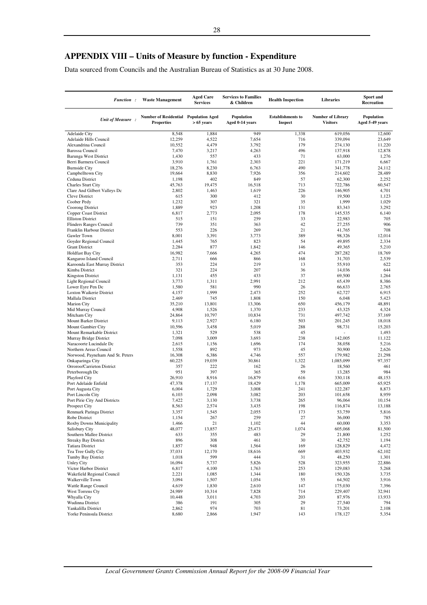Data sourced from Councils and the Australian Bureau of Statistics as at 30 June 2008.

| <b>Function:</b>                                            | <b>Waste Management</b>                                    | <b>Aged Care</b><br><b>Services</b> | <b>Services to Families</b><br>& Children | <b>Health Inspection</b>                   | <b>Libraries</b>                            | Sport and<br>Recreation              |
|-------------------------------------------------------------|------------------------------------------------------------|-------------------------------------|-------------------------------------------|--------------------------------------------|---------------------------------------------|--------------------------------------|
| Unit of Measure :                                           | Number of Residential Population Aged<br><b>Properties</b> | $> 65$ years                        | Population<br>Aged 0-14 years             | <b>Establishments to</b><br><b>Inspect</b> | <b>Number of Library</b><br><b>Visitors</b> | <b>Population</b><br>Aged 5-49 years |
| <b>Adelaide City</b>                                        | 8,548                                                      | 1,884                               | 949                                       | 1,338                                      | 619,056                                     | 12,600                               |
| Adelaide Hills Council                                      | 12,259                                                     | 4,522                               | 7,654                                     | 716                                        | 339,094                                     | 23,649                               |
| Alexandrina Council                                         | 10,552                                                     | 4,479                               | 3,792                                     | 179                                        | 274,130                                     | 11,220                               |
| <b>Barossa Council</b><br>Barunga West District             | 7,470<br>1,430                                             | 3,217<br>557                        | 4,263<br>433                              | 496<br>71                                  | 137,918<br>63,000                           | 12,878<br>1,276                      |
| Berri Barmera Council                                       | 3,910                                                      | 1,761                               | 2,303                                     | 221                                        | 171,219                                     | 6,667                                |
| <b>Burnside City</b>                                        | 18,276                                                     | 8,230                               | 6,763                                     | 490                                        | 341,778                                     | 24.112                               |
| Campbelltown City                                           | 19,664                                                     | 8,830                               | 7,926                                     | 356                                        | 214,602                                     | 28,489                               |
| Ceduna District                                             | 1,198                                                      | 402                                 | 849                                       | 57                                         | 62,300                                      | 2,252                                |
| <b>Charles Sturt City</b><br>Clare And Gilbert Valleys Dc   | 45,763<br>2,802                                            | 19,475<br>1,463                     | 16.518<br>1,619                           | 713<br>226                                 | 722,786<br>146,905                          | 60,547<br>4,701                      |
| Cleve District                                              | 615                                                        | 300                                 | 412                                       | 30                                         | 19,500                                      | 1,123                                |
| Coober Pedy                                                 | 1,232                                                      | 307                                 | 321                                       | 35                                         | 1,999                                       | 1,029                                |
| Coorong District                                            | 1,889                                                      | 923                                 | 1,208                                     | 131                                        | 83,343                                      | 3,292                                |
| Copper Coast District                                       | 6,817                                                      | 2,773                               | 2,095                                     | 178                                        | 145,535                                     | 6,140                                |
| <b>Elliston District</b>                                    | 515                                                        | 151                                 | 259                                       | 33                                         | 22,983                                      | 705                                  |
| <b>Flinders Ranges Council</b><br>Franklin Harbour District | 739<br>553                                                 | 351<br>226                          | 363<br>269                                | 42<br>21                                   | 27,255<br>41.765                            | 906<br>708                           |
| Gawler Town                                                 | 8,001                                                      | 3,391                               | 3,773                                     | 389                                        | 98,326                                      | 12,014                               |
| Goyder Regional Council                                     | 1,445                                                      | 765                                 | 823                                       | 54                                         | 49,895                                      | 2,334                                |
| <b>Grant District</b>                                       | 2,284                                                      | 877                                 | 1,842                                     | 146                                        | 49,365                                      | 5,210                                |
| <b>Holdfast Bay City</b>                                    | 16,982                                                     | 7,666                               | 4,265                                     | 474                                        | 287,282                                     | 18,769                               |
| Kangaroo Island Council                                     | 2,711                                                      | 666                                 | 866                                       | 168                                        | 31,703                                      | 2,539                                |
| Karoonda East Murray District<br>Kimba District             | 353<br>321                                                 | 224<br>224                          | 219<br>207                                | 13<br>36                                   | 55,910<br>14,036                            | 622<br>644                           |
| <b>Kingston District</b>                                    | 1,131                                                      | 455                                 | 433                                       | 37                                         | 69,500                                      | 1,264                                |
| Light Regional Council                                      | 3,773                                                      | 1,311                               | 2,991                                     | 212                                        | 65,439                                      | 8,386                                |
| Lower Eyre Pen Dc                                           | 1,580                                                      | 581                                 | 990                                       | 26                                         | 66,633                                      | 2,765                                |
| Loxton Waikerie District                                    | 4,157                                                      | 1,999                               | 2,473                                     | 252                                        | 62,727                                      | 6,915                                |
| Mallala District                                            | 2,469                                                      | 745                                 | 1,808                                     | 150                                        | 6,048                                       | 5,423                                |
| <b>Marion City</b>                                          | 35,210<br>4,908                                            | 13,801                              | 13,306<br>1,370                           | 650<br>233                                 | 456,179                                     | 48,891<br>4,324                      |
| Mid Murray Council<br>Mitcham City                          | 24,864                                                     | 1,526<br>10,797                     | 10,834                                    | 731                                        | 43,325<br>497,742                           | 37,169                               |
| Mount Barker District                                       | 9,113                                                      | 2,927                               | 6,180                                     | 503                                        | 201,245                                     | 18,018                               |
| Mount Gambier City                                          | 10,596                                                     | 3,458                               | 5,019                                     | 288                                        | 98,731                                      | 15,203                               |
| Mount Remarkable District                                   | 1,321                                                      | 529                                 | 538                                       | 45                                         |                                             | 1,493                                |
| Murray Bridge District                                      | 7,098                                                      | 3,009                               | 3,693                                     | 238                                        | 142,005                                     | 11,122                               |
| Naracoorte Lucindale Dc<br>Northern Areas Council           | 2,615<br>1,558                                             | 1,156<br>892                        | 1,696<br>973                              | 174<br>45                                  | 38,058<br>50,900                            | 5,216<br>2,626                       |
| Norwood, Payneham And St. Peters                            | 16,308                                                     | 6,386                               | 4,746                                     | 557                                        | 179,982                                     | 21,298                               |
| Onkaparinga City                                            | 60,225                                                     | 19,039                              | 30,861                                    | 1,322                                      | 1,085,099                                   | 97,357                               |
| Orroroo/Carrieton District                                  | 357                                                        | 222                                 | 162                                       | 26                                         | 18,560                                      | 461                                  |
| Peterborough Dc                                             | 951                                                        | 397                                 | 365                                       | 59                                         | 13,285                                      | 984                                  |
| Playford City                                               | 26,910                                                     | 8,916                               | 16,879                                    | 616                                        | 330,118                                     | 48,153                               |
| Port Adelaide Enfield<br>Port Augusta City                  | 47,378<br>6,004                                            | 17,137<br>1,729                     | 18,429<br>3,008                           | 1,178<br>241                               | 665,009<br>122,287                          | 65,925<br>8,873                      |
| Port Lincoln City                                           | 6,103                                                      | 2,098                               | 3,082                                     | 203                                        | 101,658                                     | 8,959                                |
| Port Pirie City And Districts                               | 7,422                                                      | 3,130                               | 3,738                                     | 265                                        | 96,064                                      | 10,154                               |
| Prospect City                                               | 8,563                                                      | 2,574                               | 3,435                                     | 198                                        | 116,874                                     | 13,188                               |
| Renmark Paringa District                                    | 3,357                                                      | 1,545                               | 2,055                                     | 173                                        | 53,759                                      | 5,816                                |
| Robe District                                               | 1,154                                                      | 267                                 | 259                                       | 27                                         | 36,000                                      | 785                                  |
| Roxby Downs Municipality<br>Salisbury City                  | 1,466<br>48,077                                            | 21<br>13,857                        | 1,102<br>25,473                           | 44<br>1,074                                | 60,000<br>605,068                           | 3,353<br>81,500                      |
| Southern Mallee District                                    | 633                                                        | 355                                 | 483                                       | 29                                         | 21,800                                      | 1,252                                |
| <b>Streaky Bay District</b>                                 | 896                                                        | 308                                 | 461                                       | 30                                         | 42,752                                      | 1,194                                |
| Tatiara District                                            | 1,857                                                      | 948                                 | 1,564                                     | 169                                        | 128,829                                     | 4,472                                |
| Tea Tree Gully City                                         | 37,031                                                     | 12,170                              | 18,616                                    | 669                                        | 403,932                                     | 62,102                               |
| Tumby Bay District                                          | 1,018                                                      | 599                                 | 444                                       | 31                                         | 48,250                                      | 1,301                                |
| <b>Unley City</b><br>Victor Harbor District                 | 16,094<br>6,817                                            | 5,737<br>4,100                      | 5,826<br>1,763                            | 528<br>253                                 | 323,955<br>129,083                          | 22,886<br>5,268                      |
| Wakefield Regional Council                                  | 2,221                                                      | 1,085                               | 1,344                                     | 180                                        | 150,326                                     | 3,735                                |
| Walkerville Town                                            | 3,094                                                      | 1,507                               | 1,054                                     | 55                                         | 64,502                                      | 3,916                                |
| Wattle Range Council                                        | 4,619                                                      | 1,830                               | 2,610                                     | 147                                        | 175,030                                     | 7,396                                |
| West Torrens Cty                                            | 24,989                                                     | 10,314                              | 7,828                                     | 714                                        | 229,407                                     | 32,941                               |
| Whyalla City                                                | 10,448                                                     | 3,011                               | 4,703                                     | 203                                        | 87,976                                      | 13,933                               |
| Wudinna District<br>Yankalilla District                     | 386<br>2,862                                               | 191<br>974                          | 305<br>703                                | 29<br>81                                   | 27,540<br>73,201                            | 794<br>2,108                         |
| Yorke Peninsula District                                    | 8,680                                                      | 2,866                               | 1,947                                     | 143                                        | 178,127                                     | 5,354                                |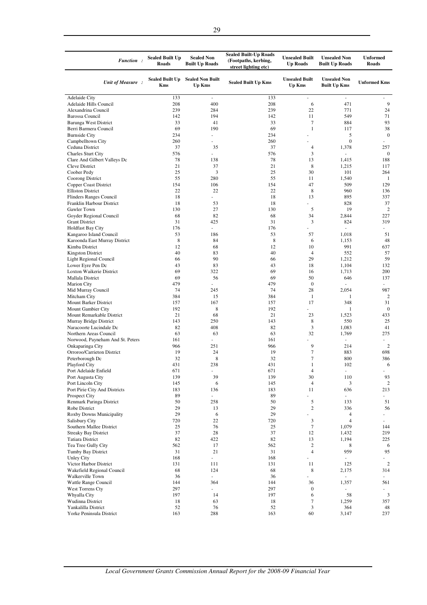| Function:                                                  | <b>Sealed Built Up</b><br>Roads      | <b>Sealed Non</b><br><b>Built Up Roads</b> | <b>Sealed Built-Up Roads</b><br>(Footpaths, kerbing,<br>street lighting etc) | <b>Unsealed Built</b><br><b>Up Roads</b> | <b>Unsealed Non</b><br><b>Built Up Roads</b> | <b>Unformed</b><br><b>Roads</b> |
|------------------------------------------------------------|--------------------------------------|--------------------------------------------|------------------------------------------------------------------------------|------------------------------------------|----------------------------------------------|---------------------------------|
| Unit of Measure:                                           | <b>Sealed Built Up</b><br><b>Kms</b> | <b>Sealed Non Built</b><br>Up Kms          | <b>Sealed Built Up Kms</b>                                                   | <b>Unsealed Built</b><br><b>Up Kms</b>   | <b>Unsealed Non</b><br><b>Built Up Kms</b>   | <b>Unformed Kms</b>             |
| <b>Adelaide City</b>                                       | 133                                  | ä,                                         | 133                                                                          | L,                                       | ä,                                           |                                 |
| Adelaide Hills Council                                     | 208                                  | 400                                        | 208                                                                          | 6                                        | 471                                          | 9                               |
| Alexandrina Council                                        | 239                                  | 284                                        | 239                                                                          | 22                                       | 771                                          | 24                              |
| <b>Barossa Council</b>                                     | 142                                  | 194                                        | 142                                                                          | 11                                       | 549                                          | 71                              |
| Barunga West District                                      | 33<br>69                             | 41                                         | 33                                                                           | $\tau$                                   | 884                                          | 93                              |
| Berri Barmera Council<br><b>Burnside City</b>              | 234                                  | 190<br>ä,                                  | 69<br>234                                                                    | $\mathbf{1}$                             | 117<br>5                                     | 38<br>$\boldsymbol{0}$          |
| Campbelltown City                                          | 260                                  | ä,                                         | 260                                                                          |                                          | $\mathbf{0}$                                 |                                 |
| Ceduna District                                            | 37                                   | 35                                         | 37                                                                           | 4                                        | 1,378                                        | 257                             |
| <b>Charles Sturt City</b>                                  | 576                                  |                                            | 576                                                                          | 3                                        | ÷.                                           | $\overline{0}$                  |
| Clare And Gilbert Valleys Dc                               | 78                                   | 138                                        | 78                                                                           | 13                                       | 1,415                                        | 188                             |
| Cleve District                                             | 21                                   | 37                                         | 21                                                                           | 8                                        | 1,215                                        | 117                             |
| Coober Pedy                                                | 25                                   | 3                                          | 25                                                                           | 30                                       | 101                                          | 264                             |
| Coorong District                                           | 55                                   | 280                                        | 55                                                                           | 11                                       | 1,540                                        | -1                              |
| Copper Coast District                                      | 154                                  | 106                                        | 154                                                                          | 47                                       | 509                                          | 129                             |
| <b>Elliston District</b><br><b>Flinders Ranges Council</b> | 22<br>18                             | 22                                         | 22<br>18                                                                     | 8<br>13                                  | 960<br>895                                   | 136<br>337                      |
| Franklin Harbour District                                  | 18                                   | 53                                         | 18                                                                           |                                          | 828                                          | 37                              |
| Gawler Town                                                | 130                                  | 27                                         | 130                                                                          | 5                                        | 19                                           | $\overline{2}$                  |
| Goyder Regional Council                                    | 68                                   | 82                                         | 68                                                                           | 34                                       | 2,844                                        | 227                             |
| <b>Grant District</b>                                      | 31                                   | 425                                        | 31                                                                           | 3                                        | 824                                          | 319                             |
| <b>Holdfast Bay City</b>                                   | 176                                  | ÷.                                         | 176                                                                          |                                          |                                              | u.                              |
| Kangaroo Island Council                                    | 53                                   | 186                                        | 53                                                                           | 57                                       | 1,018                                        | 51                              |
| Karoonda East Murray District                              | 8                                    | 84                                         | 8                                                                            | 6                                        | 1,153                                        | 48                              |
| Kimba District                                             | 12                                   | 68                                         | 12                                                                           | 10                                       | 991                                          | 637                             |
| <b>Kingston District</b>                                   | 40                                   | 83                                         | 40                                                                           | 4                                        | 552                                          | 57                              |
| Light Regional Council                                     | 66                                   | 90                                         | 66                                                                           | 29                                       | 1,212                                        | 59                              |
| Lower Eyre Pen Dc                                          | 43                                   | 83                                         | 43                                                                           | 18                                       | 1,104                                        | 132                             |
| Loxton Waikerie District<br>Mallala District               | 69<br>69                             | 322<br>56                                  | 69<br>69                                                                     | 16<br>50                                 | 1,713<br>646                                 | 200<br>137                      |
| <b>Marion City</b>                                         | 479                                  |                                            | 479                                                                          | $\boldsymbol{0}$                         | ÷.                                           |                                 |
| Mid Murray Council                                         | 74                                   | 245                                        | 74                                                                           | 28                                       | 2,054                                        | 987                             |
| Mitcham City                                               | 384                                  | 15                                         | 384                                                                          | $\mathbf{1}$                             | 1                                            | $\overline{2}$                  |
| Mount Barker District                                      | 157                                  | 167                                        | 157                                                                          | 17                                       | 348                                          | 31                              |
| Mount Gambier City                                         | 192                                  | 8                                          | 192                                                                          |                                          | 1                                            | $\overline{0}$                  |
| Mount Remarkable District                                  | 21                                   | 68                                         | 21                                                                           | 23                                       | 1,523                                        | 433                             |
| Murray Bridge District                                     | 143                                  | 250                                        | 143                                                                          | 8                                        | 550                                          | 25                              |
| Naracoorte Lucindale Dc                                    | 82                                   | 408                                        | 82                                                                           | 3                                        | 1,083                                        | 41                              |
| Northern Areas Council<br>Norwood, Payneham And St. Peters | 63<br>161                            | 63<br>ä,                                   | 63<br>161                                                                    | 32                                       | 1,769<br>ä,                                  | 275<br>ä,                       |
| Onkaparinga City                                           | 966                                  | 251                                        | 966                                                                          | 9                                        | 214                                          | $\overline{2}$                  |
| Orroroo/Carrieton District                                 | 19                                   | 24                                         | 19                                                                           | 7                                        | 883                                          | 698                             |
| Peterborough Dc                                            | 32                                   | 8                                          | 32                                                                           | 7                                        | 800                                          | 386                             |
| Playford City                                              | 431                                  | 238                                        | 431                                                                          | 1                                        | 102                                          | 6                               |
| Port Adelaide Enfield                                      | 671                                  |                                            | 671                                                                          | $\overline{4}$                           | $\overline{\phantom{a}}$                     |                                 |
| Port Augusta City                                          | 139                                  | 39                                         | 139                                                                          | 30                                       | 110                                          | 93                              |
| Port Lincoln City                                          | 145                                  | 6                                          | 145                                                                          | 4                                        | 3                                            | $\overline{2}$                  |
| Port Pirie City And Districts                              | 183                                  | 136                                        | 183                                                                          | 11                                       | 636                                          | 213                             |
| Prospect City<br>Renmark Paringa District                  | 89                                   | $\omega$                                   | 89                                                                           | 5                                        | $\sim$                                       | $\overline{\phantom{a}}$        |
| Robe District                                              | 50<br>29                             | 258<br>13                                  | 50<br>29                                                                     | $\overline{c}$                           | 133<br>336                                   | 51<br>56                        |
| Roxby Downs Municipality                                   | 29                                   | 6                                          | 29                                                                           |                                          | 4                                            | $\frac{1}{2}$                   |
| Salisbury City                                             | 720                                  | 22                                         | 720                                                                          | 3                                        | $\overline{4}$                               | a.                              |
| Southern Mallee District                                   | 25                                   | 76                                         | 25                                                                           | $\tau$                                   | 1,079                                        | 144                             |
| <b>Streaky Bay District</b>                                | 37                                   | 28                                         | 37                                                                           | 12                                       | 1,432                                        | 219                             |
| <b>Tatiara District</b>                                    | 82                                   | 422                                        | 82                                                                           | 13                                       | 1,194                                        | 225                             |
| Tea Tree Gully City                                        | 562                                  | 17                                         | 562                                                                          | $\overline{c}$                           | 8                                            | 6                               |
| Tumby Bay District                                         | 31                                   | 21                                         | 31                                                                           | $\overline{4}$                           | 959                                          | 95                              |
| Unley City                                                 | 168                                  | ÷.                                         | 168                                                                          |                                          | ÷.                                           | $\overline{\phantom{a}}$        |
| Victor Harbor District<br>Wakefield Regional Council       | 131<br>68                            | 111<br>124                                 | 131<br>68                                                                    | 11<br>8                                  | 125                                          | $\overline{2}$                  |
| Walkerville Town                                           | 36                                   | ä,                                         | 36                                                                           | ÷,                                       | 2,175<br>÷.                                  | 314<br>$\overline{\phantom{a}}$ |
| Wattle Range Council                                       | 144                                  | 364                                        | 144                                                                          | 36                                       | 1,357                                        | 561                             |
| West Torrens Cty                                           | 297                                  | ä,                                         | 297                                                                          | $\boldsymbol{0}$                         |                                              |                                 |
| Whyalla City                                               | 197                                  | 14                                         | 197                                                                          | 6                                        | 58                                           | $\mathbf{3}$                    |
| Wudinna District                                           | 18                                   | 63                                         | 18                                                                           | 7                                        | 1,259                                        | 357                             |
| Yankalilla District                                        | 52                                   | 76                                         | 52                                                                           | 3                                        | 364                                          | 48                              |
| Yorke Peninsula District                                   | 163                                  | 288                                        | 163                                                                          | 60                                       | 3,147                                        | 237                             |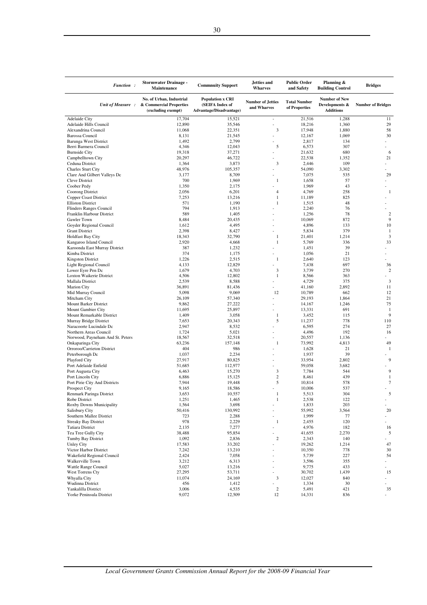| <b>Function:</b>                                            | <b>Stormwater Drainage -</b><br>Maintenance                               | <b>Commnuity Support</b>                                              | Jetties and<br>Wharves                  | <b>Public Order</b><br>and Safety    | Planning &<br><b>Building Control</b>                      | <b>Bridges</b>           |
|-------------------------------------------------------------|---------------------------------------------------------------------------|-----------------------------------------------------------------------|-----------------------------------------|--------------------------------------|------------------------------------------------------------|--------------------------|
| Unit of Measure:                                            | No. of Urban, Industrial<br>& Commercial Properties<br>(excluding exempt) | <b>Population x CRI</b><br>(SEIFA Index of<br>Advantage/Disadvantage) | <b>Number of Jetties</b><br>and Wharves | <b>Total Number</b><br>of Properties | <b>Number of New</b><br>Developments &<br><b>Additions</b> | <b>Number of Bridges</b> |
| <b>Adelaide City</b>                                        | 17,704                                                                    | 15,521                                                                | i,                                      | 21,516                               | 1,288                                                      | 11                       |
| Adelaide Hills Council                                      | 12,890                                                                    | 35,546                                                                | $\frac{1}{2}$                           | 18,216                               | 1,360                                                      | 29                       |
| Alexandrina Council<br><b>Barossa Council</b>               | 11,068<br>8,131                                                           | 22,351<br>21,545                                                      | 3<br>$\overline{a}$                     | 17,948<br>12,167                     | 1,880<br>1,069                                             | 58<br>30                 |
| Barunga West District                                       | 1,492                                                                     | 2,799                                                                 |                                         | 2,817                                | 134                                                        |                          |
| Berri Barmera Council                                       | 4,346                                                                     | 12,043                                                                | 5                                       | 6,573                                | 307                                                        |                          |
| <b>Burnside City</b>                                        | 19,318                                                                    | 37,271                                                                |                                         | 21.632                               | 680                                                        | 6                        |
| Campbelltown City                                           | 20,297                                                                    | 46,722                                                                |                                         | 22,538                               | 1,352                                                      | 21                       |
| Ceduna District                                             | 1,364                                                                     | 3,873                                                                 | 3                                       | 2,446                                | 109                                                        |                          |
| Charles Sturt City<br>Clare And Gilbert Valleys Dc          | 48,976<br>3,177                                                           | 105,357<br>8,709                                                      |                                         | 54,090<br>7,075                      | 3,302<br>535                                               | 29                       |
| Cleve District                                              | 700                                                                       | 1,969                                                                 | 1                                       | 1,658                                | 57                                                         |                          |
| Coober Pedy                                                 | 1,350                                                                     | 2,175                                                                 |                                         | 1,969                                | 43                                                         |                          |
| Coorong District                                            | 2,056                                                                     | 6,201                                                                 | 4                                       | 4,769                                | 258                                                        | 1                        |
| Copper Coast District                                       | 7,253                                                                     | 13,216                                                                | 1                                       | 11,189                               | 825                                                        |                          |
| <b>Elliston District</b>                                    | 571<br>794                                                                | 1,190                                                                 | 1                                       | 1,515                                | 48<br>76                                                   |                          |
| <b>Flinders Ranges Council</b><br>Franklin Harbour District | 589                                                                       | 1,913<br>1,405                                                        |                                         | 2,240<br>1,256                       | 78                                                         | $\overline{2}$           |
| Gawler Town                                                 | 8,484                                                                     | 20,435                                                                |                                         | 10,069                               | 872                                                        | 9                        |
| Goyder Regional Council                                     | 1,612                                                                     | 4,495                                                                 | L                                       | 4,896                                | 133                                                        | 10                       |
| <b>Grant District</b>                                       | 2,398                                                                     | 8,427                                                                 |                                         | 5,834                                | 379                                                        | -1                       |
| <b>Holdfast Bay City</b>                                    | 18,343                                                                    | 32,790                                                                | 1                                       | 21,401                               | 1,214                                                      | 3                        |
| Kangaroo Island Council                                     | 2,920                                                                     | 4,668                                                                 | 1                                       | 5,769                                | 336                                                        | 33                       |
| Karoonda East Murray District<br>Kimba District             | 387<br>374                                                                | 1,232<br>1,175                                                        | $\overline{a}$                          | 1,451<br>1,056                       | 39<br>21                                                   |                          |
| Kingston District                                           | 1,226                                                                     | 2,515                                                                 | 1                                       | 2,640                                | 123                                                        |                          |
| Light Regional Council                                      | 4,133                                                                     | 12,829                                                                |                                         | 7,438                                | 697                                                        | 36                       |
| Lower Eyre Pen Dc                                           | 1,679                                                                     | 4,703                                                                 | 3                                       | 3,739                                | 270                                                        | $\overline{2}$           |
| Loxton Waikerie District                                    | 4,506                                                                     | 12,802                                                                | 1                                       | 8,566                                | 363                                                        |                          |
| Mallala District                                            | 2,539                                                                     | 8,588                                                                 | $\overline{a}$                          | 4,729                                | 375                                                        | 3                        |
| <b>Marion City</b><br>Mid Murray Council                    | 36,891<br>5,098                                                           | 81,436<br>9,069                                                       | 12                                      | 41,160<br>10,789                     | 2,892<br>662                                               | 11<br>12                 |
| Mitcham City                                                | 26,109                                                                    | 57,340                                                                |                                         | 29,193                               | 1,864                                                      | 21                       |
| Mount Barker District                                       | 9,862                                                                     | 27,222                                                                | L.                                      | 14,167                               | 1,246                                                      | 75                       |
| Mount Gambier City                                          | 11,695                                                                    | 25,897                                                                |                                         | 13,331                               | 691                                                        | $\mathbf{1}$             |
| Mount Remarkable District                                   | 1,409                                                                     | 3,058                                                                 | 1                                       | 3,452                                | 115                                                        | 9                        |
| Murray Bridge District                                      | 7,653                                                                     | 20,343                                                                | 5                                       | 11,237                               | 778                                                        | 110                      |
| Naracoorte Lucindale Dc<br>Northern Areas Council           | 2,947<br>1,724                                                            | 8,532<br>5,021                                                        | L                                       | 6,595<br>4,496                       | 274<br>192                                                 | 27<br>16                 |
| Norwood, Payneham And St. Peters                            | 18,567                                                                    | 32,518                                                                | $\overline{a}$                          | 20,557                               | 1,136                                                      |                          |
| Onkaparinga City                                            | 63,236                                                                    | 157,148                                                               | 1                                       | 73,992                               | 4,813                                                      | 49                       |
| Orroroo/Carrieton District                                  | 404                                                                       | 986                                                                   |                                         | 1,628                                | 21                                                         | -1                       |
| Peterborough Dc                                             | 1,037                                                                     | 2,234                                                                 | $\overline{a}$                          | 1,937                                | 39                                                         |                          |
| Playford City                                               | 27,917                                                                    | 80,825                                                                |                                         | 33,954                               | 2,802                                                      | 9                        |
| Port Adelaide Enfield<br>Port Augusta City                  | 51,685<br>6,463                                                           | 112,977<br>15,270                                                     | 3                                       | 59,058<br>7,784                      | 3,682<br>544                                               | 9                        |
| Port Lincoln City                                           | 6,886                                                                     | 15,125                                                                | $\overline{c}$                          | 8,461                                | 439                                                        | 1                        |
| Port Pirie City And Districts                               | 7,944                                                                     | 19,448                                                                | 5                                       | 10,814                               | 578                                                        | 7                        |
| <b>Prospect City</b>                                        | 9,165                                                                     | 18,586                                                                |                                         | 10,006                               | 537                                                        |                          |
| Renmark Paringa District                                    | 3,653                                                                     | 10,557                                                                | 1                                       | 5,513                                | 304                                                        | 5                        |
| Robe District<br>Roxby Downs Municipality                   | 1,251<br>1,564                                                            | 1,465<br>3,698                                                        | 1<br>$\overline{a}$                     | 2,538<br>1,833                       | 122<br>203                                                 |                          |
| Salisbury City                                              | 50,416                                                                    | 130,992                                                               | $\overline{a}$                          | 55,992                               | 3,564                                                      | 20                       |
| Southern Mallee District                                    | 723                                                                       | 2,288                                                                 | $\overline{a}$                          | 1,999                                | 77                                                         | $\overline{\phantom{a}}$ |
| <b>Streaky Bay District</b>                                 | 978                                                                       | 2,229                                                                 | 1                                       | 2,455                                | 120                                                        |                          |
| <b>Tatiara District</b>                                     | 2,135                                                                     | 7,277                                                                 | $\overline{a}$                          | 4,976                                | 182                                                        | 16                       |
| Tea Tree Gully City                                         | 38,488                                                                    | 95,854                                                                | $\overline{a}$                          | 41,655                               | 2,270                                                      | 5                        |
| Tumby Bay District<br><b>Unley City</b>                     | 1,092<br>17,583                                                           | 2,836<br>33,202                                                       | $\sqrt{2}$                              | 2,343<br>19,262                      | 140<br>1,214                                               | 47                       |
| Victor Harbor District                                      | 7,242                                                                     | 13,210                                                                | $\overline{a}$                          | 10,350                               | 778                                                        | 30                       |
| Wakefield Regional Council                                  | 2,424                                                                     | 7,058                                                                 |                                         | 5,739                                | 227                                                        | 54                       |
| Walkerville Town                                            | 3,212                                                                     | 6,313                                                                 | $\overline{a}$                          | 3,596                                | 355                                                        | ٠                        |
| Wattle Range Council                                        | 5,027                                                                     | 13,216                                                                | $\overline{a}$                          | 9,775                                | 433                                                        |                          |
| West Torrens Cty                                            | 27,295                                                                    | 53,711                                                                | L                                       | 30,702                               | 1,439                                                      | 15                       |
| Whyalla City<br>Wudinna District                            | 11,074<br>456                                                             | 24,169<br>1,412                                                       | 3                                       | 12,027<br>1,334                      | 840<br>30                                                  | $\overline{a}$           |
| Yankalilla District                                         | 3,006                                                                     | 4,535                                                                 | $\sqrt{2}$                              | 5,491                                | 421                                                        | 35                       |
| Yorke Peninsula District                                    | 9,072                                                                     | 12,509                                                                | 12                                      | 14,331                               | 836                                                        |                          |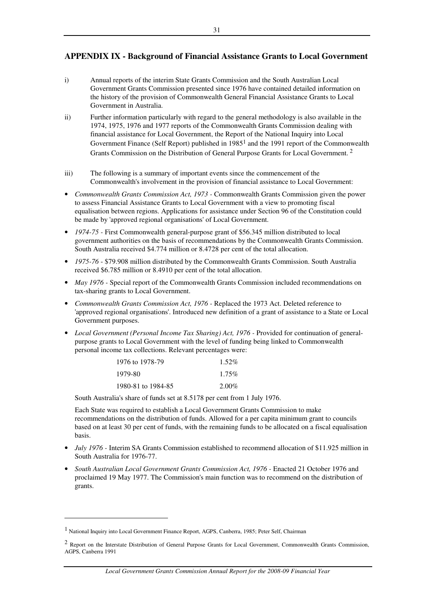# **APPENDIX IX - Background of Financial Assistance Grants to Local Government**

- i) Annual reports of the interim State Grants Commission and the South Australian Local Government Grants Commission presented since 1976 have contained detailed information on the history of the provision of Commonwealth General Financial Assistance Grants to Local Government in Australia.
- ii) Further information particularly with regard to the general methodology is also available in the 1974, 1975, 1976 and 1977 reports of the Commonwealth Grants Commission dealing with financial assistance for Local Government, the Report of the National Inquiry into Local Government Finance (Self Report) published in 19851 and the 1991 report of the Commonwealth Grants Commission on the Distribution of General Purpose Grants for Local Government. 2
- iii) The following is a summary of important events since the commencement of the Commonwealth's involvement in the provision of financial assistance to Local Government:
- *Commonwealth Grants Commission Act, 1973* Commonwealth Grants Commission given the power to assess Financial Assistance Grants to Local Government with a view to promoting fiscal equalisation between regions. Applications for assistance under Section 96 of the Constitution could be made by 'approved regional organisations' of Local Government.
- *1974-75* First Commonwealth general-purpose grant of \$56.345 million distributed to local government authorities on the basis of recommendations by the Commonwealth Grants Commission. South Australia received \$4.774 million or 8.4728 per cent of the total allocation.
- *1975-76* \$79.908 million distributed by the Commonwealth Grants Commission. South Australia received \$6.785 million or 8.4910 per cent of the total allocation.
- *May 1976* Special report of the Commonwealth Grants Commission included recommendations on tax-sharing grants to Local Government.
- *Commonwealth Grants Commission Act, 1976* Replaced the 1973 Act. Deleted reference to 'approved regional organisations'. Introduced new definition of a grant of assistance to a State or Local Government purposes.
- *Local Government (Personal Income Tax Sharing) Act, 1976 Provided for continuation of general*purpose grants to Local Government with the level of funding being linked to Commonwealth personal income tax collections. Relevant percentages were:

| 1976 to 1978-79    | $1.52\%$ |
|--------------------|----------|
| 1979-80            | $1.75\%$ |
| 1980-81 to 1984-85 | $2.00\%$ |

South Australia's share of funds set at 8.5178 per cent from 1 July 1976.

Each State was required to establish a Local Government Grants Commission to make recommendations on the distribution of funds. Allowed for a per capita minimum grant to councils based on at least 30 per cent of funds, with the remaining funds to be allocated on a fiscal equalisation basis.

- *July 1976* Interim SA Grants Commission established to recommend allocation of \$11.925 million in South Australia for 1976-77.
- *South Australian Local Government Grants Commission Act, 1976 Enacted 21 October 1976 and* proclaimed 19 May 1977. The Commission's main function was to recommend on the distribution of grants.

 $\overline{a}$ 

<sup>1</sup> National Inquiry into Local Government Finance Report, AGPS, Canberra, 1985; Peter Self, Chairman

<sup>2</sup> Report on the Interstate Distribution of General Purpose Grants for Local Government, Commonwealth Grants Commission, AGPS, Canberra 1991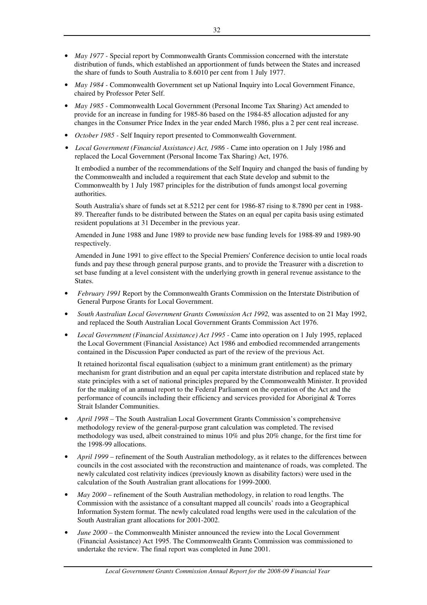- *May 1977* Special report by Commonwealth Grants Commission concerned with the interstate distribution of funds, which established an apportionment of funds between the States and increased the share of funds to South Australia to 8.6010 per cent from 1 July 1977.
- *May 1984* Commonwealth Government set up National Inquiry into Local Government Finance, chaired by Professor Peter Self.
- *May 1985* Commonwealth Local Government (Personal Income Tax Sharing) Act amended to provide for an increase in funding for 1985-86 based on the 1984-85 allocation adjusted for any changes in the Consumer Price Index in the year ended March 1986, plus a 2 per cent real increase.
- *October 1985* Self Inquiry report presented to Commonwealth Government.
- *Local Government (Financial Assistance) Act, 1986 -* Came into operation on 1 July 1986 and replaced the Local Government (Personal Income Tax Sharing) Act, 1976.

It embodied a number of the recommendations of the Self Inquiry and changed the basis of funding by the Commonwealth and included a requirement that each State develop and submit to the Commonwealth by 1 July 1987 principles for the distribution of funds amongst local governing authorities.

South Australia's share of funds set at 8.5212 per cent for 1986-87 rising to 8.7890 per cent in 1988- 89. Thereafter funds to be distributed between the States on an equal per capita basis using estimated resident populations at 31 December in the previous year.

Amended in June 1988 and June 1989 to provide new base funding levels for 1988-89 and 1989-90 respectively.

Amended in June 1991 to give effect to the Special Premiers' Conference decision to untie local roads funds and pay these through general purpose grants, and to provide the Treasurer with a discretion to set base funding at a level consistent with the underlying growth in general revenue assistance to the States.

- *February 1991* Report by the Commonwealth Grants Commission on the Interstate Distribution of General Purpose Grants for Local Government.
- *South Australian Local Government Grants Commission Act 1992,* was assented to on 21 May 1992, and replaced the South Australian Local Government Grants Commission Act 1976.
- *Local Government (Financial Assistance) Act 1995* Came into operation on 1 July 1995, replaced the Local Government (Financial Assistance) Act 1986 and embodied recommended arrangements contained in the Discussion Paper conducted as part of the review of the previous Act.

It retained horizontal fiscal equalisation (subject to a minimum grant entitlement) as the primary mechanism for grant distribution and an equal per capita interstate distribution and replaced state by state principles with a set of national principles prepared by the Commonwealth Minister. It provided for the making of an annual report to the Federal Parliament on the operation of the Act and the performance of councils including their efficiency and services provided for Aboriginal & Torres Strait Islander Communities.

- *April 1998* The South Australian Local Government Grants Commission's comprehensive methodology review of the general-purpose grant calculation was completed. The revised methodology was used, albeit constrained to minus 10% and plus 20% change, for the first time for the 1998-99 allocations.
- *April 1999* refinement of the South Australian methodology, as it relates to the differences between councils in the cost associated with the reconstruction and maintenance of roads, was completed. The newly calculated cost relativity indices (previously known as disability factors) were used in the calculation of the South Australian grant allocations for 1999-2000.
- *May 2000*  refinement of the South Australian methodology, in relation to road lengths. The Commission with the assistance of a consultant mapped all councils' roads into a Geographical Information System format. The newly calculated road lengths were used in the calculation of the South Australian grant allocations for 2001-2002.
- *June 2000 –* the Commonwealth Minister announced the review into the Local Government (Financial Assistance) Act 1995. The Commonwealth Grants Commission was commissioned to undertake the review. The final report was completed in June 2001.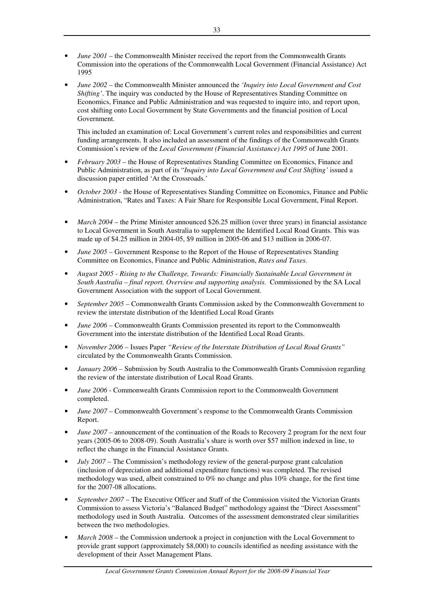- *June 2001* the Commonwealth Minister received the report from the Commonwealth Grants Commission into the operations of the Commonwealth Local Government (Financial Assistance) Act 1995
- *June 2002*  the Commonwealth Minister announced the *'Inquiry into Local Government and Cost Shifting'*. The inquiry was conducted by the House of Representatives Standing Committee on Economics, Finance and Public Administration and was requested to inquire into, and report upon, cost shifting onto Local Government by State Governments and the financial position of Local Government.

This included an examination of: Local Government's current roles and responsibilities and current funding arrangements. It also included an assessment of the findings of the Commonwealth Grants Commission's review of the *Local Government (Financial Assistance) Act 1995* of June 2001.

- *February 2003*  the House of Representatives Standing Committee on Economics, Finance and Public Administration, as part of its "*Inquiry into Local Government and Cost Shifting'* issued a discussion paper entitled 'At the Crossroads.'
- *October 2003* the House of Representatives Standing Committee on Economics, Finance and Public Administration, "Rates and Taxes: A Fair Share for Responsible Local Government, Final Report.
- *March 2004*  the Prime Minister announced \$26.25 million (over three years) in financial assistance to Local Government in South Australia to supplement the Identified Local Road Grants. This was made up of \$4.25 million in 2004-05, \$9 million in 2005-06 and \$13 million in 2006-07.
- *June 2005* Government Response to the Report of the House of Representatives Standing Committee on Economics, Finance and Public Administration, *Rates and Taxes.*
- *August 2005 Rising to the Challenge, Towards: Financially Sustainable Local Government in South Australia – final report. Overview and supporting analysis.* Commissioned by the SA Local Government Association with the support of Local Government.
- *September 2005* Commonwealth Grants Commission asked by the Commonwealth Government to review the interstate distribution of the Identified Local Road Grants
- *June 2006* Commonwealth Grants Commission presented its report to the Commonwealth Government into the interstate distribution of the Identified Local Road Grants.
- *November 2006* Issues Paper *"Review of the Interstate Distribution of Local Road Grants"*  circulated by the Commonwealth Grants Commission.
- *January 2006* Submission by South Australia to the Commonwealth Grants Commission regarding the review of the interstate distribution of Local Road Grants.
- *June 2006* Commonwealth Grants Commission report to the Commonwealth Government completed.
- *June 2007* Commonwealth Government's response to the Commonwealth Grants Commission Report.
- *June 2007* announcement of the continuation of the Roads to Recovery 2 program for the next four years (2005-06 to 2008-09). South Australia's share is worth over \$57 million indexed in line, to reflect the change in the Financial Assistance Grants.
- *July 2007* The Commission's methodology review of the general-purpose grant calculation (inclusion of depreciation and additional expenditure functions) was completed. The revised methodology was used, albeit constrained to 0% no change and plus 10% change, for the first time for the 2007-08 allocations.
- *September 2007*  The Executive Officer and Staff of the Commission visited the Victorian Grants Commission to assess Victoria's "Balanced Budget" methodology against the "Direct Assessment" methodology used in South Australia. Outcomes of the assessment demonstrated clear similarities between the two methodologies.
- *March 2008*  the Commission undertook a project in conjunction with the Local Government to provide grant support (approximately \$8,000) to councils identified as needing assistance with the development of their Asset Management Plans.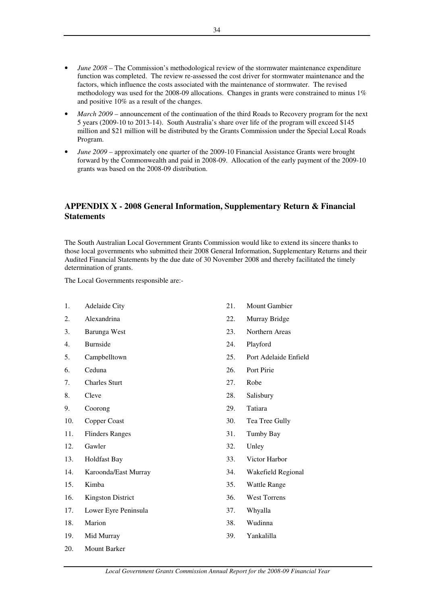- *June 2008* The Commission's methodological review of the stormwater maintenance expenditure function was completed. The review re-assessed the cost driver for stormwater maintenance and the factors, which influence the costs associated with the maintenance of stormwater. The revised methodology was used for the 2008-09 allocations. Changes in grants were constrained to minus 1% and positive 10% as a result of the changes.
- *March 2009* announcement of the continuation of the third Roads to Recovery program for the next 5 years (2009-10 to 2013-14). South Australia's share over life of the program will exceed \$145 million and \$21 million will be distributed by the Grants Commission under the Special Local Roads Program.
- *June 2009*  approximately one quarter of the 2009-10 Financial Assistance Grants were brought forward by the Commonwealth and paid in 2008-09. Allocation of the early payment of the 2009-10 grants was based on the 2008-09 distribution.

# **APPENDIX X - 2008 General Information, Supplementary Return & Financial Statements**

The South Australian Local Government Grants Commission would like to extend its sincere thanks to those local governments who submitted their 2008 General Information, Supplementary Returns and their Audited Financial Statements by the due date of 30 November 2008 and thereby facilitated the timely determination of grants.

The Local Governments responsible are:-

- 1. Adelaide City
- 2. Alexandrina
- 3. Barunga West
- 4. Burnside
- 5. Campbelltown
- 6. Ceduna
- 7. Charles Sturt
- 8. Cleve
- 9. Coorong
- 10. Copper Coast
- 11. Flinders Ranges
- 12. Gawler
- 13. Holdfast Bay
- 14. Karoonda/East Murray
- 15. Kimba
- 16. Kingston District
- 17. Lower Eyre Peninsula
- 18. Marion
- 19. Mid Murray
- 20. Mount Barker
- 21. Mount Gambier
- 22. Murray Bridge
- 23. Northern Areas
- 24. Playford
- 25. Port Adelaide Enfield
- 26. Port Pirie
- 27. Robe
- 28. Salisbury
- 29. Tatiara
- 30. Tea Tree Gully
- 31. Tumby Bay
- 32. Unley
- 33. Victor Harbor
- 34. Wakefield Regional
- 35. Wattle Range
- 36. West Torrens
- 37. Whyalla
- 38. Wudinna
- 39. Yankalilla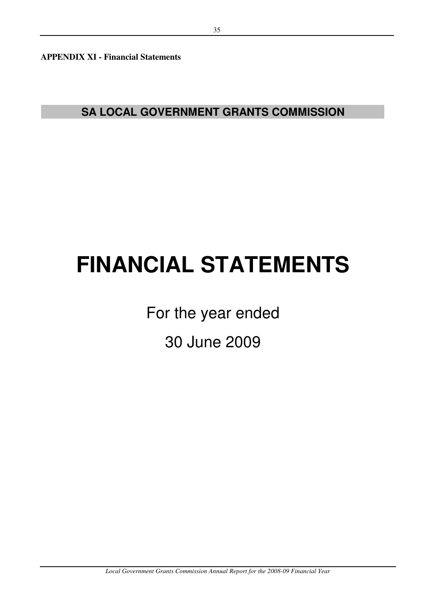**APPENDIX XI - Financial Statements** 

**SA LOCAL GOVERNMENT GRANTS COMMISSION**

# **FINANCIAL STATEMENTS**

For the year ended

30 June 2009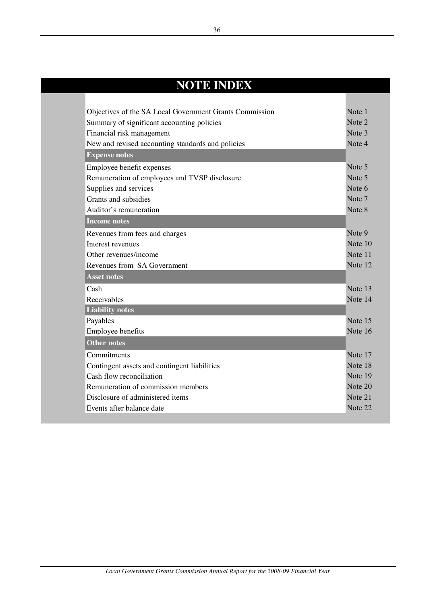| <b>NOTE INDEX</b>                                       |         |
|---------------------------------------------------------|---------|
|                                                         |         |
| Objectives of the SA Local Government Grants Commission | Note 1  |
| Summary of significant accounting policies              | Note 2  |
| Financial risk management                               | Note 3  |
| New and revised accounting standards and policies       | Note 4  |
| <b>Expense notes</b>                                    |         |
| Employee benefit expenses                               | Note 5  |
| Remuneration of employees and TVSP disclosure           | Note 5  |
| Supplies and services                                   | Note 6  |
| Grants and subsidies                                    | Note 7  |
| Auditor's remuneration                                  | Note 8  |
| <b>Income notes</b>                                     |         |
| Revenues from fees and charges                          | Note 9  |
| Interest revenues                                       | Note 10 |
| Other revenues/income                                   | Note 11 |
| Revenues from SA Government                             | Note 12 |
| <b>Asset notes</b>                                      |         |
| Cash                                                    | Note 13 |
| Receivables                                             | Note 14 |
| <b>Liability notes</b>                                  |         |
| Payables                                                | Note 15 |
| Employee benefits                                       | Note 16 |
| <b>Other notes</b>                                      |         |
| Commitments                                             | Note 17 |
| Contingent assets and contingent liabilities            | Note 18 |
| Cash flow reconciliation                                | Note 19 |
| Remuneration of commission members                      | Note 20 |
| Disclosure of administered items                        | Note 21 |
| Events after balance date                               | Note 22 |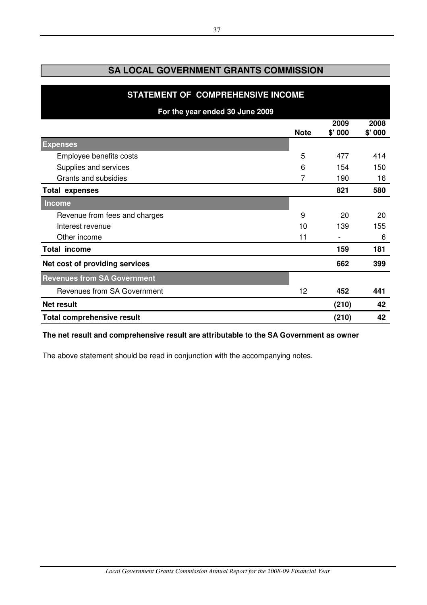| STATEMENT OF COMPREHENSIVE INCOME  |             |                |                |  |
|------------------------------------|-------------|----------------|----------------|--|
| For the year ended 30 June 2009    |             |                |                |  |
|                                    | <b>Note</b> | 2009<br>\$'000 | 2008<br>\$'000 |  |
| <b>Expenses</b>                    |             |                |                |  |
| Employee benefits costs            | 5           | 477            | 414            |  |
| Supplies and services              | 6           | 154            | 150            |  |
| Grants and subsidies               | 7           | 190            | 16             |  |
| <b>Total expenses</b>              |             | 821            | 580            |  |
| <b>Income</b>                      |             |                |                |  |
| Revenue from fees and charges      | 9           | 20             | 20             |  |
| Interest revenue                   | 10          | 139            | 155            |  |
| Other income                       | 11          |                | 6              |  |
| <b>Total income</b>                |             | 159            | 181            |  |
| Net cost of providing services     |             | 662            | 399            |  |
| <b>Revenues from SA Government</b> |             |                |                |  |
| <b>Revenues from SA Government</b> | 12          | 452            | 441            |  |
| <b>Net result</b>                  |             | (210)          | 42             |  |
| <b>Total comprehensive result</b>  |             | (210)          | 42             |  |

# **The net result and comprehensive result are attributable to the SA Government as owner**

The above statement should be read in conjunction with the accompanying notes.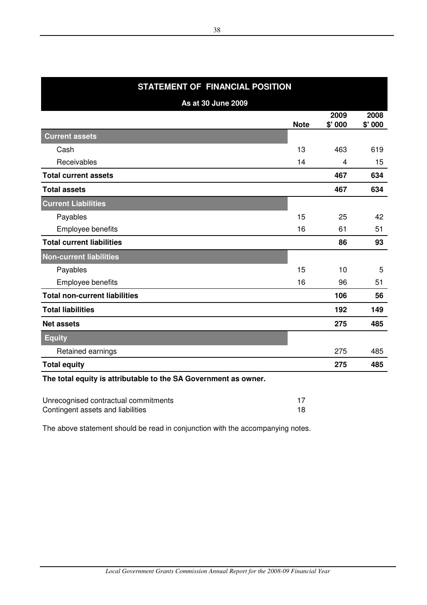| STATEMENT OF FINANCIAL POSITION      |             |                |        |  |
|--------------------------------------|-------------|----------------|--------|--|
| <b>As at 30 June 2009</b>            |             |                |        |  |
|                                      |             | 2009           | 2008   |  |
|                                      | <b>Note</b> | \$'000         | \$'000 |  |
| <b>Current assets</b>                |             |                |        |  |
| Cash                                 | 13          | 463            | 619    |  |
| Receivables                          | 14          | $\overline{4}$ | 15     |  |
| <b>Total current assets</b>          |             | 467            | 634    |  |
| <b>Total assets</b>                  |             | 467            | 634    |  |
| <b>Current Liabilities</b>           |             |                |        |  |
| Payables                             | 15          | 25             | 42     |  |
| Employee benefits                    | 16          | 61             | 51     |  |
| <b>Total current liabilities</b>     |             | 86             | 93     |  |
| <b>Non-current liabilities</b>       |             |                |        |  |
| Payables                             | 15          | 10             | 5      |  |
| Employee benefits                    | 16          | 96             | 51     |  |
| <b>Total non-current liabilities</b> |             | 106            | 56     |  |
| <b>Total liabilities</b>             |             | 192            | 149    |  |
| <b>Net assets</b>                    |             | 275            | 485    |  |
| <b>Equity</b>                        |             |                |        |  |
| Retained earnings                    |             | 275            | 485    |  |
| <b>Total equity</b>                  |             | 275            | 485    |  |

# **The total equity is attributable to the SA Government as owner.**

| Unrecognised contractual commitments |  |
|--------------------------------------|--|
| Contingent assets and liabilities    |  |

The above statement should be read in conjunction with the accompanying notes.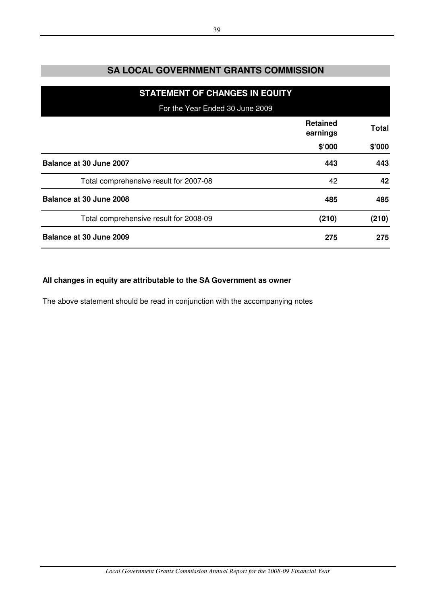| <b>STATEMENT OF CHANGES IN EQUITY</b>  |                             |              |
|----------------------------------------|-----------------------------|--------------|
| For the Year Ended 30 June 2009        |                             |              |
|                                        | <b>Retained</b><br>earnings | <b>Total</b> |
|                                        | \$'000                      | \$'000       |
| Balance at 30 June 2007                | 443                         | 443          |
| Total comprehensive result for 2007-08 | 42                          | 42           |
| Balance at 30 June 2008                | 485                         | 485          |
| Total comprehensive result for 2008-09 | (210)                       | (210)        |
| Balance at 30 June 2009                | 275                         | 275          |

# **All changes in equity are attributable to the SA Government as owner**

The above statement should be read in conjunction with the accompanying notes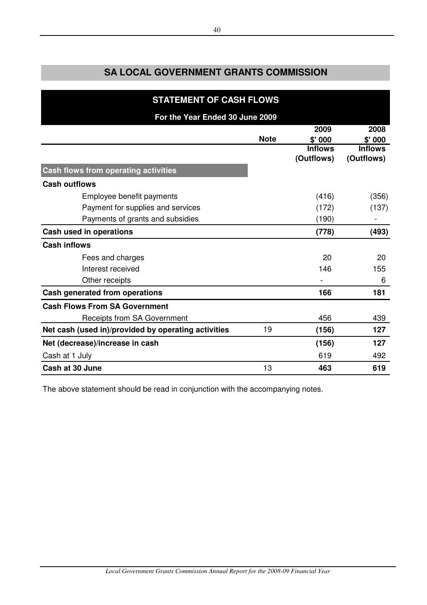| <b>STATEMENT OF CASH FLOWS</b>                      |             |                              |                              |
|-----------------------------------------------------|-------------|------------------------------|------------------------------|
| For the Year Ended 30 June 2009                     |             |                              |                              |
|                                                     |             | 2009                         | 2008                         |
|                                                     | <b>Note</b> | \$' 000                      | \$' 000                      |
|                                                     |             | <b>Inflows</b><br>(Outflows) | <b>Inflows</b><br>(Outflows) |
| Cash flows from operating activities                |             |                              |                              |
| <b>Cash outflows</b>                                |             |                              |                              |
| Employee benefit payments                           |             | (416)                        | (356)                        |
| Payment for supplies and services                   |             | (172)                        | (137)                        |
| Payments of grants and subsidies                    |             | (190)                        |                              |
| Cash used in operations                             |             | (778)                        | (493)                        |
| <b>Cash inflows</b>                                 |             |                              |                              |
| Fees and charges                                    |             | 20                           | 20                           |
| Interest received                                   |             | 146                          | 155                          |
| Other receipts                                      |             |                              | 6                            |
| Cash generated from operations                      |             | 166                          | 181                          |
| <b>Cash Flows From SA Government</b>                |             |                              |                              |
| Receipts from SA Government                         |             | 456                          | 439                          |
| Net cash (used in)/provided by operating activities | 19          | (156)                        | 127                          |
| Net (decrease)/increase in cash                     |             | (156)                        | 127                          |
| Cash at 1 July                                      |             | 619                          | 492                          |
| Cash at 30 June                                     | 13          | 463                          | 619                          |

The above statement should be read in conjunction with the accompanying notes.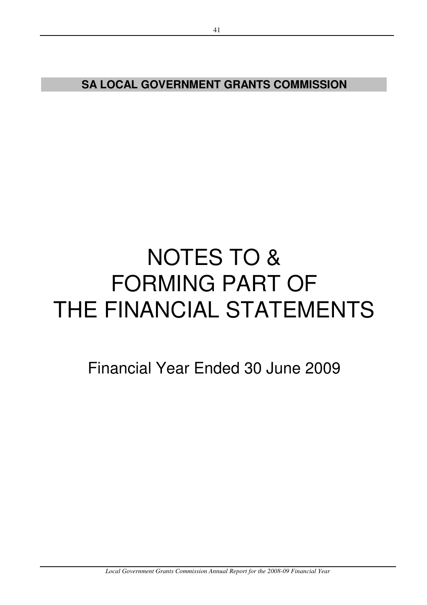# NOTES TO & FORMING PART OF THE FINANCIAL STATEMENTS

Financial Year Ended 30 June 2009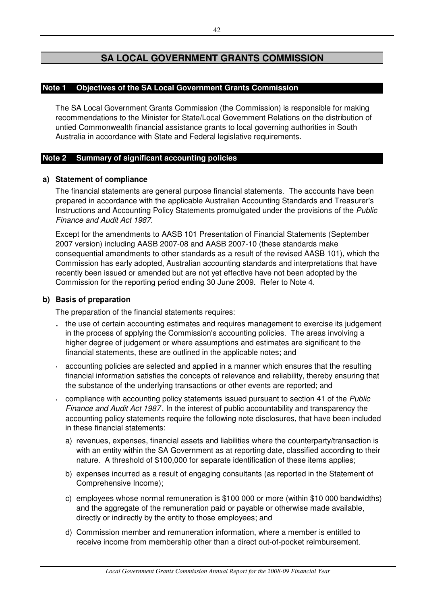# **Note 1 Objectives of the SA Local Government Grants Commission**

The SA Local Government Grants Commission (the Commission) is responsible for making recommendations to the Minister for State/Local Government Relations on the distribution of untied Commonwealth financial assistance grants to local governing authorities in South Australia in accordance with State and Federal legislative requirements.

# **Note 2 Summary of significant accounting policies**

# **a) Statement of compliance**

The financial statements are general purpose financial statements. The accounts have been prepared in accordance with the applicable Australian Accounting Standards and Treasurer's Instructions and Accounting Policy Statements promulgated under the provisions of the Public Finance and Audit Act 1987.

Except for the amendments to AASB 101 Presentation of Financial Statements (September 2007 version) including AASB 2007-08 and AASB 2007-10 (these standards make consequential amendments to other standards as a result of the revised AASB 101), which the Commission has early adopted, Australian accounting standards and interpretations that have recently been issued or amended but are not yet effective have not been adopted by the Commission for the reporting period ending 30 June 2009. Refer to Note 4.

# **b) Basis of preparation**

The preparation of the financial statements requires:

- **·** the use of certain accounting estimates and requires management to exercise its judgement in the process of applying the Commission's accounting policies. The areas involving a higher degree of judgement or where assumptions and estimates are significant to the financial statements, these are outlined in the applicable notes; and
- **·** accounting policies are selected and applied in a manner which ensures that the resulting financial information satisfies the concepts of relevance and reliability, thereby ensuring that the substance of the underlying transactions or other events are reported; and
- **·** compliance with accounting policy statements issued pursuant to section 41 of the *Public* Finance and Audit Act 1987 . In the interest of public accountability and transparency the accounting policy statements require the following note disclosures, that have been included in these financial statements:
	- a) revenues, expenses, financial assets and liabilities where the counterparty/transaction is with an entity within the SA Government as at reporting date, classified according to their nature. A threshold of \$100,000 for separate identification of these items applies;
	- b) expenses incurred as a result of engaging consultants (as reported in the Statement of Comprehensive Income);
	- c) employees whose normal remuneration is \$100 000 or more (within \$10 000 bandwidths) and the aggregate of the remuneration paid or payable or otherwise made available, directly or indirectly by the entity to those employees; and
	- d) Commission member and remuneration information, where a member is entitled to receive income from membership other than a direct out-of-pocket reimbursement.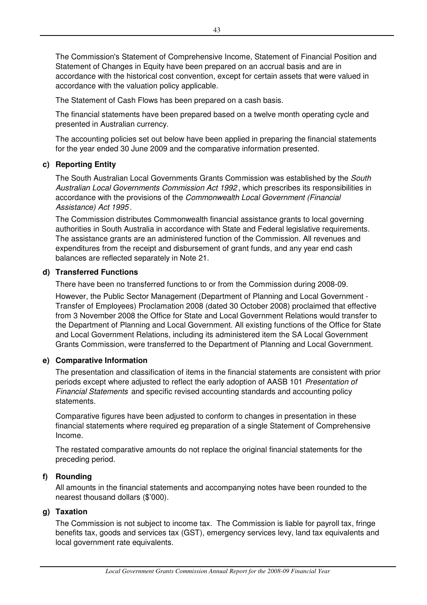The Commission's Statement of Comprehensive Income, Statement of Financial Position and Statement of Changes in Equity have been prepared on an accrual basis and are in accordance with the historical cost convention, except for certain assets that were valued in accordance with the valuation policy applicable.

The Statement of Cash Flows has been prepared on a cash basis.

The financial statements have been prepared based on a twelve month operating cycle and presented in Australian currency.

The accounting policies set out below have been applied in preparing the financial statements for the year ended 30 June 2009 and the comparative information presented.

# **c) Reporting Entity**

The South Australian Local Governments Grants Commission was established by the South Australian Local Governments Commission Act 1992 , which prescribes its responsibilities in accordance with the provisions of the Commonwealth Local Government (Financial Assistance) Act 1995 .

The Commission distributes Commonwealth financial assistance grants to local governing authorities in South Australia in accordance with State and Federal legislative requirements. The assistance grants are an administered function of the Commission. All revenues and expenditures from the receipt and disbursement of grant funds, and any year end cash balances are reflected separately in Note 21.

### **d) Transferred Functions**

There have been no transferred functions to or from the Commission during 2008-09.

However, the Public Sector Management (Department of Planning and Local Government - Transfer of Employees) Proclamation 2008 (dated 30 October 2008) proclaimed that effective from 3 November 2008 the Office for State and Local Government Relations would transfer to the Department of Planning and Local Government. All existing functions of the Office for State and Local Government Relations, including its administered item the SA Local Government Grants Commission, were transferred to the Department of Planning and Local Government.

# **e) Comparative Information**

The presentation and classification of items in the financial statements are consistent with prior periods except where adjusted to reflect the early adoption of AASB 101 Presentation of Financial Statements and specific revised accounting standards and accounting policy statements.

Comparative figures have been adjusted to conform to changes in presentation in these financial statements where required eg preparation of a single Statement of Comprehensive Income.

The restated comparative amounts do not replace the original financial statements for the preceding period.

# **f) Rounding**

All amounts in the financial statements and accompanying notes have been rounded to the nearest thousand dollars (\$'000).

# **g) Taxation**

The Commission is not subject to income tax. The Commission is liable for payroll tax, fringe benefits tax, goods and services tax (GST), emergency services levy, land tax equivalents and local government rate equivalents.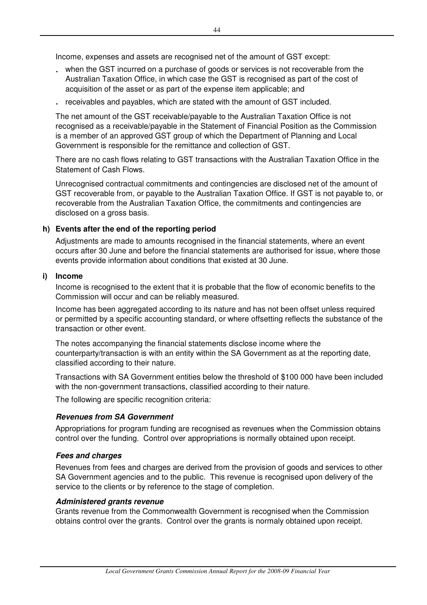Income, expenses and assets are recognised net of the amount of GST except:

- **·** when the GST incurred on a purchase of goods or services is not recoverable from the Australian Taxation Office, in which case the GST is recognised as part of the cost of acquisition of the asset or as part of the expense item applicable; and
- **·** receivables and payables, which are stated with the amount of GST included.

The net amount of the GST receivable/payable to the Australian Taxation Office is not recognised as a receivable/payable in the Statement of Financial Position as the Commission is a member of an approved GST group of which the Department of Planning and Local Government is responsible for the remittance and collection of GST.

There are no cash flows relating to GST transactions with the Australian Taxation Office in the Statement of Cash Flows.

Unrecognised contractual commitments and contingencies are disclosed net of the amount of GST recoverable from, or payable to the Australian Taxation Office. If GST is not payable to, or recoverable from the Australian Taxation Office, the commitments and contingencies are disclosed on a gross basis.

# **h) Events after the end of the reporting period**

Adjustments are made to amounts recognised in the financial statements, where an event occurs after 30 June and before the financial statements are authorised for issue, where those events provide information about conditions that existed at 30 June.

# **i) Income**

Income is recognised to the extent that it is probable that the flow of economic benefits to the Commission will occur and can be reliably measured.

Income has been aggregated according to its nature and has not been offset unless required or permitted by a specific accounting standard, or where offsetting reflects the substance of the transaction or other event.

The notes accompanying the financial statements disclose income where the counterparty/transaction is with an entity within the SA Government as at the reporting date, classified according to their nature.

Transactions with SA Government entities below the threshold of \$100 000 have been included with the non-government transactions, classified according to their nature.

The following are specific recognition criteria:

# **Revenues from SA Government**

Appropriations for program funding are recognised as revenues when the Commission obtains control over the funding. Control over appropriations is normally obtained upon receipt.

# **Fees and charges**

Revenues from fees and charges are derived from the provision of goods and services to other SA Government agencies and to the public. This revenue is recognised upon delivery of the service to the clients or by reference to the stage of completion.

# **Administered grants revenue**

Grants revenue from the Commonwealth Government is recognised when the Commission obtains control over the grants. Control over the grants is normaly obtained upon receipt.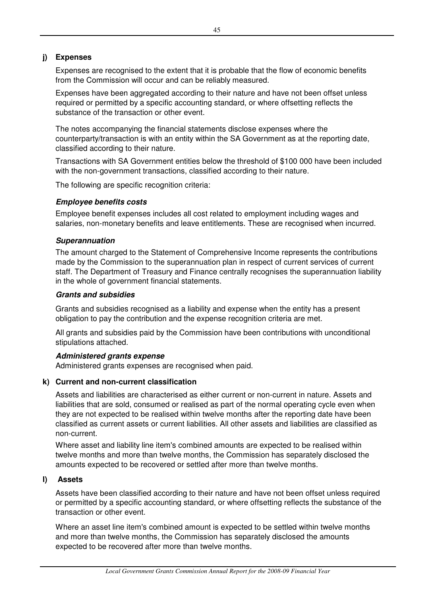# **j) Expenses**

Expenses are recognised to the extent that it is probable that the flow of economic benefits from the Commission will occur and can be reliably measured.

Expenses have been aggregated according to their nature and have not been offset unless required or permitted by a specific accounting standard, or where offsetting reflects the substance of the transaction or other event.

The notes accompanying the financial statements disclose expenses where the counterparty/transaction is with an entity within the SA Government as at the reporting date, classified according to their nature.

Transactions with SA Government entities below the threshold of \$100 000 have been included with the non-government transactions, classified according to their nature.

The following are specific recognition criteria:

# **Employee benefits costs**

Employee benefit expenses includes all cost related to employment including wages and salaries, non-monetary benefits and leave entitlements. These are recognised when incurred.

# **Superannuation**

The amount charged to the Statement of Comprehensive Income represents the contributions made by the Commission to the superannuation plan in respect of current services of current staff. The Department of Treasury and Finance centrally recognises the superannuation liability in the whole of government financial statements.

# **Grants and subsidies**

Grants and subsidies recognised as a liability and expense when the entity has a present obligation to pay the contribution and the expense recognition criteria are met.

All grants and subsidies paid by the Commission have been contributions with unconditional stipulations attached.

# **Administered grants expense**

Administered grants expenses are recognised when paid.

# **k) Current and non-current classification**

Assets and liabilities are characterised as either current or non-current in nature. Assets and liabilities that are sold, consumed or realised as part of the normal operating cycle even when they are not expected to be realised within twelve months after the reporting date have been classified as current assets or current liabilities. All other assets and liabilities are classified as non-current.

Where asset and liability line item's combined amounts are expected to be realised within twelve months and more than twelve months, the Commission has separately disclosed the amounts expected to be recovered or settled after more than twelve months.

# **l) Assets**

Assets have been classified according to their nature and have not been offset unless required or permitted by a specific accounting standard, or where offsetting reflects the substance of the transaction or other event.

Where an asset line item's combined amount is expected to be settled within twelve months and more than twelve months, the Commission has separately disclosed the amounts expected to be recovered after more than twelve months.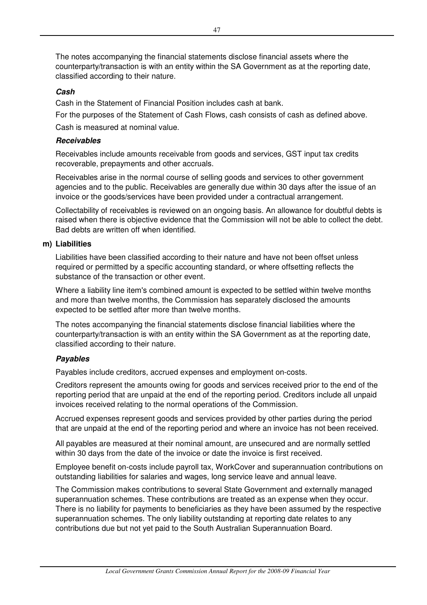The notes accompanying the financial statements disclose financial assets where the counterparty/transaction is with an entity within the SA Government as at the reporting date, classified according to their nature.

# **Cash**

Cash in the Statement of Financial Position includes cash at bank.

For the purposes of the Statement of Cash Flows, cash consists of cash as defined above.

Cash is measured at nominal value.

# **Receivables**

Receivables include amounts receivable from goods and services, GST input tax credits recoverable, prepayments and other accruals.

Receivables arise in the normal course of selling goods and services to other government agencies and to the public. Receivables are generally due within 30 days after the issue of an invoice or the goods/services have been provided under a contractual arrangement.

Collectability of receivables is reviewed on an ongoing basis. An allowance for doubtful debts is raised when there is objective evidence that the Commission will not be able to collect the debt. Bad debts are written off when identified.

# **m) Liabilities**

Liabilities have been classified according to their nature and have not been offset unless required or permitted by a specific accounting standard, or where offsetting reflects the substance of the transaction or other event.

Where a liability line item's combined amount is expected to be settled within twelve months and more than twelve months, the Commission has separately disclosed the amounts expected to be settled after more than twelve months.

The notes accompanying the financial statements disclose financial liabilities where the counterparty/transaction is with an entity within the SA Government as at the reporting date, classified according to their nature.

# **Payables**

Payables include creditors, accrued expenses and employment on-costs.

Creditors represent the amounts owing for goods and services received prior to the end of the reporting period that are unpaid at the end of the reporting period. Creditors include all unpaid invoices received relating to the normal operations of the Commission.

Accrued expenses represent goods and services provided by other parties during the period that are unpaid at the end of the reporting period and where an invoice has not been received.

All payables are measured at their nominal amount, are unsecured and are normally settled within 30 days from the date of the invoice or date the invoice is first received.

Employee benefit on-costs include payroll tax, WorkCover and superannuation contributions on outstanding liabilities for salaries and wages, long service leave and annual leave.

The Commission makes contributions to several State Government and externally managed superannuation schemes. These contributions are treated as an expense when they occur. There is no liability for payments to beneficiaries as they have been assumed by the respective superannuation schemes. The only liability outstanding at reporting date relates to any contributions due but not yet paid to the South Australian Superannuation Board.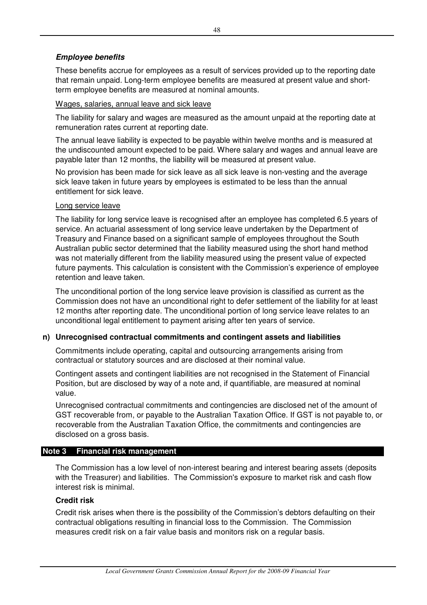# **Employee benefits**

These benefits accrue for employees as a result of services provided up to the reporting date that remain unpaid. Long-term employee benefits are measured at present value and shortterm employee benefits are measured at nominal amounts.

### Wages, salaries, annual leave and sick leave

The liability for salary and wages are measured as the amount unpaid at the reporting date at remuneration rates current at reporting date.

The annual leave liability is expected to be payable within twelve months and is measured at the undiscounted amount expected to be paid. Where salary and wages and annual leave are payable later than 12 months, the liability will be measured at present value.

No provision has been made for sick leave as all sick leave is non-vesting and the average sick leave taken in future years by employees is estimated to be less than the annual entitlement for sick leave.

### Long service leave

The liability for long service leave is recognised after an employee has completed 6.5 years of service. An actuarial assessment of long service leave undertaken by the Department of Treasury and Finance based on a significant sample of employees throughout the South Australian public sector determined that the liability measured using the short hand method was not materially different from the liability measured using the present value of expected future payments. This calculation is consistent with the Commission's experience of employee retention and leave taken.

The unconditional portion of the long service leave provision is classified as current as the Commission does not have an unconditional right to defer settlement of the liability for at least 12 months after reporting date. The unconditional portion of long service leave relates to an unconditional legal entitlement to payment arising after ten years of service.

# **n) Unrecognised contractual commitments and contingent assets and liabilities**

Commitments include operating, capital and outsourcing arrangements arising from contractual or statutory sources and are disclosed at their nominal value.

Contingent assets and contingent liabilities are not recognised in the Statement of Financial Position, but are disclosed by way of a note and, if quantifiable, are measured at nominal value.

Unrecognised contractual commitments and contingencies are disclosed net of the amount of GST recoverable from, or payable to the Australian Taxation Office. If GST is not payable to, or recoverable from the Australian Taxation Office, the commitments and contingencies are disclosed on a gross basis.

# **Note 3 Financial risk management**

The Commission has a low level of non-interest bearing and interest bearing assets (deposits with the Treasurer) and liabilities. The Commission's exposure to market risk and cash flow interest risk is minimal.

# **Credit risk**

Credit risk arises when there is the possibility of the Commission's debtors defaulting on their contractual obligations resulting in financial loss to the Commission. The Commission measures credit risk on a fair value basis and monitors risk on a regular basis.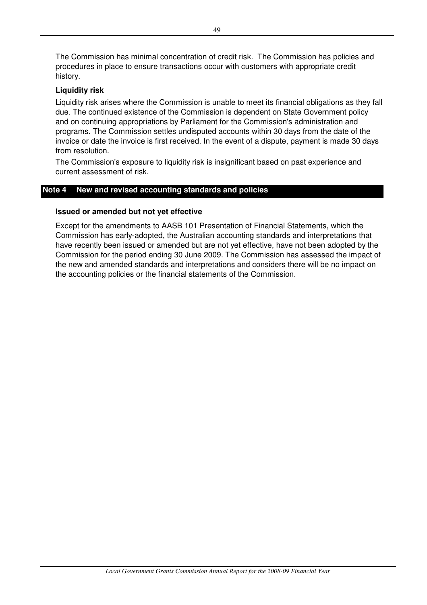The Commission has minimal concentration of credit risk. The Commission has policies and procedures in place to ensure transactions occur with customers with appropriate credit history.

# **Liquidity risk**

Liquidity risk arises where the Commission is unable to meet its financial obligations as they fall due. The continued existence of the Commission is dependent on State Government policy and on continuing appropriations by Parliament for the Commission's administration and programs. The Commission settles undisputed accounts within 30 days from the date of the invoice or date the invoice is first received. In the event of a dispute, payment is made 30 days from resolution.

The Commission's exposure to liquidity risk is insignificant based on past experience and current assessment of risk.

# **Note 4 New and revised accounting standards and policies**

### **Issued or amended but not yet effective**

Except for the amendments to AASB 101 Presentation of Financial Statements, which the Commission has early-adopted, the Australian accounting standards and interpretations that have recently been issued or amended but are not yet effective, have not been adopted by the Commission for the period ending 30 June 2009. The Commission has assessed the impact of the new and amended standards and interpretations and considers there will be no impact on the accounting policies or the financial statements of the Commission.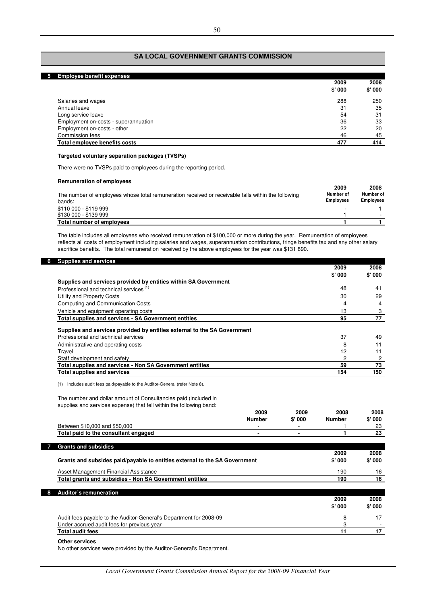| <b>Employee benefit expenses</b><br>5. |        |        |
|----------------------------------------|--------|--------|
|                                        | 2009   | 2008   |
|                                        | \$'000 | \$'000 |
| Salaries and wages                     | 288    | 250    |
| Annual leave                           | 31     | 35     |
| Long service leave                     | 54     | 31     |
| Employment on-costs - superannuation   | 36     | 33     |
| Employment on-costs - other            | 22     | 20     |
| Commission fees                        | 46     | 45     |
| Total emplovee benefits costs          | 477    | 414    |

### **Targeted voluntary separation packages (TVSPs)**

There were no TVSPs paid to employees during the reporting period.

#### **Remuneration of employees**

| The number of employees whose total remuneration received or receivable falls within the following<br>bands: | 2009<br>Number of<br><b>Employees</b> | 2008<br>Number of<br><b>Employees</b> |
|--------------------------------------------------------------------------------------------------------------|---------------------------------------|---------------------------------------|
| \$110 000 - \$119 999                                                                                        |                                       |                                       |
| \$130 000 - \$139 999                                                                                        |                                       |                                       |
| Total number of employees                                                                                    |                                       |                                       |

The table includes all employees who received remuneration of \$100,000 or more during the year. Remuneration of employees reflects all costs of employment including salaries and wages, superannuation contributions, fringe benefits tax and any other salary sacrifice benefits. The total remuneration received by the above employees for the year was \$131 890.

| <b>Supplies and services</b>                                             | 2009   | 2008   |
|--------------------------------------------------------------------------|--------|--------|
|                                                                          | \$'000 | \$'000 |
| Supplies and services provided by entities within SA Government          |        |        |
| Professional and technical services <sup>(1)</sup>                       | 48     | 41     |
| Utility and Property Costs                                               | 30     | 29     |
| Computing and Communication Costs                                        | 4      | 4      |
| Vehicle and equipment operating costs                                    | 13     |        |
| <b>Total supplies and services - SA Government entities</b>              | 95     | 77     |
| Supplies and services provided by entities external to the SA Government |        |        |
| Professional and technical services                                      | 37     | 49     |
| Administrative and operating costs                                       | 8      |        |
| Travel                                                                   | 12     |        |
| Staff development and safety                                             | 2      | 2      |
| Total supplies and services - Non SA Government entities                 | 59     | 73     |
| <b>Total supplies and services</b>                                       | 154    | 150    |

(1) Includes audit fees paid/payable to the Auditor-General (refer Note 8).

The number and dollar amount of Consultancies paid (included in supplies and services expense) that fell within the following band:

|                                                                                 | 2009           | 2009   | 2008          | 2008                        |
|---------------------------------------------------------------------------------|----------------|--------|---------------|-----------------------------|
|                                                                                 | <b>Number</b>  | \$'000 | <b>Number</b> | \$'000                      |
| Between \$10,000 and \$50,000                                                   | -              |        |               | 23                          |
| Total paid to the consultant engaged                                            | $\blacksquare$ |        |               | 23                          |
|                                                                                 |                |        |               |                             |
| <b>Grants and subsidies</b>                                                     |                |        |               |                             |
|                                                                                 |                |        | 2009          | 2008                        |
| Appelle and colorides artificently to continue cotoparties the AA Acceptance of |                |        | AL OOO        | $\mathbf{A}$ , $\mathbf{A}$ |

| Grants and subsides paid/payable to entitles external to the SA Government | <b>DUU</b> | <b>DUU</b> |
|----------------------------------------------------------------------------|------------|------------|
| Asset Management Financial Assistance                                      | 190        | 16         |
| Total grants and subsidies - Non SA Government entities                    | 190        | 16         |
|                                                                            |            |            |
| 8 Auditor's remuneration                                                   |            |            |
|                                                                            | 2009       | 2008       |
|                                                                            | \$'000     | \$'000     |
| Audit fees payable to the Auditor-General's Department for 2008-09         | 8          |            |
| Under accrued audit fees for previous year                                 | 3          |            |

### **Total audit fees** 11 17

### **Other services**

No other services were provided by the Auditor-General's Department.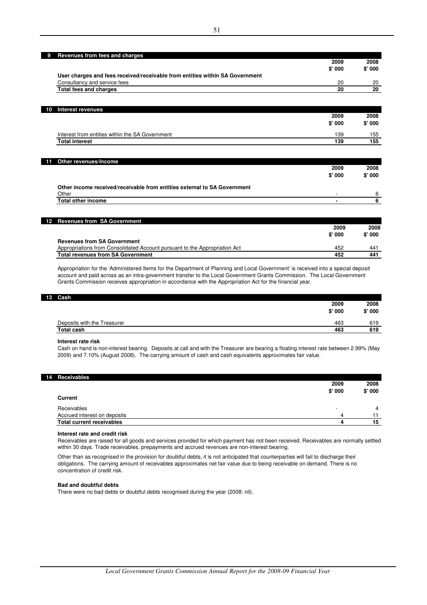|                                                                              | 2009   | 2008    |
|------------------------------------------------------------------------------|--------|---------|
|                                                                              | \$'000 | \$'000  |
| User charges and fees received/receivable from entities within SA Government |        |         |
| Consultancy and service fees                                                 | 20     |         |
| <b>Total fees and charges</b>                                                | 20     |         |
|                                                                              |        |         |
| <b>Interest revenues</b>                                                     |        |         |
|                                                                              | 2009   | 2008    |
|                                                                              | \$'000 | \$'000  |
| Interest from entities within the SA Government                              | 139    |         |
| <b>Total interest</b>                                                        | 139    |         |
|                                                                              |        |         |
| Other revenues/income                                                        |        |         |
|                                                                              | 2009   | 2008    |
|                                                                              | \$'000 | \$' 000 |
| Other income received/receivable from entities external to SA Government     |        |         |
| Other                                                                        |        |         |
| <b>Total other income</b>                                                    | ۰      |         |

| 12 Revenues from SA Government                                             |        |         |
|----------------------------------------------------------------------------|--------|---------|
|                                                                            | 2009   | 2008    |
|                                                                            | \$'000 | \$' 000 |
| <b>Revenues from SA Government</b>                                         |        |         |
| Appropriations from Consolidated Account pursuant to the Appropriation Act | 452    | 441     |
| <b>Total revenues from SA Government</b>                                   | 452    | 441     |
|                                                                            |        |         |

Appropriation for the 'Administered Items for the Department of Planning and Local Government' is received into a special deposit account and paid across as an intra-government transfer to the Local Government Grants Commission. The Local Government Grants Commission receives appropriation in accordance with the Appropriation Act for the financial year.

#### **13 Cash**

H.

| Deposits with the Treasurer<br>463 | 2009<br>\$' 000 | 2008<br>\$'000 |
|------------------------------------|-----------------|----------------|
|                                    |                 | 619            |
| <b>Total cash</b><br>463           |                 | 619            |

#### **Interest rate risk**

Cash on hand is non-interest bearing. Deposits at call and with the Treasurer are bearing a floating interest rate between 2.99% (May 2009) and 7.10% (August 2008). The carrying amount of cash and cash equivalents approximates fair value.

| 14 Receivables                   |         |        |
|----------------------------------|---------|--------|
|                                  | 2009    | 2008   |
|                                  | \$' 000 | \$'000 |
| <b>Current</b>                   |         |        |
| Receivables                      | -       | 4      |
| Accrued interest on deposits     | Δ       |        |
| <b>Total current receivables</b> |         | 15     |

#### **Interest rate and credit risk**

Receivables are raised for all goods and services provided for which payment has not been received. Receivables are normally settled within 30 days. Trade receivables, prepayments and accrued revenues are non-interest bearing.

Other than as recognised in the provision for doubtful debts, it is not anticipated that counterparties will fail to discharge their obligations. The carrying amount of receivables approximates net fair value due to being receivable on demand. There is no concentration of credit risk.

### **Bad and doubtful debts**

There were no bad debts or doubtful debts recognised during the year (2008: nil).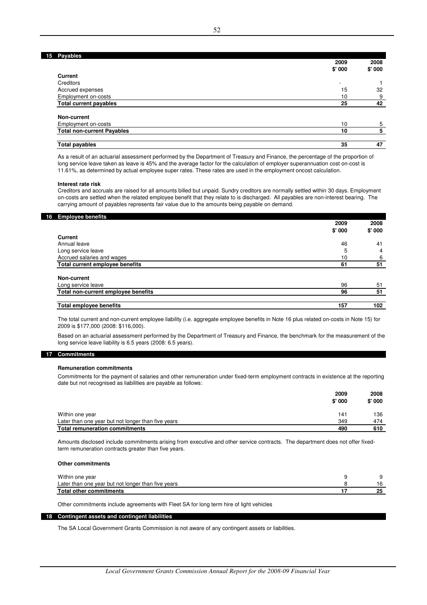### **15 Payables**

|                                   | 2009                     | 2008   |
|-----------------------------------|--------------------------|--------|
|                                   | \$'000                   | \$'000 |
| <b>Current</b>                    |                          |        |
| Creditors                         | $\overline{\phantom{a}}$ |        |
| Accrued expenses                  | 15                       | 32     |
| Employment on-costs               | 10                       | 9      |
| <b>Total current payables</b>     | 25                       | 42     |
|                                   |                          |        |
| Non-current                       |                          |        |
| Employment on-costs               | 10                       | 5      |
| <b>Total non-current Payables</b> | 10                       | 5      |
|                                   |                          |        |
| <b>Total payables</b>             | 35                       | 47     |

As a result of an actuarial assessment performed by the Department of Treasury and Finance, the percentage of the proportion of long service leave taken as leave is 45% and the average factor for the calculation of employer superannuation cost on-cost is 11.61%, as determined by actual employee super rates. These rates are used in the employment oncost calculation.

### **Interest rate risk**

Creditors and accruals are raised for all amounts billed but unpaid. Sundry creditors are normally settled within 30 days. Employment on-costs are settled when the related employee benefit that they relate to is discharged. All payables are non-interest bearing. The carrying amount of payables represents fair value due to the amounts being payable on demand.

| 16 Employee benefits                | 2009   | 2008   |
|-------------------------------------|--------|--------|
|                                     | \$'000 | \$'000 |
| Current                             |        |        |
| Annual leave                        | 46     | 41     |
| Long service leave                  | 5      | 4      |
| Accrued salaries and wages          | 10     | 6      |
| Total current employee benefits     | 61     | 51     |
| Non-current                         |        |        |
| Long service leave                  | 96     | 51     |
| Total non-current employee benefits | 96     | 51     |
| <b>Total employee benefits</b>      | 157    | 102    |

The total current and non-current employee liability (i.e. aggregate employee benefits in Note 16 plus related on-costs in Note 15) for 2009 is \$177,000 (2008: \$116,000).

Based on an actuarial assessment performed by the Department of Treasury and Finance, the benchmark for the measurement of the long service leave liability is 6.5 years (2008: 6.5 years).

### **17 Commitments**

#### **Remuneration commitments**

Commitments for the payment of salaries and other remuneration under fixed-term employment contracts in existence at the reporting date but not recognised as liabilities are payable as follows:

|                                                    | 2009   | 2008   |
|----------------------------------------------------|--------|--------|
|                                                    | \$'000 | \$'000 |
| Within one year                                    | 141    | 136    |
| Later than one year but not longer than five years | 349    | 474    |
| Total remuneration commitments                     | 490    | 610    |

Amounts disclosed include commitments arising from executive and other service contracts. The department does not offer fixedterm remuneration contracts greater than five years.

#### **Other commitments**

| Within one year                                    |  |
|----------------------------------------------------|--|
| Later than one year but not longer than five years |  |
| Total other commitments                            |  |
|                                                    |  |

Other commitments include agreements with Fleet SA for long term hire of light vehicles

### **18 Contingent assets and contingent liabilities**

The SA Local Government Grants Commission is not aware of any contingent assets or liabilities.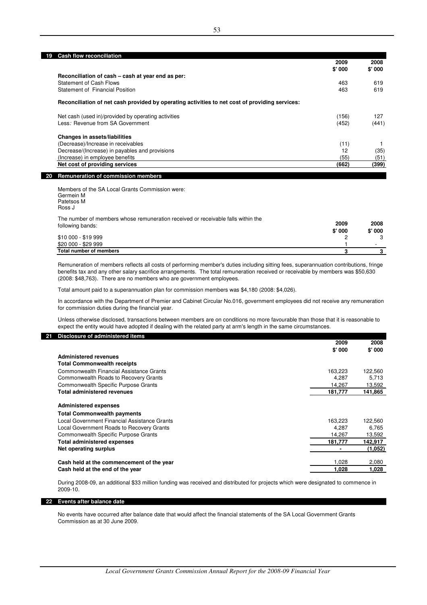**19 Cash flow reconciliation**

|                                                                                                | 2009   | 2008   |
|------------------------------------------------------------------------------------------------|--------|--------|
|                                                                                                | \$'000 | \$'000 |
| Reconciliation of cash – cash at year end as per:                                              |        |        |
| Statement of Cash Flows                                                                        | 463    | 619    |
| Statement of Financial Position                                                                | 463    | 619    |
| Reconciliation of net cash provided by operating activities to net cost of providing services: |        |        |
| Net cash (used in)/provided by operating activities                                            | (156)  | 127    |
| Less: Revenue from SA Government                                                               | (452)  | (441)  |
| <b>Changes in assets/liabilities</b>                                                           |        |        |
| (Decrease)/Increase in receivables                                                             | (11)   |        |
| Decrease/(Increase) in payables and provisions                                                 | 12     | (35)   |
| (Increase) in employee benefits                                                                | (55)   | (51)   |
| Net cost of providing services                                                                 | (662)  | (399)  |
| <b>Remuneration of commission members</b><br>20                                                |        |        |

Members of the SA Local Grants Commission were: Germein M Patetsos M Ross J

| The number of members whose remuneration received or receivable falls within the<br>following bands: | 2009<br>\$'000 | 2008<br>\$'000 |
|------------------------------------------------------------------------------------------------------|----------------|----------------|
| \$10 000 - \$19 999                                                                                  |                |                |
| \$20 000 - \$29 999                                                                                  |                |                |
| Total number of members                                                                              |                |                |

Remuneration of members reflects all costs of performing member's duties including sitting fees, superannuation contributions, fringe benefits tax and any other salary sacrifice arrangements. The total remuneration received or receivable by members was \$50,630 (2008: \$48,763). There are no members who are government employees.

Total amount paid to a superannuation plan for commission members was \$4,180 (2008: \$4,026).

In accordance with the Department of Premier and Cabinet Circular No.016, government employees did not receive any remuneration for commission duties during the financial year.

Unless otherwise disclosed, transactions between members are on conditions no more favourable than those that it is reasonable to expect the entity would have adopted if dealing with the related party at arm's length in the same circumstances.

### **21 Disclosure of administered items**

|                                              | 2009    | 2008    |
|----------------------------------------------|---------|---------|
|                                              | \$'000  | \$'000  |
| <b>Administered revenues</b>                 |         |         |
| <b>Total Commonwealth receipts</b>           |         |         |
| Commonwealth Financial Assistance Grants     | 163,223 | 122,560 |
| Commonwealth Roads to Recovery Grants        | 4,287   | 5,713   |
| Commonwealth Specific Purpose Grants         | 14,267  | 13,592  |
| <b>Total administered revenues</b>           | 181,777 | 141,865 |
| <b>Administered expenses</b>                 |         |         |
| <b>Total Commonwealth payments</b>           |         |         |
| Local Government Financial Assistance Grants | 163,223 | 122,560 |
| Local Government Roads to Recovery Grants    | 4.287   | 6.765   |
| Commonwealth Specific Purpose Grants         | 14.267  | 13,592  |
| <b>Total administered expenses</b>           | 181.777 | 142,917 |
| Net operating surplus                        |         | (1,052) |
| Cash held at the commencement of the year    | 1.028   | 2,080   |
| Cash held at the end of the year             | 1.028   | 1,028   |

During 2008-09, an additional \$33 million funding was received and distributed for projects which were designated to commence in 2009-10.

#### **22 Events after balance date**

No events have occurred after balance date that would affect the financial statements of the SA Local Government Grants Commission as at 30 June 2009.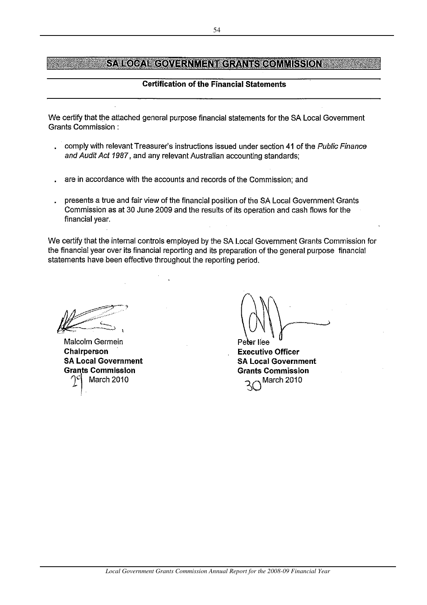# **Certification of the Financial Statements**

We certify that the attached general purpose financial statements for the SA Local Government **Grants Commission:** 

- comply with relevant Treasurer's instructions issued under section 41 of the Public Finance  $\mathbf{r}$ and Audit Act 1987, and any relevant Australian accounting standards;
- are in accordance with the accounts and records of the Commission; and
- presents a true and fair view of the financial position of the SA Local Government Grants Commission as at 30 June 2009 and the results of its operation and cash flows for the financial year.

We certify that the internal controls employed by the SA Local Government Grants Commission for the financial year over its financial reporting and its preparation of the general purpose financial statements have been effective throughout the reporting period.

Malcolm Germein **Chairperson SA Local Government Grants Commission** March 2010

er llee **Executive Officer SA Local Government Grants Commission** March 2010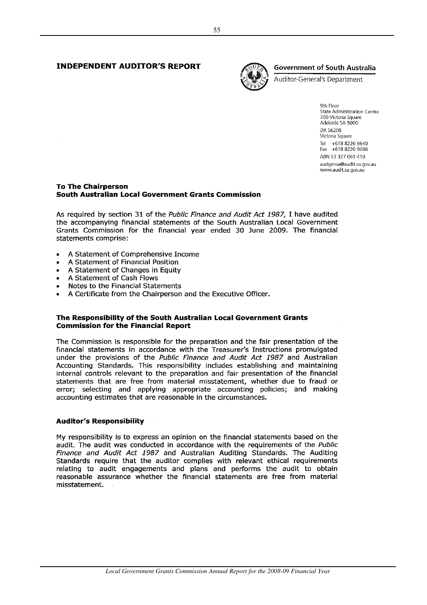### **INDEPENDENT AUDITOR'S REPORT**



### **Government of South Australia**

Auditor-General's Department

9th Floor **State Administration Centre** 200 Victoria Square Adelaide SA 5000 DX 56208 Victoria Square Tel +618 8226 9640 Fax +618 8226 9688 ARN 53 327 061 410 audgensa@audit.sa.gov.au www.audit.sa.gov.au

### **To The Chairperson South Australian Local Government Grants Commission**

As required by section 31 of the Public Finance and Audit Act 1987, I have audited the accompanying financial statements of the South Australian Local Government Grants Commission for the financial year ended 30 June 2009. The financial statements comprise:

- A Statement of Comprehensive Income
- A Statement of Financial Position
- A Statement of Changes in Equity
- A Statement of Cash Flows
- Notes to the Financial Statements
- A Certificate from the Chairperson and the Executive Officer.

### The Responsibility of the South Australian Local Government Grants **Commission for the Financial Report**

The Commission is responsible for the preparation and the fair presentation of the financial statements in accordance with the Treasurer's Instructions promulgated under the provisions of the Public Finance and Audit Act 1987 and Australian Accounting Standards. This responsibility includes establishing and maintaining internal controls relevant to the preparation and fair presentation of the financial statements that are free from material misstatement, whether due to fraud or error; selecting and applying appropriate accounting policies; and making accounting estimates that are reasonable in the circumstances.

### **Auditor's Responsibility**

My responsibility is to express an opinion on the financial statements based on the audit. The audit was conducted in accordance with the requirements of the Public Finance and Audit Act 1987 and Australian Auditing Standards. The Auditing Standards require that the auditor complies with relevant ethical requirements relating to audit engagements and plans and performs the audit to obtain reasonable assurance whether the financial statements are free from material misstatement.